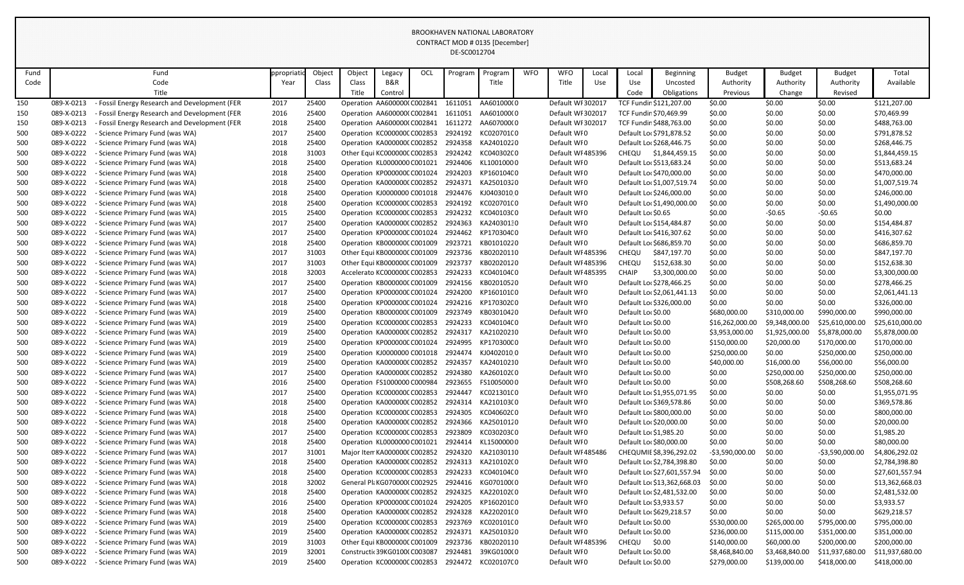| Fund       |                          | Fund                                                               | ppropriatio  | Object         | Object | Legacy                                                      | OCL | Program            | Program                  | <b>WFO</b> | <b>WFO</b>                       | Local | Local              | Beginning                                                  | <b>Budget</b>            | <b>Budget</b>    | <b>Budget</b>              | Total                              |
|------------|--------------------------|--------------------------------------------------------------------|--------------|----------------|--------|-------------------------------------------------------------|-----|--------------------|--------------------------|------------|----------------------------------|-------|--------------------|------------------------------------------------------------|--------------------------|------------------|----------------------------|------------------------------------|
| Code       |                          | Code                                                               | Year         | Class          | Class  | B&R                                                         |     |                    | Title                    |            | Title                            | Use   | Use                | Uncosted                                                   | Authority                | Authority        | Authority                  | Available                          |
|            |                          | Title                                                              |              |                | Title  | Control                                                     |     |                    |                          |            |                                  |       | Code               | Obligations                                                | Previous                 | Change           | Revised                    |                                    |
| 150        | 089-X-0213               | - Fossil Energy Research and Development (FER                      | 2017         | 25400          |        | Operation AA600000(C002841                                  |     | 1611051            | AA601000(0               |            | Default WI 302017                |       |                    | TCF Fundin \$121,207.00                                    | \$0.00                   | \$0.00           | \$0.00                     | \$121,207.00                       |
| 150        | 089-X-0213               | <b>Fossil Energy Research and Development (FER</b>                 | 2016         | 25400          |        | Operation AA600000(C002841                                  |     |                    | 1611051 AA601000(0       |            | Default WI 302017                |       |                    | TCF Fundin \$70,469.99                                     | \$0.00                   | \$0.00           | \$0.00                     | \$70,469.99                        |
| 150        | 089-X-0213               | - Fossil Energy Research and Development (FER                      | 2018         | 25400          |        | Operation AA600000(C002841                                  |     | 1611272            | AA607000(0               |            | Default WI 302017                |       |                    | TCF Fundin \$488,763.00                                    | \$0.00                   | \$0.00           | \$0.00                     | \$488,763.00                       |
| 500        | 089-X-0222               | - Science Primary Fund (was WA)                                    | 2017         | 25400          |        | Operation KC000000CC002853                                  |     |                    | 2924192 KC020701C0       |            | Default WI0                      |       |                    | Default Loc \$791,878.52                                   | \$0.00                   | \$0.00           | \$0.00                     | \$791,878.52                       |
| 500        | 089-X-0222               | - Science Primary Fund (was WA)                                    | 2018         | 25400          |        | Operation KA0000000 C002852                                 |     |                    | 2924358 KA24010220       |            | Default WI0                      |       |                    | Default Loc \$268,446.75                                   | \$0.00                   | \$0.00           | \$0.00                     | \$268,446.75                       |
| 500        | 089-X-0222               | - Science Primary Fund (was WA)                                    | 2018         | 31003          |        | Other Equi KC000000C C002853                                |     | 2924242            | KC040302C0               |            | Default WI 485396                |       | <b>CHEQU</b>       | \$1,844,459.15                                             | \$0.00                   | \$0.00           | \$0.00                     | \$1,844,459.15                     |
| 500        | 089-X-0222               | - Science Primary Fund (was WA)                                    | 2018         | 25400          |        | Operation KL0000000 C001021                                 |     |                    | 2924406 KL10010000       |            | Default WI0                      |       |                    | Default Loc \$513,683.24                                   | \$0.00                   | \$0.00           | \$0.00                     | \$513,683.24                       |
| 500        | 089-X-0222               | - Science Primary Fund (was WA)                                    | 2018         | 25400          |        | Operation KP000000C C001024                                 |     | 2924203            | KP160104C0               |            | Default WI0                      |       |                    | Default Loc \$470,000.00                                   | \$0.00                   | \$0.00           | \$0.00                     | \$470,000.00                       |
| 500        | 089-X-0222               | - Science Primary Fund (was WA)                                    | 2018         | 25400          |        | Operation KA000000(C002852                                  |     |                    | 2924371 KA25010320       |            | Default WI0                      |       |                    | Default Loc \$1,007,519.74                                 | \$0.00                   | \$0.00           | \$0.00                     | \$1,007,519.74                     |
| 500        | 089-X-0222               | - Science Primary Fund (was WA)                                    | 2018         | 25400          |        | Operation KJ0000000 C001018                                 |     |                    | 2924476 KJ04030100       |            | Default WI0                      |       |                    | Default Lor \$246,000.00                                   | \$0.00                   | \$0.00           | \$0.00                     | \$246,000.00                       |
| 500        | 089-X-0222               | - Science Primary Fund (was WA)                                    | 2018         | 25400          |        | Operation KC000000CC002853                                  |     | 2924192            | KC020701(0               |            | Default WI0                      |       |                    | Default Loc \$1,490,000.00                                 | \$0.00                   | \$0.00           | \$0.00                     | \$1,490,000.00                     |
| 500        | 089-X-0222               | - Science Primary Fund (was WA)                                    | 2015         | 25400          |        | Operation KC000000CC002853                                  |     |                    | 2924232 KC040103C0       |            | Default WI0                      |       | Default Loc \$0.65 |                                                            | \$0.00                   | $-50.65$         | $-50.65$                   | \$0.00                             |
| 500        | 089-X-0222               | - Science Primary Fund (was WA)                                    | 2017         | 25400          |        | Operation KA0000000 C002852                                 |     | 2924363            | KA24030130               |            | Default WI0                      |       |                    | Default Loc \$154,484.87                                   | \$0.00                   | \$0.00           | \$0.00                     | \$154,484.87                       |
| 500        | 089-X-0222               | - Science Primary Fund (was WA)                                    | 2017         | 25400          |        | Operation KP000000C C001024                                 |     |                    | 2924462 KP170304C0       |            | Default WI0                      |       |                    | Default Loc \$416,307.62                                   | \$0.00                   | \$0.00           | \$0.00                     | \$416,307.62                       |
| 500        | 089-X-0222               | - Science Primary Fund (was WA)                                    | 2018         | 25400          |        | Operation KB000000C C001009                                 |     |                    | 2923721 KB01010220       |            | Default WI0                      |       |                    | Default Loc \$686,859.70                                   | \$0.00                   | \$0.00           | \$0.00                     | \$686,859.70                       |
| 500        | 089-X-0222               | - Science Primary Fund (was WA)                                    | 2017         | 31003          |        | Other Equi KB000000C C001009                                |     |                    | 2923736 KB02020110       |            | Default WI 485396                |       | <b>CHEQU</b>       | \$847,197.70                                               | \$0.00                   | \$0.00           | \$0.00                     | \$847,197.70                       |
| 500        | 089-X-0222               | - Science Primary Fund (was WA)                                    | 2017         | 31003          |        | Other Equi KB000000C C001009                                |     | 2923737            | KB02020120               |            | Default WI 485396                |       | CHEQU              | \$152,638.30                                               | \$0.00                   | \$0.00           | \$0.00                     | \$152,638.30                       |
| 500        | 089-X-0222               | - Science Primary Fund (was WA)                                    | 2018         | 32003          |        | Accelerato KC000000C C002853                                |     | 2924233            | KC04010400               |            | Default WI 485395                |       | <b>CHAIP</b>       | \$3,300,000.00                                             | \$0.00                   | \$0.00           | \$0.00                     | \$3,300,000.00                     |
| 500        | 089-X-0222               | - Science Primary Fund (was WA)                                    | 2017         | 25400          |        | Operation KB000000C C001009                                 |     |                    | 2924156 KB02010520       |            | Default WI0                      |       |                    | Default Loc \$278,466.25                                   | \$0.00                   | \$0.00           | \$0.00                     | \$278,466.25                       |
| 500        | 089-X-0222               | - Science Primary Fund (was WA)                                    | 2017         | 25400          |        | Operation KP000000C C001024                                 |     | 2924200            | KP160101C0               |            | Default WI0                      |       |                    | Default Loc \$2,061,441.13                                 | \$0.00                   | \$0.00           | \$0.00                     | \$2,061,441.13                     |
| 500        | 089-X-0222               | - Science Primary Fund (was WA)                                    | 2018         | 25400          |        | Operation KP000000C C001024                                 |     | 2924216            | KP170302C0               |            | Default WI0                      |       |                    | Default Lor \$326,000.00                                   | \$0.00                   | \$0.00           | \$0.00                     | \$326,000.00                       |
| 500        | 089-X-0222               | - Science Primary Fund (was WA)                                    | 2019         | 25400          |        | Operation KB000000CC001009                                  |     | 2923749            | KB03010420               |            | Default WI0                      |       | Default Loc \$0.00 |                                                            | \$680,000.00             | \$310,000.00     | \$990,000.00               | \$990,000.00                       |
| 500        | 089-X-0222               | - Science Primary Fund (was WA)                                    | 2019         | 25400          |        | Operation KC000000CC002853                                  |     | 2924233            | KC040104C0               |            | Default WI0                      |       | Default Lor \$0.00 |                                                            | \$16,262,000.00          | \$9,348,000.00   | \$25,610,000.00            | \$25,610,000.00                    |
| 500        | 089-X-0222               | - Science Primary Fund (was WA)                                    | 2019         | 25400          |        | Operation KA000000(C002852                                  |     | 2924317            | KA21020210               |            | Default WI0                      |       | Default Loc \$0.00 |                                                            | \$3,953,000.00           | \$1,925,000.00   | \$5,878,000.00             | \$5,878,000.00                     |
| 500        | 089-X-0222               | - Science Primary Fund (was WA)                                    | 2019         | 25400          |        | Operation KP000000C C001024                                 |     | 2924995            | KP170300C0               |            | Default WI0                      |       | Default Lor \$0.00 |                                                            | \$150,000.00             | \$20,000.00      | \$170,000.00               | \$170,000.00                       |
| 500        | 089-X-0222               | - Science Primary Fund (was WA)                                    | 2019         | 25400          |        | Operation KJ0000000 C001018                                 |     | 2924474            | KJ04020100               |            | Default WI0                      |       | Default Loc \$0.00 |                                                            | \$250,000.00             | \$0.00           | \$250,000.00               | \$250,000.00                       |
| 500        | 089-X-0222               | - Science Primary Fund (was WA)                                    | 2019         | 25400          |        | Operation KA000000(C002852 2924357                          |     |                    | KA24010210               |            | Default WI0                      |       | Default Lor \$0.00 |                                                            | \$40,000.00              | \$16,000.00      | \$56,000.00                | \$56,000.00                        |
| 500        | 089-X-0222               | - Science Primary Fund (was WA)                                    | 2017         | 25400          |        | Operation KA000000(C002852                                  |     | 2924380            | KA260102(0               |            | Default WI0                      |       | Default Loc \$0.00 |                                                            | \$0.00                   | \$250,000.00     | \$250,000.00               | \$250,000.00                       |
| 500        | 089-X-0222               | - Science Primary Fund (was WA)                                    | 2016         | 25400          |        | Operation FS1000000 C000984                                 |     |                    | 2923655 FS10050000       |            | Default WI0                      |       | Default Loc \$0.00 |                                                            | \$0.00                   | \$508,268.60     | \$508,268.60               | \$508,268.60                       |
| 500        | 089-X-0222               | - Science Primary Fund (was WA)                                    | 2017         | 25400          |        | Operation KC000000CC002853                                  |     | 2924447            | KC021301C0               |            | Default WI0                      |       |                    | Default Loc \$1,955,071.95                                 | \$0.00                   | \$0.00           | \$0.00                     | \$1,955,071.95                     |
| 500        | 089-X-0222               | - Science Primary Fund (was WA)                                    | 2018         | 25400          |        | Operation KA0000000 C002852                                 |     |                    | 2924314 KA210103(0       |            | Default WI0                      |       |                    | Default Loc \$369,578.86                                   | \$0.00                   | \$0.00           | \$0.00                     | \$369,578.86                       |
| 500        | 089-X-0222               | - Science Primary Fund (was WA)                                    | 2018         | 25400          |        | Operation KC000000CC002853                                  |     | 2924305            | KC040602C0               |            | Default WI0                      |       |                    | Default Lor \$800,000.00                                   | \$0.00                   | \$0.00           | \$0.00                     | \$800,000.00                       |
| 500        | 089-X-0222               | - Science Primary Fund (was WA)<br>- Science Primary Fund (was WA) | 2018         | 25400          |        | Operation KA0000000 C002852                                 |     | 2924366            | KA25010120               |            | Default WI0                      |       |                    | Default Lor \$20,000.00                                    | \$0.00                   | \$0.00           | \$0.00                     | \$20,000.00                        |
| 500        | 089-X-0222               |                                                                    | 2017         | 25400          |        | Operation KC000000C C002853                                 |     | 2923809<br>2924414 | KC030203C0<br>KL15000000 |            | Default WI0                      |       |                    | Default Loc \$1,985.20                                     | \$0.00                   | \$0.00           | \$0.00                     | \$1,985.20                         |
| 500        | 089-X-0222<br>089-X-0222 | - Science Primary Fund (was WA)<br>- Science Primary Fund (was WA) | 2018<br>2017 | 25400<br>31001 |        | Operation KL0000000 C001021<br>Major Item KA0000000 C002852 |     |                    | 2924320 KA21030110       |            | Default WI0<br>Default WI 485486 |       |                    | Default Lor \$80,000.00<br>CHEQUMIE \$8,396,292.02         | \$0.00<br>-\$3,590,000.0 | \$0.00<br>\$0.00 | \$0.00<br>$-53,590,000.00$ | \$80,000.00<br>\$4,806,292.02      |
| 500        | 089-X-0222               |                                                                    |              | 25400          |        | Operation KA0000000 C002852                                 |     |                    | 2924313 KA210102(0       |            | Default WI0                      |       |                    | Default Loc \$2,784,398.80                                 | \$0.00                   |                  |                            |                                    |
| 500        | 089-X-0222               | - Science Primary Fund (was WA)<br>- Science Primary Fund (was WA) | 2018<br>2018 | 25400          |        | Operation KC000000CC002853                                  |     |                    | 2924233 KC040104C0       |            | Default WI0                      |       |                    |                                                            | \$0.00                   | \$0.00           | \$0.00                     | \$2,784,398.80                     |
| 500<br>500 | 089-X-0222               | - Science Primary Fund (was WA)                                    | 2018         | 32002          |        | General Pli KG070000(C002925                                |     | 2924416            | KG070100(0               |            | Default WI0                      |       |                    | Default Loc \$27,601,557.94<br>Default Loc \$13,362,668.03 | \$0.00                   | \$0.00<br>\$0.00 | \$0.00<br>\$0.00           | \$27,601,557.94<br>\$13,362,668.03 |
| 500        | 089-X-0222               | - Science Primary Fund (was WA)                                    | 2018         | 25400          |        | Operation KA0000000 C002852                                 |     |                    | 2924325 KA220102(0       |            | Default WI0                      |       |                    | Default Loc \$2,481,532.00                                 | \$0.00                   | \$0.00           | \$0.00                     | \$2,481,532.00                     |
| 500        | 089-X-0222               | - Science Primary Fund (was WA)                                    |              | 25400          |        | Operation KP000000C C001024                                 |     |                    | 2924205 KP160201C0       |            | Default WI0                      |       |                    | Default Loc \$3,933.57                                     | \$0.00                   | \$0.00           | \$0.00                     | \$3,933.57                         |
| 500        | 089-X-0222               | - Science Primary Fund (was WA)                                    | 2016<br>2018 | 25400          |        | Operation KA0000000 C002852                                 |     | 2924328            | KA220201(0               |            | Default WI0                      |       |                    | Default Loc \$629,218.57                                   | \$0.00                   | \$0.00           | \$0.00                     | \$629,218.57                       |
| 500        | 089-X-0222               | - Science Primary Fund (was WA)                                    | 2019         | 25400          |        | Operation KC000000CC002853                                  |     | 2923769            | KC020101(0               |            | Default WI0                      |       | Default Loc \$0.00 |                                                            | \$530,000.00             | \$265,000.00     | \$795,000.00               | \$795,000.00                       |
| 500        | 089-X-0222               | - Science Primary Fund (was WA)                                    | 2019         | 25400          |        | Operation KA0000000 C002852                                 |     |                    | 2924371 KA25010320       |            | Default WI0                      |       | Default Loc \$0.00 |                                                            | \$236,000.00             | \$115,000.00     | \$351,000.00               | \$351,000.00                       |
| 500        | 089-X-0222               | - Science Primary Fund (was WA)                                    | 2019         | 31003          |        | Other Equi KB000000C C001009                                |     |                    | 2923736 KB02020110       |            | Default WI 485396                |       | CHEQU \$0.00       |                                                            | \$140,000.00             | \$60,000.00      | \$200,000.00               | \$200,000.00                       |
| 500        | 089-X-0222               | - Science Primary Fund (was WA)                                    | 2019         | 32001          |        | Constructic 39KG01000 C003087                               |     | 2924481            | 39KG0100(0               |            | Default WI0                      |       | Default Lor \$0.00 |                                                            | \$8,468,840.00           | \$3,468,840.00   | \$11,937,680.00            | \$11,937,680.00                    |
| 500        | 089-X-0222               | - Science Primary Fund (was WA)                                    | 2019         | 25400          |        | Operation KC000000CC002853                                  |     |                    | 2924472 KC02010700       |            | Default WI0                      |       | Default Lor \$0.00 |                                                            | \$279,000.00             | \$139,000.00     | \$418,000.00               | \$418,000.00                       |
|            |                          |                                                                    |              |                |        |                                                             |     |                    |                          |            |                                  |       |                    |                                                            |                          |                  |                            |                                    |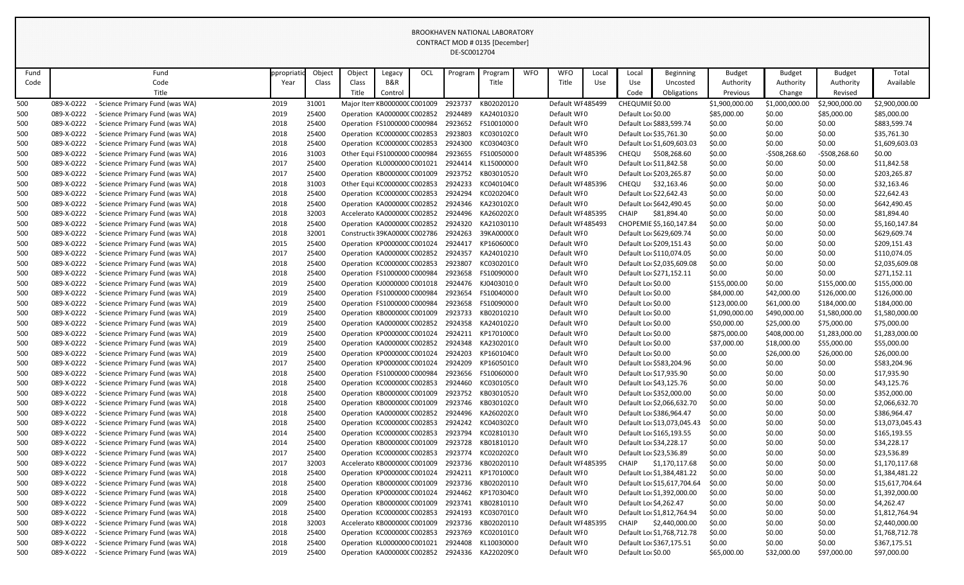| Fund       |                          | Fund                                                               | ppropriatid  | Object         | Object | Legacy                        | OCL | Program | Program                                                       | <b>WFO</b> | <b>WFO</b>                 | Local | Local                                    | <b>Beginning</b>            | <b>Budget</b>               | <b>Budget</b>              | <b>Budget</b>                | Total                        |
|------------|--------------------------|--------------------------------------------------------------------|--------------|----------------|--------|-------------------------------|-----|---------|---------------------------------------------------------------|------------|----------------------------|-------|------------------------------------------|-----------------------------|-----------------------------|----------------------------|------------------------------|------------------------------|
| Code       |                          | Code                                                               | Year         | Class          | Class  | B&R                           |     |         | Title                                                         |            | Title                      | Use   | Use                                      | Uncosted                    | Authority                   | Authority                  | Authority                    | Available                    |
|            |                          | Title                                                              |              |                | Title  | Control                       |     |         |                                                               |            |                            |       | Code                                     | Obligations                 | Previous                    | Change                     | Revised                      |                              |
| 500        | 089-X-0222               | - Science Primary Fund (was WA)                                    | 2019         | 31001          |        | Major Item KB000000C C001009  |     | 2923737 | KB02020120                                                    |            | Default WI 485499          |       | CHEQUMIE \$0.00                          |                             | \$1,900,000.00              | \$1,000,000.00             | \$2,900,000.00               | \$2,900,000.00               |
| 500        | 089-X-0222               | - Science Primary Fund (was WA)                                    | 2019         | 25400          |        | Operation KA000000(C002852    |     | 2924489 | KA24010320                                                    |            | Default WI0                |       | Default Lor \$0.00                       |                             | \$85,000.00                 | \$0.00                     | \$85,000.00                  | \$85,000.00                  |
| 500        | 089-X-0222               | - Science Primary Fund (was WA)                                    | 2018         | 25400          |        | Operation FS1000000 C000984   |     | 2923652 | FS10010000                                                    |            | Default WI0                |       |                                          | Default Loc \$883,599.74    | \$0.00                      | \$0.00                     | \$0.00                       | \$883,599.74                 |
| 500        | 089-X-0222               | - Science Primary Fund (was WA)                                    | 2018         | 25400          |        | Operation KC000000CC002853    |     | 2923803 | KC030102C0                                                    |            | Default WI0                |       |                                          | Default Loc \$35,761.30     | \$0.00                      | \$0.00                     | \$0.00                       | \$35,761.30                  |
| 500        | 089-X-0222               | - Science Primary Fund (was WA)                                    | 2018         | 25400          |        | Operation KC000000CC002853    |     |         | 2924300 KC030403C0                                            |            | Default WI0                |       |                                          | Default Loc \$1,609,603.03  | \$0.00                      | \$0.00                     | \$0.00                       | \$1,609,603.03               |
| 500        | 089-X-0222               | - Science Primary Fund (was WA)                                    | 2016         | 31003          |        | Other Equi FS1000000 C000984  |     | 2923655 | FS10050000                                                    |            | Default WI 485396          |       | CHEQU                                    | \$508,268.60                | \$0.00                      | $-5508,268.60$             | $-5508,268.60$               | \$0.00                       |
| 500        | 089-X-0222               | - Science Primary Fund (was WA)                                    | 2017         | 25400          |        | Operation KL0000000 C001021   |     |         | 2924414 KL15000000                                            |            | Default WI0                |       |                                          | Default Loc \$11,842.58     | \$0.00                      | \$0.00                     | \$0.00                       | \$11,842.58                  |
| 500        | 089-X-0222               | - Science Primary Fund (was WA)                                    | 2017         | 25400          |        | Operation KB000000C C001009   |     | 2923752 | KB03010520                                                    |            | Default WI0                |       |                                          | Default Loc \$203,265.87    | \$0.00                      | \$0.00                     | \$0.00                       | \$203,265.87                 |
| 500        | 089-X-0222               | - Science Primary Fund (was WA)                                    | 2018         | 31003          |        | Other Equi KC000000C C002853  |     | 2924233 | KC04010400                                                    |            | Default WI 485396          |       | <b>CHEQU</b>                             | \$32,163.46                 | \$0.00                      | \$0.00                     | \$0.00                       | \$32,163.46                  |
| 500        | 089-X-0222               | - Science Primary Fund (was WA)                                    | 2018         | 25400          |        | Operation KC000000CC002853    |     | 2924294 | KC020204C0                                                    |            | Default WI0                |       |                                          | Default Loc \$22,642.43     | \$0.00                      | \$0.00                     | \$0.00                       | \$22,642.43                  |
| 500        | 089-X-0222               | - Science Primary Fund (was WA)                                    | 2018         | 25400          |        | Operation KA0000000 C002852   |     |         | 2924346 KA230102(0                                            |            | Default WI0                |       |                                          | Default Loc \$642,490.45    | \$0.00                      | \$0.00                     | \$0.00                       | \$642,490.45                 |
| 500        | 089-X-0222               | - Science Primary Fund (was WA)                                    | 2018         | 32003          |        | Accelerato KA0000000 C002852  |     | 2924496 | KA260202(0                                                    |            | Default WI 485395          |       | <b>CHAIP</b>                             | \$81,894.40                 | \$0.00                      | \$0.00                     | \$0.00                       | \$81,894.40                  |
| 500        | 089-X-0222               | - Science Primary Fund (was WA)                                    | 2018         | 25400          |        | Operation KA000000(C002852    |     | 2924320 | KA21030110                                                    |            | Default WI 485493          |       |                                          | CHOPEMIE \$5,160,147.84     | \$0.00                      | \$0.00                     | \$0.00                       | \$5,160,147.84               |
| 500        | 089-X-0222               | - Science Primary Fund (was WA)                                    | 2018         | 32001          |        | Constructic 39KA00000 C002786 |     | 2924263 | 39KA000000                                                    |            | Default WI0                |       |                                          | Default Loc \$629,609.74    | \$0.00                      | \$0.00                     | \$0.00                       | \$629,609.74                 |
| 500        | 089-X-0222               | - Science Primary Fund (was WA)                                    | 2015         | 25400          |        | Operation KP000000C C001024   |     | 2924417 | KP160600C0                                                    |            | Default WI0                |       |                                          | Default Loc \$209,151.43    | \$0.00                      | \$0.00                     | \$0.00                       | \$209,151.43                 |
| 500        | 089-X-0222               | - Science Primary Fund (was WA)                                    | 2017         | 25400          |        | Operation KA000000(C002852    |     | 2924357 | KA24010210                                                    |            | Default WI0                |       |                                          | Default Loc \$110,074.05    | \$0.00                      | \$0.00                     | \$0.00                       | \$110,074.05                 |
| 500        | 089-X-0222               | - Science Primary Fund (was WA)                                    | 2018         | 25400          |        | Operation KC000000CC002853    |     | 2923807 | KC03020100                                                    |            | Default WI0                |       |                                          | Default Loc \$2,035,609.08  | \$0.00                      | \$0.00                     | \$0.00                       | \$2,035,609.08               |
| 500        | 089-X-0222               | - Science Primary Fund (was WA)                                    | 2018         | 25400          |        | Operation FS1000000 C000984   |     | 2923658 | FS10090000                                                    |            | Default WI0                |       |                                          | Default Loc \$271,152.11    | \$0.00                      | \$0.00                     | \$0.00                       | \$271,152.11                 |
| 500        | 089-X-0222<br>089-X-0222 | - Science Primary Fund (was WA)                                    | 2019<br>2019 | 25400<br>25400 |        | Operation FS1000000 C000984   |     | 2923654 | Operation KJ0000000 C001018 2924476 KJ0403010 0<br>FS10040000 |            | Default WI0<br>Default WI0 |       | Default Lor \$0.00                       |                             | \$155,000.00                | \$0.00                     | \$155,000.00                 | \$155,000.00                 |
| 500<br>500 | 089-X-0222               | - Science Primary Fund (was WA)<br>- Science Primary Fund (was WA) | 2019         | 25400          |        | Operation FS1000000 C000984   |     | 2923658 | FS10090000                                                    |            | Default WI0                |       | Default Lor \$0.00<br>Default Lor \$0.00 |                             | \$84,000.00<br>\$123,000.00 | \$42,000.00<br>\$61,000.00 | \$126,000.00<br>\$184,000.00 | \$126,000.00<br>\$184,000.00 |
| 500        | 089-X-0222               | - Science Primary Fund (was WA)                                    | 2019         | 25400          |        | Operation KB000000C C001009   |     | 2923733 | KB02010210                                                    |            | Default WI0                |       | Default Lor \$0.00                       |                             | \$1,090,000.00              | \$490,000.00               | \$1,580,000.00               | \$1,580,000.00               |
| 500        | 089-X-0222               | - Science Primary Fund (was WA)                                    | 2019         | 25400          |        | Operation KA0000000 C002852   |     | 2924358 | KA24010220                                                    |            | Default WI0                |       | Default Lor \$0.00                       |                             | \$50,000.00                 | \$25,000.00                | \$75,000.00                  | \$75,000.00                  |
| 500        | 089-X-0222               | - Science Primary Fund (was WA)                                    | 2019         | 25400          |        |                               |     |         | Operation KP000000C C001024 2924211 KP170100C 0               |            | Default WI0                |       | Default Lor \$0.00                       |                             | \$875,000.00                | \$408,000.00               | \$1,283,000.00               | \$1,283,000.00               |
| 500        | 089-X-0222               | - Science Primary Fund (was WA)                                    | 2019         | 25400          |        | Operation KA0000000 C002852   |     |         | 2924348 KA230201(0                                            |            | Default WI0                |       | Default Lor \$0.00                       |                             | \$37,000.00                 | \$18,000.00                | \$55,000.00                  | \$55,000.00                  |
| 500        | 089-X-0222               | - Science Primary Fund (was WA)                                    | 2019         | 25400          |        | Operation KP000000C C001024   |     | 2924203 | KP160104C0                                                    |            | Default WI0                |       | Default Lor \$0.00                       |                             | \$0.00                      | \$26,000.00                | \$26,000.00                  | \$26,000.00                  |
| 500        | 089-X-0222               | - Science Primary Fund (was WA)                                    | 2017         | 25400          |        |                               |     |         | Operation KP000000CC001024 2924209 KP160501C0                 |            | Default WI0                |       |                                          | Default Loc \$583,204.96    | \$0.00                      | \$0.00                     | \$0.00                       | \$583,204.96                 |
| 500        | 089-X-0222               | - Science Primary Fund (was WA)                                    | 2018         | 25400          |        | Operation FS1000000 C000984   |     |         | 2923656 FS10060000                                            |            | Default WI0                |       |                                          | Default Loc \$17,935.90     | \$0.00                      | \$0.00                     | \$0.00                       | \$17,935.90                  |
| 500        | 089-X-0222               | - Science Primary Fund (was WA)                                    | 2018         | 25400          |        | Operation KC000000CC002853    |     | 2924460 | KC030105C0                                                    |            | Default WI0                |       |                                          | Default Loc \$43,125.76     | \$0.00                      | \$0.00                     | \$0.00                       | \$43,125.76                  |
| 500        | 089-X-0222               | - Science Primary Fund (was WA)                                    | 2018         | 25400          |        | Operation KB000000C C001009   |     | 2923752 | KB03010520                                                    |            | Default WI0                |       |                                          | Default Loc \$352,000.00    | \$0.00                      | \$0.00                     | \$0.00                       | \$352,000.00                 |
| 500        | 089-X-0222               | - Science Primary Fund (was WA)                                    | 2018         | 25400          |        |                               |     |         | Operation KB000000CC001009 2923746 KB030102CO                 |            | Default WI0                |       |                                          | Default Loc \$2,066,632.70  | \$0.00                      | \$0.00                     | \$0.00                       | \$2,066,632.70               |
| 500        | 089-X-0222               | - Science Primary Fund (was WA)                                    | 2018         | 25400          |        | Operation KA0000000 C002852   |     |         | 2924496 KA260202(0                                            |            | Default WI0                |       |                                          | Default Loc \$386,964.47    | \$0.00                      | \$0.00                     | \$0.00                       | \$386,964.47                 |
| 500        | 089-X-0222               | - Science Primary Fund (was WA)                                    | 2018         | 25400          |        | Operation KC000000CC002853    |     |         | 2924242 KC040302C0                                            |            | Default WI0                |       |                                          | Default Loc \$13,073,045.43 | \$0.00                      | \$0.00                     | \$0.00                       | \$13,073,045.43              |
| 500        | 089-X-0222               | - Science Primary Fund (was WA)                                    | 2014         | 25400          |        | Operation KC000000CC002853    |     | 2923794 | KC02810130                                                    |            | Default WI0                |       |                                          | Default Loc \$165,193.55    | \$0.00                      | \$0.00                     | \$0.00                       | \$165,193.55                 |
| 500        | 089-X-0222               | - Science Primary Fund (was WA)                                    | 2014         | 25400          |        | Operation KB000000C C001009   |     |         | 2923728 KB01810120                                            |            | Default WI0                |       |                                          | Default Loc \$34,228.17     | \$0.00                      | \$0.00                     | \$0.00                       | \$34,228.17                  |
| 500        | 089-X-0222               | - Science Primary Fund (was WA)                                    | 2017         | 25400          |        | Operation KC000000CC002853    |     |         | 2923774 KC02020200                                            |            | Default WI0                |       |                                          | Default Loc \$23,536.89     | \$0.00                      | \$0.00                     | \$0.00                       | \$23,536.89                  |
| 500        | 089-X-0222               | - Science Primary Fund (was WA)                                    | 2017         | 32003          |        | Accelerato KB000000C C001009  |     | 2923736 | KB02020110                                                    |            | Default WI 485395          |       | <b>CHAIP</b>                             | \$1,170,117.68              | \$0.00                      | \$0.00                     | \$0.00                       | \$1,170,117.68               |
| 500        | 089-X-0222               | - Science Primary Fund (was WA)                                    | 2018         | 25400          |        | Operation KP000000C C001024   |     |         | 2924211 KP170100C0                                            |            | Default WI0                |       |                                          | Default Loc \$1,384,481.22  | \$0.00                      | \$0.00                     | \$0.00                       | \$1,384,481.22               |
| 500        | 089-X-0222               | - Science Primary Fund (was WA)                                    | 2018         | 25400          |        | Operation KB000000C C001009   |     | 2923736 | KB02020110                                                    |            | Default WI0                |       |                                          | Default Loc \$15,617,704.64 | \$0.00                      | \$0.00                     | \$0.00                       | \$15,617,704.64              |
| 500        | 089-X-0222               | - Science Primary Fund (was WA)                                    | 2018         | 25400          |        | Operation KP000000C C001024   |     | 2924462 | KP170304C0                                                    |            | Default WI0                |       |                                          | Default Loc \$1,392,000.00  | \$0.00                      | \$0.00                     | \$0.00                       | \$1,392,000.00               |
| 500        | 089-X-0222               | - Science Primary Fund (was WA)                                    | 2009         | 25400          |        | Operation KB000000C C001009   |     |         | 2923741 KB02810110                                            |            | Default WI0                |       |                                          | Default Loc \$4,262.47      | \$0.00                      | \$0.00                     | \$0.00                       | \$4,262.47                   |
| 500        | 089-X-0222               | - Science Primary Fund (was WA)                                    | 2018         | 25400          |        | Operation KC000000CC002853    |     | 2924193 | KC030701C0                                                    |            | Default WI0                |       |                                          | Default Loc \$1,812,764.94  | \$0.00                      | \$0.00                     | \$0.00                       | \$1,812,764.94               |
| 500        | 089-X-0222               | - Science Primary Fund (was WA)                                    | 2018         | 32003          |        | Accelerato KB000000C C001009  |     |         | 2923736 KB02020110                                            |            | Default WI 485395          |       | <b>CHAIP</b>                             | \$2,440,000.00              | \$0.00                      | \$0.00                     | \$0.00                       | \$2,440,000.00               |
| 500        | 089-X-0222               | - Science Primary Fund (was WA)                                    | 2018         | 25400          |        | Operation KC000000CC002853    |     | 2923769 | KC020101(0                                                    |            | Default WI0                |       |                                          | Default Loc \$1,768,712.78  | \$0.00                      | \$0.00                     | \$0.00                       | \$1,768,712.78               |
| 500        | 089-X-0222               | - Science Primary Fund (was WA)                                    | 2018         | 25400          |        | Operation KL0000000 C001021   |     | 2924408 | KL10030000                                                    |            | Default WI0                |       |                                          | Default Loc \$367,175.51    | \$0.00                      | \$0.00                     | \$0.00                       | \$367,175.51                 |
| 500        | 089-X-0222               | - Science Primary Fund (was WA)                                    | 2019         | 25400          |        | Operation KA0000000 C002852   |     |         | 2924336 KA220209(0                                            |            | Default WI0                |       | Default Lor \$0.00                       |                             | \$65,000.00                 | \$32,000.00                | \$97,000.00                  | \$97,000.00                  |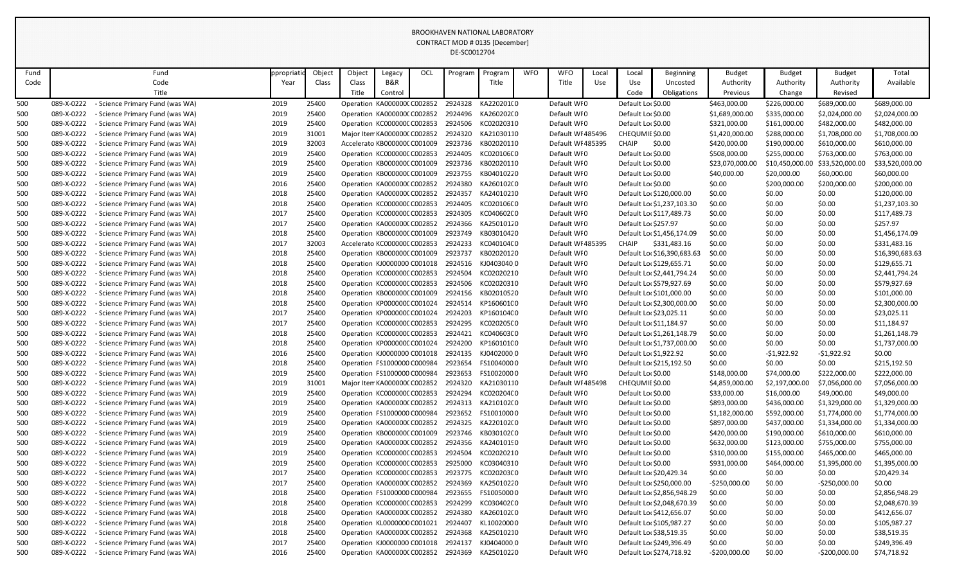| Fund |            | Fund                            | ppropriat | Object | Object | Legacy                              | OCL | Program | Program             | <b>WFO</b> | <b>WFO</b>        | Local | Local                  | <b>Beginning</b>            | <b>Budget</b>   | <b>Budget</b>  | <b>Budget</b>   | Total           |
|------|------------|---------------------------------|-----------|--------|--------|-------------------------------------|-----|---------|---------------------|------------|-------------------|-------|------------------------|-----------------------------|-----------------|----------------|-----------------|-----------------|
| Code |            | Code                            | Year      | Class  | Class  | B&R                                 |     |         | Title               |            | Title             | Use   | Use                    | Uncosted                    | Authority       | Authority      | Authority       | Available       |
|      |            | Title                           |           |        | Title  | Control                             |     |         |                     |            |                   |       | Code                   | Obligations                 | Previous        | Change         | Revised         |                 |
| 500  | 089-X-0222 | - Science Primary Fund (was WA) | 2019      | 25400  |        | Operation KA0000000 C002852         |     | 2924328 | KA220201(0          |            | Default WI0       |       | Default Loc \$0.00     |                             | \$463,000.00    | \$226,000.00   | \$689,000.00    | \$689,000.00    |
| 500  | 089-X-0222 | - Science Primary Fund (was WA) | 2019      | 25400  |        | Operation KA000000(C002852          |     |         | 2924496 KA260202(0  |            | Default WI0       |       | Default Loc \$0.00     |                             | \$1,689,000.00  | \$335,000.00   | \$2,024,000.00  | \$2,024,000.00  |
| 500  | 089-X-0222 | - Science Primary Fund (was WA) | 2019      | 25400  |        | Operation KC000000CC002853          |     | 2924506 | KC02020310          |            | Default WI0       |       | Default Loc \$0.00     |                             | \$321,000.00    | \$161,000.00   | \$482,000.00    | \$482,000.00    |
| 500  | 089-X-0222 | - Science Primary Fund (was WA) | 2019      | 31001  |        | Major Item KA0000000 C002852        |     |         | 2924320 KA21030110  |            | Default WI 485496 |       | CHEQUMIE \$0.00        |                             | \$1,420,000.00  | \$288,000.00   | \$1,708,000.00  | \$1,708,000.00  |
| 500  | 089-X-0222 | - Science Primary Fund (was WA) | 2019      | 32003  |        | Accelerato KB000000C C001009        |     | 2923736 | KB02020110          |            | Default WI 485395 |       | <b>CHAIP</b>           | \$0.00                      | \$420,000.00    | \$190,000.00   | \$610,000.00    | \$610,000.00    |
| 500  | 089-X-0222 | - Science Primary Fund (was WA) | 2019      | 25400  |        | Operation KC000000CC002853          |     | 2924405 | KC020106C0          |            | Default WI0       |       | Default Lor \$0.00     |                             | \$508,000.00    | \$255,000.00   | \$763,000.00    | \$763,000.00    |
| 500  | 089-X-0222 | - Science Primary Fund (was WA) | 2019      | 25400  |        | Operation KB000000C C001009         |     | 2923736 | KB02020110          |            | Default WI0       |       | Default Loc \$0.00     |                             | \$23,070,000.00 | \$10,450,000.0 | \$33,520,000.00 | \$33,520,000.00 |
| 500  | 089-X-0222 | - Science Primary Fund (was WA) | 2019      | 25400  |        | Operation KB000000C C001009         |     | 2923755 | KB04010220          |            | Default WI0       |       | Default Lor \$0.00     |                             | \$40,000.00     | \$20,000.00    | \$60,000.00     | \$60,000.00     |
| 500  | 089-X-0222 | - Science Primary Fund (was WA) | 2016      | 25400  |        | Operation KA0000000 C002852         |     | 2924380 | KA260102(0          |            | Default WI0       |       | Default Loc \$0.00     |                             | \$0.00          | \$200,000.00   | \$200,000.00    | \$200,000.00    |
| 500  | 089-X-0222 | - Science Primary Fund (was WA) | 2018      | 25400  |        | Operation KA000000(C002852          |     | 2924357 | KA24010210          |            | Default WI0       |       |                        | Default Lor \$120,000.00    | \$0.00          | \$0.00         | \$0.00          | \$120,000.00    |
| 500  | 089-X-0222 | Science Primary Fund (was WA)   | 2018      | 25400  |        | Operation KC000000CC002853          |     | 2924405 | KC020106C0          |            | Default WI0       |       |                        | Default Loc \$1,237,103.30  | \$0.00          | \$0.00         | \$0.00          | \$1,237,103.30  |
| 500  | 089-X-0222 | - Science Primary Fund (was WA) | 2017      | 25400  |        | Operation KC000000C C002853         |     | 2924305 | KC040602C0          |            | Default WI0       |       |                        | Default Loc \$117,489.73    | \$0.00          | \$0.00         | \$0.00          | \$117,489.73    |
| 500  | 089-X-0222 | - Science Primary Fund (was WA) | 2017      | 25400  |        | Operation KA000000(C002852          |     | 2924366 | KA25010120          |            | Default WI0       |       | Default Loc \$257.97   |                             | \$0.00          | \$0.00         | \$0.00          | \$257.97        |
| 500  | 089-X-0222 | - Science Primary Fund (was WA) | 2018      | 25400  |        | Operation KB000000CC001009          |     | 2923749 | KB03010420          |            | Default WI0       |       |                        | Default Loc \$1,456,174.09  | \$0.00          | \$0.00         | \$0.00          | \$1,456,174.09  |
| 500  | 089-X-0222 | - Science Primary Fund (was WA) | 2017      | 32003  |        | Accelerato KC000000C C002853        |     | 2924233 | KC040104C0          |            | Default WI 485395 |       | <b>CHAIP</b>           | \$331,483.16                | \$0.00          | \$0.00         | \$0.00          | \$331,483.16    |
| 500  | 089-X-0222 | - Science Primary Fund (was WA) | 2018      | 25400  |        | Operation KB000000CC001009          |     | 2923737 | KB02020120          |            | Default WI0       |       |                        | Default Loc \$16,390,683.63 | \$0.00          | \$0.00         | \$0.00          | \$16,390,683.63 |
| 500  | 089-X-0222 | - Science Primary Fund (was WA) | 2018      | 25400  |        | Operation KJ0000000 C001018         |     |         | 2924516 KJ04030400  |            | Default WI0       |       |                        | Default Loc \$129,655.71    | \$0.00          | \$0.00         | \$0.00          | \$129,655.71    |
| 500  | 089-X-0222 | - Science Primary Fund (was WA) | 2018      | 25400  |        | Operation KC000000CC002853          |     | 2924504 | KC02020210          |            | Default WI0       |       |                        | Default Loc \$2,441,794.24  | \$0.00          | \$0.00         | \$0.00          | \$2,441,794.24  |
| 500  | 089-X-0222 | - Science Primary Fund (was WA) | 2018      | 25400  |        | Operation KC000000C C002853         |     | 2924506 | KC02020310          |            | Default WI0       |       |                        | Default Loc \$579,927.69    | \$0.00          | \$0.00         | \$0.00          | \$579,927.69    |
| 500  | 089-X-0222 | - Science Primary Fund (was WA) | 2018      | 25400  |        | Operation KB000000C C001009         |     |         | 2924156 KB02010520  |            | Default WI0       |       |                        | Default Lor \$101,000.00    | \$0.00          | \$0.00         | \$0.00          | \$101,000.00    |
| 500  | 089-X-0222 | - Science Primary Fund (was WA) | 2018      | 25400  |        | Operation KP000000C C001024         |     |         | 2924514 KP160601C0  |            | Default WI0       |       |                        | Default Lor \$2,300,000.00  | \$0.00          | \$0.00         | \$0.00          | \$2,300,000.00  |
| 500  | 089-X-0222 | - Science Primary Fund (was WA) | 2017      | 25400  |        | Operation KP000000CC001024          |     | 2924203 | KP160104C0          |            | Default WI0       |       |                        | Default Loc \$23,025.11     | \$0.00          | \$0.00         | \$0.00          | \$23,025.11     |
| 500  | 089-X-0222 | - Science Primary Fund (was WA) | 2017      | 25400  |        | Operation KC000000CC002853          |     | 2924295 | KC020205C0          |            | Default WI0       |       |                        | Default Lo: \$11,184.97     | \$0.00          | \$0.00         | \$0.00          | \$11,184.97     |
| 500  | 089-X-0222 | - Science Primary Fund (was WA) | 2018      | 25400  |        | Operation KC000000C C002853         |     | 2924421 | KC040603C0          |            | Default WI0       |       |                        | Default Loc \$1,261,148.79  | \$0.00          | \$0.00         | \$0.00          | \$1,261,148.79  |
| 500  | 089-X-0222 | - Science Primary Fund (was WA) | 2018      | 25400  |        | Operation KP000000C C001024         |     | 2924200 | KP160101C0          |            | Default WI0       |       |                        | Default Loc \$1,737,000.00  | \$0.00          | \$0.00         | \$0.00          | \$1,737,000.00  |
| 500  | 089-X-0222 | - Science Primary Fund (was WA) | 2016      | 25400  |        | Operation KJ0000000 C001018         |     |         | 2924135 KJ0402000 0 |            | Default WI0       |       | Default Lor \$1,922.92 |                             | \$0.00          | $-51,922.92$   | $-51,922.92$    | \$0.00          |
| 500  | 089-X-0222 | - Science Primary Fund (was WA) | 2018      | 25400  |        | Operation FS1000000 C000984 2923654 |     |         | FS10040000          |            | Default WI0       |       |                        | Default Loc \$215,192.50    | \$0.00          | \$0.00         | \$0.00          | \$215,192.50    |
| 500  | 089-X-0222 | - Science Primary Fund (was WA) | 2019      | 25400  |        | Operation FS1000000 C000984         |     |         | 2923653 FS10020000  |            | Default WI0       |       | Default Loc \$0.00     |                             | \$148,000.00    | \$74,000.00    | \$222,000.00    | \$222,000.00    |
| 500  | 089-X-0222 | - Science Primary Fund (was WA) | 2019      | 31001  |        | Major Item KA0000000 C002852        |     | 2924320 | KA21030110          |            | Default WI 485498 |       | CHEQUMIE \$0.00        |                             | \$4,859,000.00  | \$2,197,000.00 | \$7,056,000.00  | \$7,056,000.00  |
| 500  | 089-X-0222 | - Science Primary Fund (was WA) | 2019      | 25400  |        | Operation KC000000CC002853          |     | 2924294 | KC020204C0          |            | Default WI0       |       | Default Loc \$0.00     |                             | \$33,000.00     | \$16,000.00    | \$49,000.00     | \$49,000.00     |
| 500  | 089-X-0222 | - Science Primary Fund (was WA) | 2019      | 25400  |        | Operation KA0000000 C002852         |     | 2924313 | KA210102(0          |            | Default WI0       |       | Default Loc \$0.00     |                             | \$893,000.00    | \$436,000.00   | \$1,329,000.00  | \$1,329,000.00  |
| 500  | 089-X-0222 | - Science Primary Fund (was WA) | 2019      | 25400  |        | Operation FS1000000 C000984         |     | 2923652 | FS10010000          |            | Default WI0       |       | Default Lor \$0.00     |                             | \$1,182,000.00  | \$592,000.00   | \$1,774,000.00  | \$1,774,000.00  |
| 500  | 089-X-0222 | - Science Primary Fund (was WA) | 2019      | 25400  |        | Operation KA0000000 C002852         |     |         | 2924325 KA220102(0  |            | Default WI0       |       | Default Loc \$0.00     |                             | \$897,000.00    | \$437,000.00   | \$1,334,000.00  | \$1,334,000.00  |
| 500  | 089-X-0222 | - Science Primary Fund (was WA) | 2019      | 25400  |        | Operation KB000000C C001009         |     | 2923746 | KB030102C0          |            | Default WI0       |       | Default Loc \$0.00     |                             | \$420,000.00    | \$190,000.00   | \$610,000.00    | \$610,000.00    |
| 500  | 089-X-0222 | Science Primary Fund (was WA)   | 2019      | 25400  |        | Operation KA0000000 C002852         |     |         | 2924356 KA24010190  |            | Default WI0       |       | Default Lor \$0.00     |                             | \$632,000.00    | \$123,000.00   | \$755,000.00    | \$755,000.00    |
| 500  | 089-X-0222 | - Science Primary Fund (was WA) | 2019      | 25400  |        | Operation KC000000C C002853         |     | 2924504 | KC02020210          |            | Default WI0       |       | Default Loc \$0.00     |                             | \$310,000.00    | \$155,000.00   | \$465,000.00    | \$465,000.00    |
| 500  | 089-X-0222 | - Science Primary Fund (was WA) | 2019      | 25400  |        | Operation KC000000CC002853          |     | 2925000 | KC03040310          |            | Default WI0       |       | Default Loc \$0.00     |                             | \$931,000.00    | \$464,000.00   | \$1,395,000.00  | \$1,395,000.00  |
| 500  | 089-X-0222 | Science Primary Fund (was WA)   | 2017      | 25400  |        | Operation KC000000CC002853          |     |         | 2923775 KC020203C0  |            | Default WI0       |       |                        | Default Loc \$20,429.34     | \$0.00          | \$0.00         | \$0.00          | \$20,429.34     |
| 500  | 089-X-0222 | - Science Primary Fund (was WA) | 2017      | 25400  |        | Operation KA000000(C002852          |     | 2924369 | KA25010220          |            | Default WI0       |       |                        | Default Lor \$250,000.00    | $-$250,000.00$  | \$0.00         | $-$250,000.00$  | \$0.00          |
| 500  | 089-X-0222 | - Science Primary Fund (was WA) | 2018      | 25400  |        | Operation FS1000000 C000984         |     | 2923655 | FS10050000          |            | Default WI0       |       |                        | Default Loc \$2,856,948.29  | \$0.00          | \$0.00         | \$0.00          | \$2,856,948.29  |
| 500  | 089-X-0222 | - Science Primary Fund (was WA) | 2018      | 25400  |        | Operation KC000000C C002853         |     | 2924299 | KC030402C0          |            | Default WI0       |       |                        | Default Loc \$2,048,670.39  | \$0.00          | \$0.00         | \$0.00          | \$2,048,670.39  |
| 500  | 089-X-0222 | - Science Primary Fund (was WA) | 2018      | 25400  |        | Operation KA0000000 C002852         |     | 2924380 | KA260102(0          |            | Default WI0       |       |                        | Default Loc \$412,656.07    | \$0.00          | \$0.00         | \$0.00          | \$412,656.07    |
| 500  | 089-X-0222 | - Science Primary Fund (was WA) | 2018      | 25400  |        | Operation KL0000000 C001021         |     | 2924407 | KL10020000          |            | Default WI0       |       |                        | Default Loc \$105,987.27    | \$0.00          | \$0.00         | \$0.00          | \$105,987.27    |
| 500  | 089-X-0222 | - Science Primary Fund (was WA) | 2018      | 25400  |        | Operation KA0000000 C002852         |     | 2924368 | KA25010210          |            | Default WI0       |       |                        | Default Loc \$38,519.35     | \$0.00          | \$0.00         | \$0.00          | \$38,519.35     |
| 500  | 089-X-0222 | - Science Primary Fund (was WA) | 2017      | 25400  |        | Operation KJ0000000 C001018         |     | 2924137 | KJ040400000         |            | Default WI0       |       |                        | Default Loc \$249,396.49    | \$0.00          | \$0.00         | \$0.00          | \$249,396.49    |
| 500  | 089-X-0222 | - Science Primary Fund (was WA) | 2016      | 25400  |        | Operation KA0000000 C002852         |     | 2924369 | KA25010220          |            | Default WI0       |       |                        | Default Loc \$274,718.92    | $-$200,000.00$  | \$0.00         | $-$200,000.00$  | \$74,718.92     |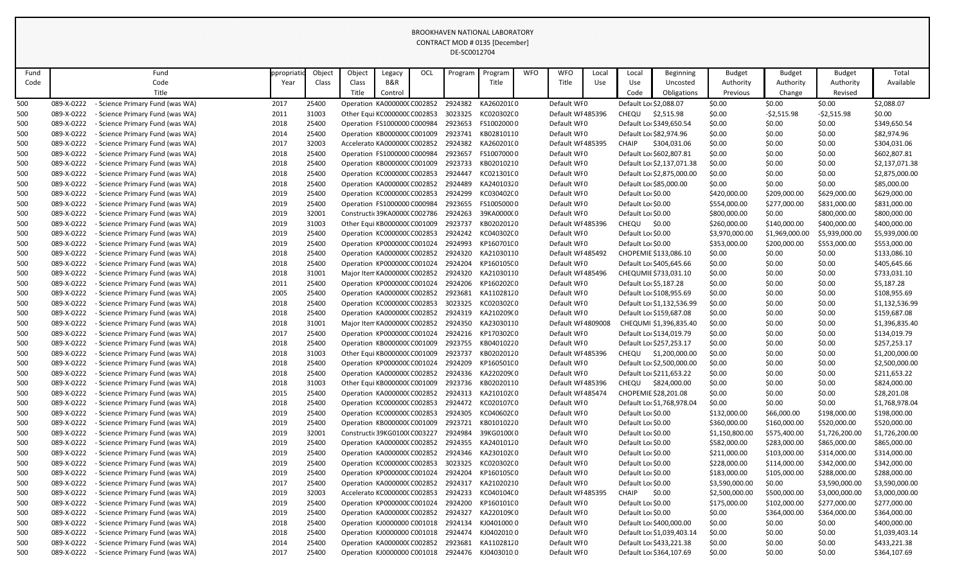| Fund |            | Fund                                 | ppropriati | Object | Object                        | Legacy  | OCL | Program | Program                                       | <b>WFO</b> | <b>WFO</b>         | Local | Local              | <b>Beginning</b>           | <b>Budget</b>  | <b>Budget</b>  | <b>Budget</b>  | Total          |
|------|------------|--------------------------------------|------------|--------|-------------------------------|---------|-----|---------|-----------------------------------------------|------------|--------------------|-------|--------------------|----------------------------|----------------|----------------|----------------|----------------|
| Code |            | Code                                 | Year       | Class  | Class                         | B&R     |     |         | Title                                         |            | Title              | Use   | Use                | Uncosted                   | Authority      | Authority      | Authority      | Available      |
|      |            | Title                                |            |        | Title                         | Control |     |         |                                               |            |                    |       | Code               | <b>Obligations</b>         | Previous       | Change         | Revised        |                |
| 500  | 089-X-0222 | - Science Primary Fund (was WA)      | 2017       | 25400  | Operation KA000000(C002852    |         |     | 2924382 | KA260201(0                                    |            | Default WI0        |       |                    | Default Loc \$2,088.07     | \$0.00         | \$0.00         | \$0.00         | \$2,088.07     |
| 500  | 089-X-0222 | - Science Primary Fund (was WA)      | 2011       | 31003  | Other Equi KC000000C C002853  |         |     |         | 3023325 KC020302C0                            |            | Default WI 485396  |       | <b>CHEQU</b>       | \$2,515.98                 | \$0.00         | $-52,515.98$   | $-52,515.98$   | \$0.00         |
| 500  | 089-X-0222 | - Science Primary Fund (was WA)      | 2018       | 25400  | Operation FS1000000 C000984   |         |     | 2923653 | FS10020000                                    |            | Default WI0        |       |                    | Default Loc \$349,650.54   | \$0.00         | \$0.00         | \$0.00         | \$349,650.54   |
| 500  | 089-X-0222 | <b>Science Primary Fund (was WA)</b> | 2014       | 25400  | Operation KB000000C C001009   |         |     |         | 2923741 KB02810110                            |            | Default WI0        |       |                    | Default Lo: \$82,974.96    | \$0.00         | \$0.00         | \$0.00         | \$82,974.96    |
| 500  | 089-X-0222 | - Science Primary Fund (was WA)      | 2017       | 32003  | Accelerato KA0000000 C002852  |         |     | 2924382 | KA260201(0                                    |            | Default WI 485395  |       | <b>CHAIP</b>       | \$304,031.06               | \$0.00         | \$0.00         | \$0.00         | \$304,031.06   |
| 500  | 089-X-0222 | <b>Science Primary Fund (was WA)</b> | 2018       | 25400  | Operation FS1000000 C000984   |         |     | 2923657 | FS10070000                                    |            | Default WI0        |       |                    | Default Lor \$602,807.81   | \$0.00         | \$0.00         | \$0.00         | \$602,807.81   |
| 500  | 089-X-0222 | - Science Primary Fund (was WA)      | 2018       | 25400  | Operation KB000000C C001009   |         |     | 2923733 | KB02010210                                    |            | Default WI0        |       |                    | Default Loc \$2,137,071.38 | \$0.00         | \$0.00         | \$0.00         | \$2,137,071.38 |
| 500  | 089-X-0222 | - Science Primary Fund (was WA)      | 2018       | 25400  | Operation KC000000CC002853    |         |     | 2924447 | KC021301(0                                    |            | Default WI0        |       |                    | Default Loc \$2,875,000.00 | \$0.00         | \$0.00         | \$0.00         | \$2,875,000.00 |
| 500  | 089-X-0222 | <b>Science Primary Fund (was WA)</b> | 2018       | 25400  | Operation KA000000(C002852    |         |     | 2924489 | KA24010320                                    |            | Default WI0        |       |                    | Default Lor \$85,000.00    | \$0.00         | \$0.00         | \$0.00         | \$85,000.00    |
| 500  | 089-X-0222 | - Science Primary Fund (was WA)      | 2019       | 25400  | Operation KC000000CC002853    |         |     | 2924299 | KC030402C0                                    |            | Default WI0        |       | Default Loc \$0.00 |                            | \$420,000.00   | \$209,000.00   | \$629,000.00   | \$629,000.00   |
| 500  | 089-X-0222 | <b>Science Primary Fund (was WA)</b> | 2019       | 25400  | Operation FS1000000 C000984   |         |     | 2923655 | FS10050000                                    |            | Default WI0        |       | Default Loc \$0.00 |                            | \$554,000.00   | \$277,000.00   | \$831,000.00   | \$831,000.00   |
| 500  | 089-X-0222 | - Science Primary Fund (was WA)      | 2019       | 32001  | Constructic 39KA00000 C002786 |         |     | 2924263 | 39KA000000                                    |            | Default WI0        |       | Default Loc \$0.00 |                            | \$800,000.00   | \$0.00         | \$800,000.00   | \$800,000.00   |
| 500  | 089-X-0222 | - Science Primary Fund (was WA)      | 2019       | 31003  | Other Equi KB000000C C001009  |         |     | 2923737 | KB02020120                                    |            | Default WI 485396  |       | <b>CHEQU</b>       | \$0.00                     | \$260,000.00   | \$140,000.00   | \$400,000.00   | \$400,000.00   |
| 500  | 089-X-0222 | - Science Primary Fund (was WA)      | 2019       | 25400  | Operation KC000000CC002853    |         |     |         | 2924242 KC040302C0                            |            | Default WI0        |       | Default Loc \$0.00 |                            | \$3,970,000.00 | \$1,969,000.00 | \$5,939,000.00 | \$5,939,000.00 |
| 500  | 089-X-0222 | - Science Primary Fund (was WA)      | 2019       | 25400  | Operation KP000000C C001024   |         |     | 2924993 | KP160701C0                                    |            | Default WI0        |       | Default Lor \$0.00 |                            | \$353,000.00   | \$200,000.00   | \$553,000.00   | \$553,000.00   |
| 500  | 089-X-0222 | <b>Science Primary Fund (was WA)</b> | 2018       | 25400  | Operation KA0000000 C002852   |         |     |         | 2924320 KA21030110                            |            | Default WI 485492  |       |                    | CHOPEMIE \$133,086.10      | \$0.00         | \$0.00         | \$0.00         | \$133,086.10   |
| 500  | 089-X-0222 | - Science Primary Fund (was WA)      | 2018       | 25400  | Operation KP000000CC001024    |         |     | 2924204 | KP160105C0                                    |            | Default WI0        |       |                    | Default Loc \$405,645.66   | \$0.00         | \$0.00         | \$0.00         | \$405,645.66   |
| 500  | 089-X-0222 | <b>Science Primary Fund (was WA)</b> | 2018       | 31001  | Major Item KA0000000 C002852  |         |     |         | 2924320 KA21030110                            |            | Default WI 485496  |       |                    | CHEQUMIE \$733,031.10      | \$0.00         | \$0.00         | \$0.00         | \$733,031.10   |
| 500  | 089-X-0222 | - Science Primary Fund (was WA)      | 2011       | 25400  | Operation KP000000C C001024   |         |     | 2924206 | KP160202C0                                    |            | Default WI0        |       |                    | Default Loc \$5,187.28     | \$0.00         | \$0.00         | \$0.00         | \$5,187.28     |
| 500  | 089-X-0222 | - Science Primary Fund (was WA)      | 2005       | 25400  | Operation KA0000000 C002852   |         |     | 2923681 | KA11028120                                    |            | Default WI0        |       |                    | Default Loc \$108,955.69   | \$0.00         | \$0.00         | \$0.00         | \$108,955.69   |
| 500  | 089-X-0222 | <b>Science Primary Fund (was WA)</b> | 2018       | 25400  | Operation KC000000CC002853    |         |     |         | 3023325 KC020302C0                            |            | Default WI0        |       |                    | Default Loc \$1,132,536.99 | \$0.00         | \$0.00         | \$0.00         | \$1,132,536.99 |
| 500  | 089-X-0222 | - Science Primary Fund (was WA)      | 2018       | 25400  | Operation KA0000000 C002852   |         |     | 2924319 | KA210209(0                                    |            | Default WI0        |       |                    | Default Loc \$159,687.08   | \$0.00         | \$0.00         | \$0.00         | \$159,687.08   |
| 500  | 089-X-0222 | <b>Science Primary Fund (was WA)</b> | 2018       | 31001  | Major Item KA0000000 C002852  |         |     |         | 2924350 KA23030110                            |            | Default WI 4809008 |       |                    | CHEQUMI \$1,396,835.40     | \$0.00         | \$0.00         | \$0.00         | \$1,396,835.40 |
| 500  | 089-X-0222 | - Science Primary Fund (was WA)      | 2017       | 25400  | Operation KP000000C C001024   |         |     | 2924216 | KP170302C0                                    |            | Default WI0        |       |                    | Default Loc \$134,019.79   | \$0.00         | \$0.00         | \$0.00         | \$134,019.79   |
| 500  | 089-X-0222 | - Science Primary Fund (was WA)      | 2018       | 25400  | Operation KB000000C C001009   |         |     | 2923755 | KB04010220                                    |            | Default WI0        |       |                    | Default Loc \$257,253.17   | \$0.00         | \$0.00         | \$0.00         | \$257,253.17   |
| 500  | 089-X-0222 | - Science Primary Fund (was WA)      | 2018       | 31003  | Other Equi KB000000C C001009  |         |     | 2923737 | KB02020120                                    |            | Default WI 485396  |       | CHEQU              | \$1,200,000.00             | \$0.00         | \$0.00         | \$0.00         | \$1,200,000.00 |
| 500  | 089-X-0222 | - Science Primary Fund (was WA)      | 2018       | 25400  |                               |         |     |         | Operation KP000000CC001024 2924209 KP160501C0 |            | Default WI0        |       |                    | Default Loc \$2,500,000.00 | \$0.00         | \$0.00         | \$0.00         | \$2,500,000.00 |
| 500  | 089-X-0222 | Science Primary Fund (was WA)        | 2018       | 25400  | Operation KA0000000 C002852   |         |     |         | 2924336 KA220209(0                            |            | Default WI0        |       |                    | Default Loc \$211,653.22   | \$0.00         | \$0.00         | \$0.00         | \$211,653.22   |
| 500  | 089-X-0222 | <b>Science Primary Fund (was WA)</b> | 2018       | 31003  | Other Equi KB000000C C001009  |         |     | 2923736 | KB02020110                                    |            | Default WI 485396  |       | CHEQU              | \$824,000.00               | \$0.00         | \$0.00         | \$0.00         | \$824,000.00   |
| 500  | 089-X-0222 | - Science Primary Fund (was WA)      | 2015       | 25400  | Operation KA000000(C002852    |         |     |         | 2924313 KA210102(0                            |            | Default WI 485474  |       |                    | CHOPEMIE \$28,201.08       | \$0.00         | \$0.00         | \$0.00         | \$28,201.08    |
| 500  | 089-X-0222 | - Science Primary Fund (was WA)      | 2018       | 25400  | Operation KC000000CC002853    |         |     |         | 2924472 KC02010700                            |            | Default WI0        |       |                    | Default Loc \$1,768,978.04 | \$0.00         | \$0.00         | \$0.00         | \$1,768,978.04 |
| 500  | 089-X-0222 | - Science Primary Fund (was WA)      | 2019       | 25400  | Operation KC000000C C002853   |         |     |         | 2924305 KC040602C0                            |            | Default WI0        |       | Default Lor \$0.00 |                            | \$132,000.00   | \$66,000.00    | \$198,000.00   | \$198,000.00   |
| 500  | 089-X-0222 | <b>Science Primary Fund (was WA)</b> | 2019       | 25400  | Operation KB000000CC001009    |         |     |         | 2923721 KB01010220                            |            | Default WI0        |       | Default Lor \$0.00 |                            | \$360,000.00   | \$160,000.00   | \$520,000.00   | \$520,000.00   |
| 500  | 089-X-0222 | - Science Primary Fund (was WA)      | 2019       | 32001  | Constructic 39KG01000 C003227 |         |     | 2924984 | 39KG0100(0                                    |            | Default WI0        |       | Default Lor \$0.00 |                            | \$1,150,800.00 | \$575,400.00   | \$1,726,200.00 | \$1,726,200.00 |
| 500  | 089-X-0222 | <b>Science Primary Fund (was WA)</b> | 2019       | 25400  | Operation KA000000(C002852    |         |     |         | 2924355 KA24010120                            |            | Default WI0        |       | Default Lor \$0.00 |                            | \$582,000.00   | \$283,000.00   | \$865,000.00   | \$865,000.00   |
| 500  | 089-X-0222 | - Science Primary Fund (was WA)      | 2019       | 25400  | Operation KA0000000 C002852   |         |     | 2924346 | KA230102(0                                    |            | Default WI0        |       | Default Lor \$0.00 |                            | \$211,000.00   | \$103,000.00   | \$314,000.00   | \$314,000.00   |
| 500  | 089-X-0222 | - Science Primary Fund (was WA)      | 2019       | 25400  | Operation KC000000C C002853   |         |     | 3023325 | KC020302C0                                    |            | Default WI0        |       | Default Lor \$0.00 |                            | \$228,000.00   | \$114,000.00   | \$342,000.00   | \$342,000.00   |
| 500  | 089-X-0222 | <b>Science Primary Fund (was WA)</b> | 2019       | 25400  | Operation KP000000CC001024    |         |     | 2924204 | KP160105C0                                    |            | Default WI0        |       | Default Lor \$0.00 |                            | \$183,000.00   | \$105,000.00   | \$288,000.00   | \$288,000.00   |
| 500  | 089-X-0222 | - Science Primary Fund (was WA)      | 2017       | 25400  | Operation KA0000000 C002852   |         |     | 2924317 | KA21020210                                    |            | Default WI0        |       | Default Lor \$0.00 |                            | \$3,590,000.00 | \$0.00         | \$3,590,000.00 | \$3,590,000.00 |
| 500  | 089-X-0222 | <b>Science Primary Fund (was WA)</b> | 2019       | 32003  | Accelerato KC000000CC002853   |         |     | 2924233 | KC040104C0                                    |            | Default WI 485395  |       | <b>CHAIP</b>       | \$0.00                     | \$2,500,000.00 | \$500,000.00   | \$3,000,000.00 | \$3,000,000.00 |
| 500  | 089-X-0222 | Science Primary Fund (was WA)        | 2019       | 25400  | Operation KP000000CC001024    |         |     | 2924200 | KP160101C0                                    |            | Default WI0        |       | Default Lor \$0.00 |                            | \$175,000.00   | \$102,000.00   | \$277,000.00   | \$277,000.00   |
| 500  | 089-X-0222 | <b>Science Primary Fund (was WA)</b> | 2019       | 25400  | Operation KA0000000 C002852   |         |     | 2924327 | KA220109(0                                    |            | Default WI0        |       | Default Lor \$0.00 |                            | \$0.00         | \$364,000.00   | \$364,000.00   | \$364,000.00   |
| 500  | 089-X-0222 | - Science Primary Fund (was WA)      | 2018       | 25400  | Operation KJ0000000 C001018   |         |     | 2924134 | KJ04010000                                    |            | Default WI0        |       |                    | Default Lor \$400,000.00   | \$0.00         | \$0.00         | \$0.00         | \$400,000.00   |
| 500  | 089-X-0222 | - Science Primary Fund (was WA)      | 2018       | 25400  | Operation KJ0000000 C001018   |         |     | 2924474 | KJ040201000                                   |            | Default WI0        |       |                    | Default Loc \$1,039,403.14 | \$0.00         | \$0.00         | \$0.00         | \$1,039,403.14 |
| 500  | 089-X-0222 | Science Primary Fund (was WA)        | 2014       | 25400  | Operation KA000000(C002852    |         |     |         | 2923681 KA11028120                            |            | Default WI0        |       |                    | Default Loc \$433,221.38   | \$0.00         | \$0.00         | \$0.00         | \$433,221.38   |
| 500  | 089-X-0222 | - Science Primary Fund (was WA)      | 2017       | 25400  | Operation KJ0000000 C001018   |         |     |         | 2924476 KJ04030100                            |            | Default WI0        |       |                    | Default Loc \$364,107.69   | \$0.00         | \$0.00         | \$0.00         | \$364,107.69   |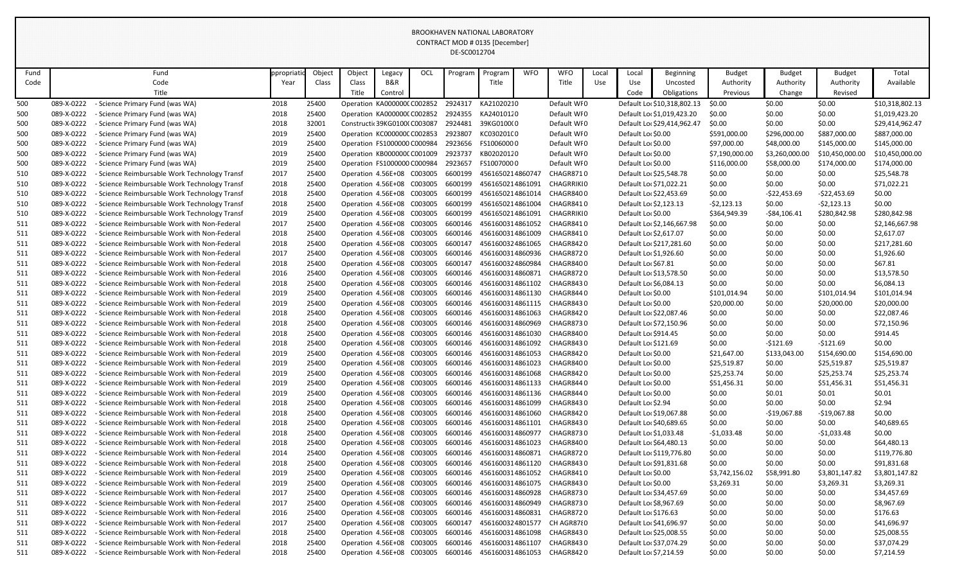|      |            |                                                    |           |        |                             |                               |         | UL-JUUJIZ7U <del>4</del> |                  |            |                                    |       |                        |                             |                |                 |                 |                 |
|------|------------|----------------------------------------------------|-----------|--------|-----------------------------|-------------------------------|---------|--------------------------|------------------|------------|------------------------------------|-------|------------------------|-----------------------------|----------------|-----------------|-----------------|-----------------|
| Fund |            | Fund                                               | ppropriat | Object | Object                      | Legacy                        | OCL     | Program                  | Program          | <b>WFO</b> | <b>WFO</b>                         | Local | Local                  | Beginning                   | <b>Budget</b>  | <b>Budget</b>   | <b>Budget</b>   | Total           |
| Code |            | Code                                               | Year      | Class  | Class                       | B&R                           |         |                          | Title            |            | Title                              | Use   | Use                    | Uncosted                    | Authority      | Authority       | Authority       | Available       |
|      |            | Title                                              |           |        | Title                       | Control                       |         |                          |                  |            |                                    |       | Code                   | Obligations                 | Previous       | Change          | Revised         |                 |
| 500  | 089-X-0222 | <b>Science Primary Fund (was WA)</b>               | 2018      | 25400  |                             | Operation KA0000000 C002852   |         | 2924317                  | KA21020210       |            | Default WI0                        |       |                        | Default Loc \$10,318,802.13 | \$0.00         | \$0.00          | \$0.00          | \$10,318,802.13 |
| 500  | 089-X-0222 | - Science Primary Fund (was WA)                    | 2018      | 25400  | Operation KA0000000 C002852 |                               |         | 2924355                  | KA24010120       |            | Default WI0                        |       |                        | Default Loc \$1,019,423.20  | \$0.00         | \$0.00          | \$0.00          | \$1,019,423.20  |
| 500  | 089-X-0222 | - Science Primary Fund (was WA)                    | 2018      | 32001  |                             | Constructic 39KG01000 C003087 |         | 2924481                  | 39KG0100(0       |            | Default WI0                        |       |                        | Default Loc \$29,414,962.47 | \$0.00         | \$0.00          | \$0.00          | \$29,414,962.47 |
| 500  | 089-X-0222 | - Science Primary Fund (was WA)                    | 2019      | 25400  | Operation KC000000CC002853  |                               |         | 2923807                  | KC030201C0       |            | Default WI0                        |       | Default Loc \$0.00     |                             | \$591,000.00   | \$296,000.00    | \$887,000.00    | \$887,000.00    |
| 500  | 089-X-0222 | <b>Science Primary Fund (was WA)</b>               | 2019      | 25400  |                             | Operation FS1000000 C000984   |         | 2923656                  | FS10060000       |            | Default WI0                        |       | Default Lor \$0.00     |                             | \$97,000.00    | \$48,000.00     | \$145,000.00    | \$145,000.00    |
| 500  | 089-X-0222 | <b>Science Primary Fund (was WA)</b>               | 2019      | 25400  | Operation KB000000C C001009 |                               |         | 2923737                  | KB02020120       |            | Default WI0                        |       | Default Loc \$0.00     |                             | \$7,190,000.00 | \$3,260,000.00  | \$10,450,000.00 | \$10,450,000.00 |
| 500  | 089-X-0222 | - Science Primary Fund (was WA)                    | 2019      | 25400  | Operation FS1000000 C000984 |                               |         | 2923657                  | FS10070000       |            | Default WI0                        |       | Default Loc \$0.00     |                             | \$116,000.00   | \$58,000.00     | \$174,000.00    | \$174,000.00    |
| 510  | 089-X-0222 | <b>Science Reimbursable Work Technology Transf</b> | 2017      | 25400  | Operation 4.56E+08 C003005  |                               |         | 6600199                  | 4561650214860747 |            | CHAGR8710                          |       |                        | Default Loc \$25,548.78     | \$0.00         | \$0.00          | \$0.00          | \$25,548.78     |
| 510  | 089-X-0222 | <b>Science Reimbursable Work Technology Transf</b> | 2018      | 25400  | Operation 4.56E+08 C003005  |                               |         | 6600199                  | 4561650214861091 |            | CHAGRRIKI 0                        |       |                        | Default Lor \$71,022.21     | \$0.00         | \$0.00          | \$0.00          | \$71,022.21     |
| 510  | 089-X-0222 | Science Reimbursable Work Technology Transf        | 2018      | 25400  |                             | Operation 4.56E+08 C003005    |         | 6600199                  | 4561650214861014 |            | CHAGR8400                          |       |                        | Default Loc \$22,453.69     | \$0.00         | $-522,453.69$   | $-522,453.69$   | \$0.00          |
| 510  | 089-X-0222 | <b>Science Reimbursable Work Technology Transf</b> | 2018      | 25400  | Operation 4.56E+08 C003005  |                               |         | 6600199                  | 4561650214861004 |            | CHAGR8410                          |       | Default Loc \$2,123.13 |                             | $-52,123.13$   | \$0.00          | $-52,123.13$    | \$0.00          |
| 510  | 089-X-0222 | - Science Reimbursable Work Technology Transf      | 2019      | 25400  | Operation 4.56E+08 C003005  |                               |         | 6600199                  | 4561650214861091 |            | CHAGRRIKI 0                        |       | Default Loc \$0.00     |                             | \$364,949.39   | $-$ \$84,106.41 | \$280,842.98    | \$280,842.98    |
| 511  | 089-X-0222 | Science Reimbursable Work with Non-Federal         | 2017      | 25400  | Operation 4.56E+08 C003005  |                               |         | 6600146                  | 4561600314861052 |            | CHAGR8410                          |       |                        | Default Loc \$2,146,667.98  | \$0.00         | \$0.00          | \$0.00          | \$2,146,667.98  |
| 511  | 089-X-0222 | <b>Science Reimbursable Work with Non-Federal</b>  | 2018      | 25400  |                             | Operation 4.56E+08 C003005    |         | 6600146                  | 4561600314861009 |            | CHAGR8410                          |       | Default Loc \$2,617.07 |                             | \$0.00         | \$0.00          | \$0.00          | \$2,617.07      |
| 511  | 089-X-0222 | <b>Science Reimbursable Work with Non-Federal</b>  | 2018      | 25400  | Operation 4.56E+08 C003005  |                               |         | 6600147                  | 4561600324861065 |            | CHAGR8420                          |       |                        | Default Loc \$217,281.60    | \$0.00         | \$0.00          | \$0.00          | \$217,281.60    |
| 511  | 089-X-0222 | <b>Science Reimbursable Work with Non-Federal</b>  | 2017      | 25400  | Operation 4.56E+08 C003005  |                               |         | 6600146                  | 4561600314860936 |            | CHAGR872 0                         |       | Default Lor \$1,926.60 |                             | \$0.00         | \$0.00          | \$0.00          | \$1,926.60      |
| 511  | 089-X-0222 | Science Reimbursable Work with Non-Federal         | 2018      | 25400  | Operation 4.56E+08 C003005  |                               |         | 6600147                  | 4561600324860984 |            | CHAGR8400                          |       | Default Loc \$67.81    |                             | \$0.00         | \$0.00          | \$0.00          | \$67.81         |
| 511  | 089-X-0222 | <b>Science Reimbursable Work with Non-Federal</b>  | 2016      | 25400  | Operation 4.56E+08 C003005  |                               |         | 6600146                  | 4561600314860871 |            | CHAGR8720                          |       |                        | Default Loc \$13,578.50     | \$0.00         | \$0.00          | \$0.00          | \$13,578.50     |
| 511  | 089-X-0222 | - Science Reimbursable Work with Non-Federal       | 2018      | 25400  | Operation 4.56E+08          |                               | C003005 | 6600146                  | 4561600314861102 |            | CHAGR8430                          |       | Default Lor \$6,084.13 |                             | \$0.00         | \$0.00          | \$0.00          | \$6,084.13      |
| 511  | 089-X-0222 | - Science Reimbursable Work with Non-Federal       | 2019      | 25400  | Operation 4.56E+08 C003005  |                               |         | 6600146                  | 4561600314861130 |            | CHAGR844 0                         |       | Default Loc \$0.00     |                             | \$101,014.94   | \$0.00          | \$101,014.94    | \$101,014.94    |
| 511  | 089-X-0222 | - Science Reimbursable Work with Non-Federal       | 2019      | 25400  | Operation 4.56E+08 C003005  |                               |         | 6600146                  |                  |            | 4561600314861115 CHAGR8430         |       | Default Loc \$0.00     |                             | \$20,000.00    | \$0.00          | \$20,000.00     | \$20,000.00     |
| 511  | 089-X-0222 | <b>Science Reimbursable Work with Non-Federal</b>  | 2018      | 25400  | Operation 4.56E+08 C003005  |                               |         | 6600146                  | 4561600314861063 |            | CHAGR8420                          |       |                        | Default Loc \$22,087.46     | \$0.00         | \$0.00          | \$0.00          | \$22,087.46     |
| 511  | 089-X-0222 | <b>Science Reimbursable Work with Non-Federal</b>  | 2018      | 25400  | Operation 4.56E+08 C003005  |                               |         | 6600146                  | 4561600314860969 |            | CHAGR8730                          |       |                        | Default Loc \$72,150.96     | \$0.00         | \$0.00          | \$0.00          | \$72,150.96     |
| 511  | 089-X-0222 | - Science Reimbursable Work with Non-Federal       | 2018      | 25400  | Operation 4.56E+08          |                               | C003005 | 6600146                  | 4561600314861030 |            | CHAGR8400                          |       | Default Lor \$914.45   |                             | \$0.00         | \$0.00          | \$0.00          | \$914.45        |
| 511  | 089-X-0222 | Science Reimbursable Work with Non-Federal         | 2018      | 25400  | Operation 4.56E+08          |                               | C003005 | 6600146                  | 4561600314861092 |            | CHAGR8430                          |       | Default Loc \$121.69   |                             | \$0.00         | $-5121.69$      | $-5121.69$      | \$0.00          |
| 511  | 089-X-0222 | - Science Reimbursable Work with Non-Federal       | 2019      | 25400  | Operation 4.56E+08 C003005  |                               |         | 6600146                  |                  |            | 4561600314861053 CHAGR8420         |       | Default Loc \$0.00     |                             | \$21,647.00    | \$133,043.00    | \$154,690.00    | \$154,690.00    |
| 511  | 089-X-0222 | - Science Reimbursable Work with Non-Federal       | 2019      | 25400  | Operation 4.56E+08 C003005  |                               |         |                          |                  |            | 6600146 4561600314861023 CHAGR8400 |       | Default Lor \$0.00     |                             | \$25,519.87    | \$0.00          | \$25,519.87     | \$25,519.87     |
| 511  | 089-X-0222 | - Science Reimbursable Work with Non-Federal       | 2019      | 25400  | Operation 4.56E+08 C003005  |                               |         | 6600146                  |                  |            | 4561600314861068 CHAGR8420         |       | Default Loc \$0.00     |                             | \$25,253.74    | \$0.00          | \$25,253.74     | \$25,253.74     |
| 511  | 089-X-0222 | - Science Reimbursable Work with Non-Federal       | 2019      | 25400  | Operation 4.56E+08 C003005  |                               |         | 6600146                  | 4561600314861133 |            | CHAGR8440                          |       | Default Loc \$0.00     |                             | \$51,456.31    | \$0.00          | \$51,456.31     | \$51,456.31     |
| 511  | 089-X-0222 | - Science Reimbursable Work with Non-Federal       | 2019      | 25400  | Operation 4.56E+08 C003005  |                               |         | 6600146                  |                  |            | 4561600314861136 CHAGR8440         |       | Default Loc \$0.00     |                             | \$0.00         | \$0.01          | \$0.01          | \$0.01          |
| 511  | 089-X-0222 | Science Reimbursable Work with Non-Federal         | 2018      | 25400  | Operation 4.56E+08 C003005  |                               |         | 6600146                  | 4561600314861099 |            | CHAGR8430                          |       | Default Loc \$2.94     |                             | \$0.00         | \$0.00          | \$0.00          | \$2.94          |
| 511  | 089-X-0222 | Science Reimbursable Work with Non-Federal         | 2018      | 25400  | Operation 4.56E+08 C003005  |                               |         | 6600146                  | 4561600314861060 |            | CHAGR8420                          |       |                        | Default Loc \$19,067.88     | \$0.00         | $-$19,067.88$   | $-$19,067.88$   | \$0.00          |
| 511  | 089-X-0222 | - Science Reimbursable Work with Non-Federal       | 2018      | 25400  | Operation 4.56E+08 C003005  |                               |         | 6600146                  | 4561600314861101 |            | CHAGR8430                          |       |                        | Default Lor \$40,689.65     | \$0.00         | \$0.00          | \$0.00          | \$40,689.65     |
| 511  | 089-X-0222 | - Science Reimbursable Work with Non-Federal       | 2018      | 25400  | Operation 4.56E+08 C003005  |                               |         | 6600146                  | 4561600314860977 |            | CHAGR8730                          |       | Default Lor \$1,033.48 |                             | $-$1,033.48$   | \$0.00          | $-$1,033.48$    | \$0.00          |
| 511  | 089-X-0222 | Science Reimbursable Work with Non-Federal         | 2018      | 25400  | Operation 4.56E+08 C003005  |                               |         | 6600146                  | 4561600314861023 |            | CHAGR8400                          |       |                        | Default Loc \$64,480.13     | \$0.00         | \$0.00          | \$0.00          | \$64,480.13     |
| 511  | 089-X-0222 | - Science Reimbursable Work with Non-Federal       | 2014      | 25400  | Operation 4.56E+08 C003005  |                               |         | 6600146                  | 4561600314860871 |            | CHAGR8720                          |       |                        | Default Loc \$119,776.80    | \$0.00         | \$0.00          | \$0.00          | \$119,776.80    |
| 511  | 089-X-0222 | Science Reimbursable Work with Non-Federal         | 2018      | 25400  | Operation 4.56E+08 C003005  |                               |         | 6600146                  | 4561600314861120 |            | CHAGR8430                          |       |                        | Default Loc \$91,831.68     | \$0.00         | \$0.00          | \$0.00          | \$91,831.68     |
| 511  | 089-X-0222 | - Science Reimbursable Work with Non-Federal       | 2019      | 25400  | Operation 4.56E+08 C003005  |                               |         | 6600146                  | 4561600314861052 |            | CHAGR8410                          |       | Default Loc \$0.00     |                             | \$3,742,156.02 | \$58,991.80     | \$3,801,147.82  | \$3,801,147.82  |
| 511  | 089-X-0222 | Science Reimbursable Work with Non-Federal         | 2019      | 25400  | Operation 4.56E+08 C003005  |                               |         | 6600146                  | 4561600314861075 |            | CHAGR8430                          |       | Default Loc \$0.00     |                             | \$3,269.31     | \$0.00          | \$3,269.31      | \$3,269.31      |
| 511  | 089-X-0222 | - Science Reimbursable Work with Non-Federal       | 2017      | 25400  | Operation 4.56E+08 C003005  |                               |         | 6600146                  |                  |            | 4561600314860928 CHAGR8730         |       |                        | Default Loc \$34,457.69     | \$0.00         | \$0.00          | \$0.00          | \$34,457.69     |
| 511  | 089-X-0222 | Science Reimbursable Work with Non-Federal         | 2017      | 25400  | Operation 4.56E+08 C003005  |                               |         | 6600146                  | 4561600314860949 |            | CHAGR8730                          |       | Default Loc \$8,967.69 |                             | \$0.00         | \$0.00          | \$0.00          | \$8,967.69      |
| 511  | 089-X-0222 | Science Reimbursable Work with Non-Federal         | 2016      | 25400  | Operation 4.56E+08 C003005  |                               |         | 6600146                  | 4561600314860831 |            | CHAGR8720                          |       | Default Loc \$176.63   |                             | \$0.00         | \$0.00          | \$0.00          | \$176.63        |
| 511  | 089-X-0222 | - Science Reimbursable Work with Non-Federal       | 2017      | 25400  | Operation 4.56E+08 C003005  |                               |         | 6600147                  | 4561600324801577 |            | CH AGR87{0                         |       |                        | Default Loc \$41,696.97     | \$0.00         | \$0.00          | \$0.00          | \$41,696.97     |
| 511  | 089-X-0222 | - Science Reimbursable Work with Non-Federal       | 2018      | 25400  | Operation 4.56E+08 C003005  |                               |         | 6600146                  | 4561600314861098 |            | CHAGR8430                          |       |                        | Default Loc \$25,008.55     | \$0.00         | \$0.00          | \$0.00          | \$25,008.55     |
| 511  | 089-X-0222 | - Science Reimbursable Work with Non-Federal       | 2018      | 25400  | Operation 4.56E+08 C003005  |                               |         | 6600146                  | 4561600314861107 |            | CHAGR8430                          |       |                        | Default Loc \$37,074.29     | \$0.00         | \$0.00          | \$0.00          | \$37,074.29     |
| 511  | 089-X-0222 | Science Reimbursable Work with Non-Federal         | 2018      | 25400  | Operation 4.56E+08 C003005  |                               |         |                          |                  |            | 6600146 4561600314861053 CHAGR8420 |       | Default Loc \$7,214.59 |                             | \$0.00         | \$0.00          | \$0.00          | \$7,214.59      |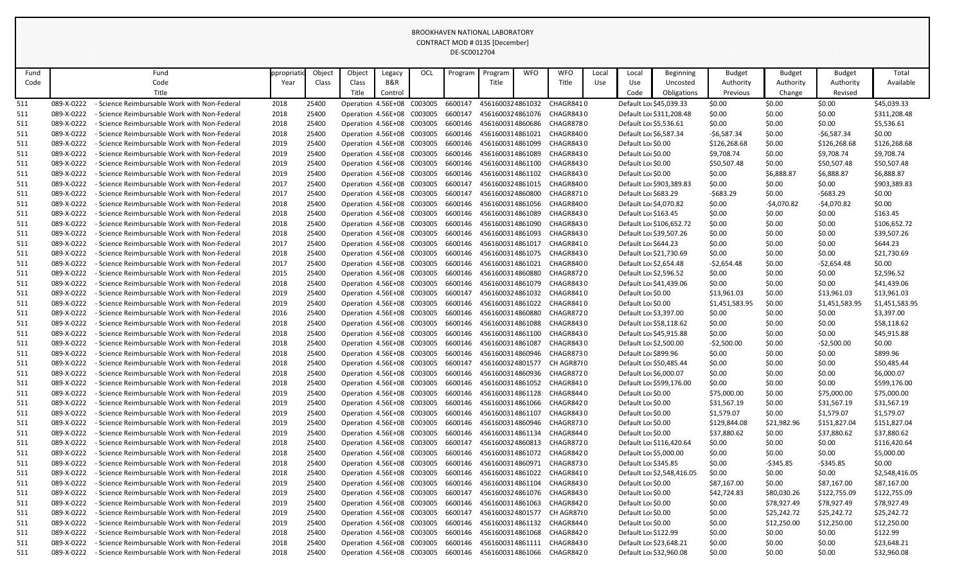| Fund |            | Fund                                              | ppropriati | Object | Object                     | Legacy                     | OCL | Program | Program          | <b>WFO</b> | <b>WFO</b>                                                     | Local      | Local                   | <b>Beginning</b>           | <b>Budget</b>   | <b>Budget</b> | <b>Budget</b>  | Total          |
|------|------------|---------------------------------------------------|------------|--------|----------------------------|----------------------------|-----|---------|------------------|------------|----------------------------------------------------------------|------------|-------------------------|----------------------------|-----------------|---------------|----------------|----------------|
| Code |            | Code                                              | Year       | Class  | Class                      | B&R                        |     |         | Title            |            | Title                                                          | <b>Use</b> | Use                     | Uncosted                   | Authority       | Authority     | Authority      | Available      |
|      |            | Title                                             |            |        | Title                      | Control                    |     |         |                  |            |                                                                |            | Code                    | Obligations                | <b>Previous</b> | Change        | Revised        |                |
| 511  | 089-X-0222 | Science Reimbursable Work with Non-Federal        | 2018       | 25400  | Operation 4.56E+08 C003005 |                            |     | 6600147 | 4561600324861032 |            | CHAGR8410                                                      |            | Default Loc \$45,039.33 |                            | \$0.00          | \$0.00        | \$0.00         | \$45,039.33    |
| 511  | 089-X-0222 | - Science Reimbursable Work with Non-Federal      | 2018       | 25400  | Operation 4.56E+08 C003005 |                            |     | 6600147 | 4561600324861076 |            | CHAGR8430                                                      |            |                         | Default Loc \$311,208.48   | \$0.00          | \$0.00        | \$0.00         | \$311,208.48   |
| 511  | 089-X-0222 | - Science Reimbursable Work with Non-Federal      | 2018       | 25400  | Operation 4.56E+08 C003005 |                            |     | 6600146 | 4561600314860686 |            | CHAGR8780                                                      |            | Default Loc \$5,536.61  |                            | \$0.00          | \$0.00        | \$0.00         | \$5,536.61     |
| 511  | 089-X-0222 | Science Reimbursable Work with Non-Federal        | 2018       | 25400  |                            | Operation 4.56E+08 C003005 |     | 6600146 | 4561600314861021 |            | CHAGR8400                                                      |            | Default Loc \$6,587.34  |                            | $-56,587.34$    | \$0.00        | $-56,587.34$   | \$0.00         |
| 511  | 089-X-0222 | - Science Reimbursable Work with Non-Federal      | 2019       | 25400  |                            | Operation 4.56E+08 C003005 |     | 6600146 | 4561600314861099 |            | CHAGR8430                                                      |            | Default Loc \$0.00      |                            | \$126,268.68    | \$0.00        | \$126,268.68   | \$126,268.68   |
| 511  | 089-X-0222 | - Science Reimbursable Work with Non-Federal      | 2019       | 25400  |                            | Operation 4.56E+08 C003005 |     | 6600146 | 4561600314861089 |            | CHAGR8430                                                      |            | Default Loc \$0.00      |                            | \$9,708.74      | \$0.00        | \$9,708.74     | \$9,708.74     |
| 511  | 089-X-0222 | - Science Reimbursable Work with Non-Federal      | 2019       | 25400  |                            | Operation 4.56E+08 C003005 |     | 6600146 |                  |            | 4561600314861100 CHAGR8430                                     |            | Default Loc \$0.00      |                            | \$50,507.48     | \$0.00        | \$50,507.48    | \$50,507.48    |
| 511  | 089-X-0222 | - Science Reimbursable Work with Non-Federal      | 2019       | 25400  | Operation 4.56E+08 C003005 |                            |     | 6600146 | 4561600314861102 |            | CHAGR8430                                                      |            | Default Loc \$0.00      |                            | \$0.00          | \$6,888.87    | \$6,888.87     | \$6,888.87     |
| 511  | 089-X-0222 | - Science Reimbursable Work with Non-Federal      | 2017       | 25400  | Operation 4.56E+08 C003005 |                            |     | 6600147 | 4561600324861015 |            | CHAGR8400                                                      |            |                         | Default Loc \$903,389.83   | \$0.00          | \$0.00        | \$0.00         | \$903,389.83   |
| 511  | 089-X-0222 | - Science Reimbursable Work with Non-Federal      | 2017       | 25400  |                            | Operation 4.56E+08 C003005 |     | 6600147 | 4561600324860800 |            | CHAGR8710                                                      |            | Default Lor \$683.29    |                            | $-5683.29$      | \$0.00        | $-5683.29$     | \$0.00         |
| 511  | 089-X-0222 | - Science Reimbursable Work with Non-Federal      | 2018       | 25400  |                            | Operation 4.56E+08 C003005 |     | 6600146 | 4561600314861056 |            | CHAGR840 0                                                     |            | Default Loc \$4,070.82  |                            | \$0.00          | $-54,070.82$  | $-54,070.82$   | \$0.00         |
| 511  | 089-X-0222 | - Science Reimbursable Work with Non-Federal      | 2018       | 25400  | Operation 4.56E+08 C003005 |                            |     | 6600146 | 4561600314861089 |            | CHAGR8430                                                      |            | Default Loc \$163.45    |                            | \$0.00          | \$0.00        | \$0.00         | \$163.45       |
| 511  | 089-X-0222 | - Science Reimbursable Work with Non-Federal      | 2018       | 25400  |                            | Operation 4.56E+08 C003005 |     | 6600146 | 4561600314861090 |            | CHAGR8430                                                      |            |                         | Default Loc \$106,652.72   | \$0.00          | \$0.00        | \$0.00         | \$106,652.72   |
| 511  | 089-X-0222 | - Science Reimbursable Work with Non-Federal      | 2018       | 25400  |                            | Operation 4.56E+08 C003005 |     | 6600146 | 4561600314861093 |            | CHAGR8430                                                      |            | Default Loc \$39,507.26 |                            | \$0.00          | \$0.00        | \$0.00         | \$39,507.26    |
| 511  | 089-X-0222 | - Science Reimbursable Work with Non-Federal      | 2017       | 25400  | Operation 4.56E+08 C003005 |                            |     | 6600146 | 4561600314861017 |            | CHAGR8410                                                      |            | Default Lor \$644.23    |                            | \$0.00          | \$0.00        | \$0.00         | \$644.23       |
| 511  | 089-X-0222 | <b>Science Reimbursable Work with Non-Federal</b> | 2018       | 25400  |                            | Operation 4.56E+08 C003005 |     | 6600146 | 4561600314861075 |            | CHAGR843 0                                                     |            | Default Loc \$21,730.69 |                            | \$0.00          | \$0.00        | \$0.00         | \$21,730.69    |
| 511  | 089-X-0222 | - Science Reimbursable Work with Non-Federal      | 2017       | 25400  |                            | Operation 4.56E+08 C003005 |     | 6600146 | 4561600314861021 |            | CHAGR8400                                                      |            | Default Lor \$2,654.48  |                            | $-52,654.48$    | \$0.00        | $-52,654.48$   | \$0.00         |
| 511  | 089-X-0222 | - Science Reimbursable Work with Non-Federal      | 2015       | 25400  | Operation 4.56E+08 C003005 |                            |     | 6600146 | 4561600314860880 |            | CHAGR872 0                                                     |            | Default Lor \$2,596.52  |                            | \$0.00          | \$0.00        | \$0.00         | \$2,596.52     |
| 511  | 089-X-0222 | - Science Reimbursable Work with Non-Federal      | 2018       | 25400  |                            | Operation 4.56E+08 C003005 |     | 6600146 | 4561600314861079 |            | CHAGR8430                                                      |            | Default Loc \$41,439.06 |                            | \$0.00          | \$0.00        | \$0.00         | \$41,439.06    |
| 511  | 089-X-0222 | <b>Science Reimbursable Work with Non-Federal</b> | 2019       | 25400  | Operation 4.56E+08 C003005 |                            |     | 6600147 | 4561600324861032 |            | CHAGR8410                                                      |            | Default Loc \$0.00      |                            | \$13,961.03     | \$0.00        | \$13,961.03    | \$13,961.03    |
| 511  | 089-X-0222 | <b>Science Reimbursable Work with Non-Federal</b> | 2019       | 25400  | Operation 4.56E+08 C003005 |                            |     | 6600146 | 4561600314861022 |            | CHAGR8410                                                      |            | Default Loc \$0.00      |                            | \$1,451,583.95  | \$0.00        | \$1,451,583.95 | \$1,451,583.95 |
| 511  | 089-X-0222 | - Science Reimbursable Work with Non-Federal      | 2016       | 25400  | Operation 4.56E+08 C003005 |                            |     | 6600146 | 4561600314860880 |            | CHAGR8720                                                      |            | Default Lor \$3,397.00  |                            | \$0.00          | \$0.00        | \$0.00         | \$3,397.00     |
| 511  | 089-X-0222 | - Science Reimbursable Work with Non-Federal      | 2018       | 25400  | Operation 4.56E+08 C003005 |                            |     | 6600146 | 4561600314861088 |            | CHAGR8430                                                      |            | Default Loc \$58,118.62 |                            | \$0.00          | \$0.00        | \$0.00         | \$58,118.62    |
| 511  | 089-X-0222 | - Science Reimbursable Work with Non-Federal      | 2018       | 25400  |                            | Operation 4.56E+08 C003005 |     | 6600146 |                  |            | 4561600314861100 CHAGR8430                                     |            | Default Loc \$45,915.88 |                            | \$0.00          | \$0.00        | \$0.00         | \$45,915.88    |
| 511  | 089-X-0222 | - Science Reimbursable Work with Non-Federal      | 2018       | 25400  | Operation 4.56E+08 C003005 |                            |     | 6600146 | 4561600314861087 |            | CHAGR8430                                                      |            | Default Lor \$2,500.00  |                            | $-52,500.00$    | \$0.00        | $-52,500.00$   | \$0.00         |
| 511  | 089-X-0222 | <b>Science Reimbursable Work with Non-Federal</b> | 2018       | 25400  |                            | Operation 4.56E+08 C003005 |     | 6600146 | 4561600314860946 |            | CHAGR8730                                                      |            | Default Lor \$899.96    |                            | \$0.00          | \$0.00        | \$0.00         | \$899.96       |
| 511  | 089-X-0222 | - Science Reimbursable Work with Non-Federal      | 2018       | 25400  |                            |                            |     |         |                  |            | Operation 4.56E+08 C003005 6600147 4561600324801577 CH AGR8780 |            | Default Lor \$50,485.44 |                            | \$0.00          | \$0.00        | \$0.00         | \$50,485.44    |
| 511  | 089-X-0222 | Science Reimbursable Work with Non-Federal        | 2018       | 25400  |                            | Operation 4.56E+08 C003005 |     | 6600146 |                  |            | 4561600314860936 CHAGR8720                                     |            | Default Lor \$6,000.07  |                            | \$0.00          | \$0.00        | \$0.00         | \$6,000.07     |
| 511  | 089-X-0222 | Science Reimbursable Work with Non-Federal        | 2018       | 25400  | Operation 4.56E+08 C003005 |                            |     | 6600146 | 4561600314861052 |            | CHAGR8410                                                      |            |                         | Default Loc \$599,176.00   | \$0.00          | \$0.00        | \$0.00         | \$599,176.00   |
| 511  | 089-X-0222 | - Science Reimbursable Work with Non-Federal      | 2019       | 25400  | Operation 4.56E+08 C003005 |                            |     | 6600146 |                  |            | 4561600314861128 CHAGR8440                                     |            | Default Loc \$0.00      |                            | \$75,000.00     | \$0.00        | \$75,000.00    | \$75,000.00    |
| 511  | 089-X-0222 | Science Reimbursable Work with Non-Federal        | 2019       | 25400  |                            | Operation 4.56E+08 C003005 |     | 6600146 |                  |            | 4561600314861066 CHAGR8420                                     |            | Default Loc \$0.00      |                            | \$31,567.19     | \$0.00        | \$31,567.19    | \$31,567.19    |
| 511  | 089-X-0222 | Science Reimbursable Work with Non-Federal        | 2019       | 25400  | Operation 4.56E+08 C003005 |                            |     | 6600146 | 4561600314861107 |            | CHAGR8430                                                      |            | Default Loc \$0.00      |                            | \$1,579.07      | \$0.00        | \$1,579.07     | \$1,579.07     |
| 511  | 089-X-0222 | Science Reimbursable Work with Non-Federal        | 2019       | 25400  | Operation 4.56E+08 C003005 |                            |     | 6600146 |                  |            | 4561600314860946 CHAGR8730                                     |            | Default Loc \$0.00      |                            | \$129,844.08    | \$21,982.96   | \$151,827.04   | \$151,827.04   |
| 511  | 089-X-0222 | - Science Reimbursable Work with Non-Federal      | 2019       | 25400  | Operation 4.56E+08 C003005 |                            |     | 6600146 | 4561600314861134 |            | CHAGR844 0                                                     |            | Default Loc \$0.00      |                            | \$37,880.62     | \$0.00        | \$37,880.62    | \$37,880.62    |
| 511  | 089-X-0222 | Science Reimbursable Work with Non-Federal        | 2018       | 25400  | Operation 4.56E+08 C003005 |                            |     | 6600147 | 4561600324860813 |            | CHAGR8720                                                      |            |                         | Default Loc \$116,420.64   | \$0.00          | \$0.00        | \$0.00         | \$116,420.64   |
| 511  | 089-X-0222 | Science Reimbursable Work with Non-Federal        | 2018       | 25400  | Operation 4.56E+08 C003005 |                            |     | 6600146 | 4561600314861072 |            | CHAGR842 0                                                     |            | Default Lor \$5,000.00  |                            | \$0.00          | \$0.00        | \$0.00         | \$5,000.00     |
| 511  | 089-X-0222 | Science Reimbursable Work with Non-Federal        | 2018       | 25400  |                            | Operation 4.56E+08 C003005 |     | 6600146 | 4561600314860971 |            | CHAGR8730                                                      |            | Default Lor \$345.85    |                            | \$0.00          | $-5345.85$    | $-$ \$345.85   | \$0.00         |
| 511  | 089-X-0222 | Science Reimbursable Work with Non-Federal        | 2018       | 25400  | Operation 4.56E+08 C003005 |                            |     | 6600146 | 4561600314861022 |            | CHAGR8410                                                      |            |                         | Default Loc \$2,548,416.05 | \$0.00          | \$0.00        | \$0.00         | \$2,548,416.05 |
| 511  | 089-X-0222 | Science Reimbursable Work with Non-Federal        | 2019       | 25400  | Operation 4.56E+08 C003005 |                            |     | 6600146 | 4561600314861104 |            | CHAGR843 0                                                     |            | Default Loc \$0.00      |                            | \$87,167.00     | \$0.00        | \$87,167.00    | \$87,167.00    |
| 511  | 089-X-0222 | - Science Reimbursable Work with Non-Federal      | 2019       | 25400  | Operation 4.56E+08 C003005 |                            |     | 6600147 |                  |            | 4561600324861076 CHAGR8430                                     |            | Default Loc \$0.00      |                            | \$42,724.83     | \$80,030.26   | \$122,755.09   | \$122,755.09   |
| 511  | 089-X-0222 | Science Reimbursable Work with Non-Federal        | 2019       | 25400  | Operation 4.56E+08 C003005 |                            |     | 6600146 | 4561600314861063 |            | CHAGR8420                                                      |            | Default Loc \$0.00      |                            | \$0.00          | \$78,927.49   | \$78,927.49    | \$78,927.49    |
| 511  | 089-X-0222 | Science Reimbursable Work with Non-Federal        | 2019       | 25400  | Operation 4.56E+08 C003005 |                            |     | 6600147 | 4561600324801577 |            | CH AGR87{0                                                     |            | Default Loc \$0.00      |                            | \$0.00          | \$25,242.72   | \$25,242.72    | \$25,242.72    |
| 511  | 089-X-0222 | Science Reimbursable Work with Non-Federal        | 2019       | 25400  | Operation 4.56E+08 C003005 |                            |     | 6600146 |                  |            | 4561600314861132 CHAGR8440                                     |            | Default Loc \$0.00      |                            | \$0.00          | \$12,250.00   | \$12,250.00    | \$12,250.00    |
| 511  | 089-X-0222 | Science Reimbursable Work with Non-Federal        | 2018       | 25400  | Operation 4.56E+08 C003005 |                            |     | 6600146 | 4561600314861068 |            | CHAGR842 0                                                     |            | Default Loc \$122.99    |                            | \$0.00          | \$0.00        | \$0.00         | \$122.99       |
| 511  | 089-X-0222 | Science Reimbursable Work with Non-Federal        | 2018       | 25400  | Operation 4.56E+08 C003005 |                            |     | 6600146 | 4561600314861111 |            | CHAGR8430                                                      |            | Default Loc \$23,648.21 |                            | \$0.00          | \$0.00        | \$0.00         | \$23,648.21    |
| 511  | 089-X-0222 | - Science Reimbursable Work with Non-Federal      | 2018       | 25400  |                            | Operation 4.56E+08 C003005 |     | 6600146 | 4561600314861066 |            | CHAGR842 0                                                     |            | Default Loc \$32,960.08 |                            | \$0.00          | \$0.00        | \$0.00         | \$32,960.08    |
|      |            |                                                   |            |        |                            |                            |     |         |                  |            |                                                                |            |                         |                            |                 |               |                |                |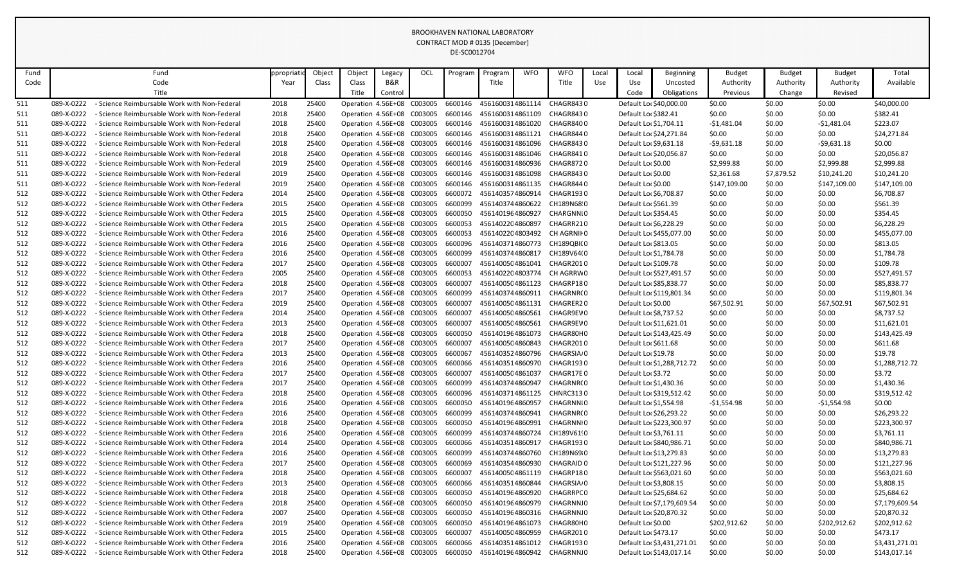| Fund       |                          | Fund                                                                                           | ppropriati   | Object         | Object                     | Legacy                                                   | OCL     | Program            | Program                              | <b>WFO</b> | <b>WFO</b>                                                    | Local | Local                  | <b>Beginning</b>           | <b>Budget</b>    | <b>Budget</b>    | <b>Budget</b>    | Total                      |
|------------|--------------------------|------------------------------------------------------------------------------------------------|--------------|----------------|----------------------------|----------------------------------------------------------|---------|--------------------|--------------------------------------|------------|---------------------------------------------------------------|-------|------------------------|----------------------------|------------------|------------------|------------------|----------------------------|
| Code       |                          | Code                                                                                           | Year         | Class          | Class                      | B&R                                                      |         |                    | Title                                |            | Title                                                         | Use   | Use                    | Uncosted                   | Authority        | Authority        | Authority        | Available                  |
|            |                          | Title                                                                                          |              |                | Title                      | Control                                                  |         |                    |                                      |            |                                                               |       | Code                   | <b>Obligations</b>         | Previous         | Change           | Revised          |                            |
| 511        | 089-X-0222               | - Science Reimbursable Work with Non-Federal                                                   | 2018         | 25400          | Operation 4.56E+08         |                                                          | C003005 | 6600146            | 4561600314861114                     |            | CHAGR8430                                                     |       |                        | Default Lor \$40,000.00    | \$0.00           | \$0.00           | \$0.00           | \$40,000.00                |
| 511        | 089-X-0222               | - Science Reimbursable Work with Non-Federal                                                   | 2018         | 25400          |                            | Operation 4.56E+08 C003005                               |         | 6600146            |                                      |            | 4561600314861109 CHAGR8430                                    |       | Default Loc \$382.41   |                            | \$0.00           | \$0.00           | \$0.00           | \$382.41                   |
| 511        | 089-X-0222               | - Science Reimbursable Work with Non-Federal                                                   | 2018         | 25400          |                            | Operation 4.56E+08 C003005                               |         | 6600146            | 4561600314861020                     |            | CHAGR8400                                                     |       | Default Loc \$1,704.11 |                            | $-51,481.04$     | \$0.00           | $-$1,481.04$     | \$223.07                   |
| 511        | 089-X-0222               | - Science Reimbursable Work with Non-Federal                                                   | 2018         | 25400          |                            | Operation 4.56E+08 C003005                               |         | 6600146            | 4561600314861121                     |            | CHAGR8440                                                     |       |                        | Default Loc \$24,271.84    | \$0.00           | \$0.00           | \$0.00           | \$24,271.84                |
| 511        | 089-X-0222               | - Science Reimbursable Work with Non-Federal                                                   | 2018         | 25400          |                            | Operation 4.56E+08 C003005                               |         | 6600146            | 4561600314861096                     |            | CHAGR8430                                                     |       | Default Lor \$9,631.18 |                            | $-59,631.18$     | \$0.00           | $-59,631.18$     | \$0.00                     |
| 511        | 089-X-0222               | - Science Reimbursable Work with Non-Federal                                                   | 2018         | 25400          |                            | Operation 4.56E+08 C003005                               |         | 6600146            | 4561600314861046                     |            | CHAGR8410                                                     |       |                        | Default Lor \$20,056.87    | \$0.00           | \$0.00           | \$0.00           | \$20,056.87                |
| 511        | 089-X-0222               | - Science Reimbursable Work with Non-Federal                                                   | 2019         | 25400          |                            | Operation 4.56E+08 C003005                               |         | 6600146            | 4561600314860936                     |            | CHAGR8720                                                     |       | Default Lor \$0.00     |                            | \$2,999.88       | \$0.00           | \$2,999.88       | \$2,999.88                 |
| 511        | 089-X-0222               | - Science Reimbursable Work with Non-Federal                                                   | 2019         | 25400          |                            | Operation 4.56E+08 C003005                               |         | 6600146            | 4561600314861098                     |            | CHAGR8430                                                     |       | Default Loc \$0.00     |                            | \$2,361.68       | \$7,879.52       | \$10,241.20      | \$10,241.20                |
| 511        | 089-X-0222               | - Science Reimbursable Work with Non-Federal                                                   | 2019         | 25400          |                            | Operation 4.56E+08 C003005                               |         | 6600146            |                                      |            | 4561600314861135 CHAGR8440                                    |       | Default Loc \$0.00     |                            | \$147,109.00     | \$0.00           | \$147,109.00     | \$147,109.00               |
| 512        | 089-X-0222               | - Science Reimbursable Work with Other Federa                                                  | 2014         | 25400          |                            | Operation 4.56E+08 C003005                               |         | 6600072            | 4561403574860914                     |            | CHAGR1930                                                     |       | Default Lor \$6,708.87 |                            | \$0.00           | \$0.00           | \$0.00           | \$6,708.87                 |
| 512        | 089-X-0222               | - Science Reimbursable Work with Other Federa                                                  | 2015         | 25400          |                            | Operation 4.56E+08 C003005                               |         | 6600099            | 4561403744860622                     |            | CH189N68.0                                                    |       | Default Lor \$561.39   |                            | \$0.00           | \$0.00           | \$0.00           | \$561.39                   |
| 512        | 089-X-0222               | - Science Reimbursable Work with Other Federa                                                  | 2015         | 25400          |                            | Operation 4.56E+08 C003005                               |         | 6600050            | 4561401964860927                     |            | CHARGNNIO                                                     |       | Default Lor \$354.45   |                            | \$0.00           | \$0.00           | \$0.00           | \$354.45                   |
| 512        | 089-X-0222               | - Science Reimbursable Work with Other Federa                                                  | 2015         | 25400          |                            | Operation 4.56E+08 C003005                               |         | 6600053            | 4561402204860897                     |            | CHAGRR210                                                     |       | Default Lor \$6,228.29 |                            | \$0.00           | \$0.00           | \$0.00           | \$6,228.29                 |
| 512        | 089-X-0222               | - Science Reimbursable Work with Other Federa                                                  | 2016         | 25400          |                            | Operation 4.56E+08 C003005                               |         | 6600053            | 4561402204803492                     |            | CH AGRNII 0                                                   |       |                        | Default Loc \$455,077.00   | \$0.00           | \$0.00           | \$0.00           | \$455,077.00               |
| 512        | 089-X-0222               | - Science Reimbursable Work with Other Federa                                                  | 2016         | 25400          |                            | Operation 4.56E+08 C003005                               |         | 6600096            | 4561403714860773                     |            | CH189QBI(0                                                    |       | Default Loc \$813.05   |                            | \$0.00           | \$0.00           | \$0.00           | \$813.05                   |
| 512        | 089-X-0222               | - Science Reimbursable Work with Other Federa                                                  | 2016         | 25400          |                            | Operation 4.56E+08 C003005                               |         | 6600099            | 4561403744860817                     |            | CH189V64(0                                                    |       | Default Loc \$1,784.78 |                            | \$0.00           | \$0.00           | \$0.00           | \$1,784.78                 |
| 512        | 089-X-0222               | Science Reimbursable Work with Other Federa                                                    | 2017         | 25400          | Operation 4.56E+08 C003005 |                                                          |         | 6600007            | 4561400504861041                     |            | CHAGR2010                                                     |       | Default Lor \$109.78   |                            | \$0.00           | \$0.00           | \$0.00           | \$109.78                   |
| 512        | 089-X-0222               | - Science Reimbursable Work with Other Federa                                                  | 2005         | 25400          | Operation 4.56E+08 C003005 |                                                          |         | 6600053            | 4561402204803774                     |            | CH AGRRW 0                                                    |       |                        | Default Loc \$527,491.57   | \$0.00           | \$0.00           | \$0.00           | \$527,491.57               |
| 512        | 089-X-0222               | - Science Reimbursable Work with Other Federa                                                  | 2018         | 25400          |                            | Operation 4.56E+08 C003005                               |         | 6600007            | 4561400504861123                     |            | CHAGRP180                                                     |       |                        | Default Loc \$85,838.77    | \$0.00           | \$0.00           | \$0.00           | \$85,838.77                |
| 512        | 089-X-0222               | - Science Reimbursable Work with Other Federa                                                  | 2017         | 25400          | Operation 4.56E+08 C003005 |                                                          |         | 6600099            | 4561403744860911                     |            | CHAGRNR(0                                                     |       |                        | Default Loc \$119,801.34   | \$0.00           | \$0.00           | \$0.00           | \$119,801.34               |
| 512        | 089-X-0222               | - Science Reimbursable Work with Other Federa                                                  | 2019         | 25400          |                            | Operation 4.56E+08 C003005                               |         | 6600007            | 4561400504861131                     |            | CHAGRER20                                                     |       | Default Lor \$0.00     |                            | \$67,502.91      | \$0.00           | \$67,502.91      | \$67,502.91                |
| 512        | 089-X-0222               | - Science Reimbursable Work with Other Federa                                                  | 2014         | 25400          |                            | Operation 4.56E+08 C003005                               |         | 6600007            | 4561400504860561                     |            | CHAGR9EV 0                                                    |       | Default Lo: \$8,737.52 |                            | \$0.00           | \$0.00           | \$0.00           | \$8,737.52                 |
| 512        | 089-X-0222               | - Science Reimbursable Work with Other Federa                                                  | 2013         | 25400          |                            | Operation 4.56E+08 C003005                               |         | 6600007            | 4561400504860561                     |            | CHAGR9EV 0                                                    |       |                        | Default Loc \$11,621.01    | \$0.00           | \$0.00           | \$0.00           | \$11,621.01                |
| 512        | 089-X-0222               | - Science Reimbursable Work with Other Federa                                                  | 2018         | 25400          |                            | Operation 4.56E+08 C003005                               |         | 6600050            | 4561401964861073                     |            | CHAGR80H0                                                     |       |                        | Default Loc \$143,425.49   | \$0.00           | \$0.00           | \$0.00           | \$143,425.49               |
| 512        | 089-X-0222               | - Science Reimbursable Work with Other Federa                                                  | 2017         | 25400          |                            | Operation 4.56E+08 C003005                               |         | 6600007            | 4561400504860843                     |            | CHAGR2010                                                     |       | Default Loc \$611.68   |                            | \$0.00           | \$0.00           | \$0.00           | \$611.68                   |
| 512        | 089-X-0222               | - Science Reimbursable Work with Other Federa                                                  | 2013         | 25400          |                            | Operation 4.56E+08 C003005                               |         | 6600067            | 4561403524860796                     |            | CHAGRSIA <sub>/</sub> 0                                       |       | Default Loc \$19.78    |                            | \$0.00           | \$0.00           | \$0.00           | \$19.78                    |
| 512        | 089-X-0222               | - Science Reimbursable Work with Other Federa                                                  | 2016         | 25400          |                            |                                                          |         |                    |                                      |            | Operation 4.56E+08 C003005 6600066 4561403514860970 CHAGR1930 |       |                        | Default Loc \$1,288,712.72 | \$0.00           | \$0.00           | \$0.00           | \$1,288,712.72             |
| 512        | 089-X-0222               | - Science Reimbursable Work with Other Federa                                                  | 2017         | 25400          |                            | Operation 4.56E+08 C003005                               |         | 6600007            | 4561400504861037                     |            | CHAGR17E 0                                                    |       | Default Loc \$3.72     |                            | \$0.00           | \$0.00           | \$0.00           | \$3.72                     |
| 512        | 089-X-0222               | - Science Reimbursable Work with Other Federa                                                  | 2017         | 25400          |                            | Operation 4.56E+08 C003005                               |         | 6600099            | 4561403744860947                     |            | CHAGRNR(0                                                     |       | Default Loc \$1,430.36 |                            | \$0.00           | \$0.00           | \$0.00           | \$1,430.36                 |
| 512        | 089-X-0222               | - Science Reimbursable Work with Other Federa                                                  | 2018         | 25400          |                            | Operation 4.56E+08 C003005                               |         | 6600096            | 4561403714861125                     |            | CHNRC3130                                                     |       |                        | Default Loc \$319,512.42   | \$0.00           | \$0.00           | \$0.00           | \$319,512.42               |
| 512        | 089-X-0222               | - Science Reimbursable Work with Other Federa                                                  | 2016         | 25400          |                            | Operation 4.56E+08 C003005                               |         | 6600050            | 4561401964860957                     |            | CHAGRNNI 0                                                    |       | Default Loc \$1,554.98 |                            | $-$1,554.98$     | \$0.00           | -\$1,554.98      | \$0.00                     |
| 512        | 089-X-0222               | - Science Reimbursable Work with Other Federa                                                  | 2016         | 25400          | Operation 4.56E+08 C003005 |                                                          |         | 6600099            | 4561403744860941                     |            | CHAGRNR(0                                                     |       |                        | Default Loc \$26,293.22    | \$0.00           | \$0.00           | \$0.00           | \$26,293.22                |
| 512        | 089-X-0222               | - Science Reimbursable Work with Other Federa                                                  | 2018         | 25400          |                            | Operation 4.56E+08 C003005                               |         | 6600050            | 4561401964860991                     |            | CHAGRNNI 0                                                    |       | Default Loc \$3,761.11 | Default Loc \$223,300.97   | \$0.00           | \$0.00           | \$0.00           | \$223,300.97               |
| 512        | 089-X-0222<br>089-X-0222 | - Science Reimbursable Work with Other Federa<br>- Science Reimbursable Work with Other Federa | 2016<br>2014 | 25400<br>25400 |                            | Operation 4.56E+08 C003005                               |         | 6600099<br>6600066 | 4561403744860724<br>4561403514860917 |            | CH189V61!0<br>CHAGR1930                                       |       |                        | Default Lor \$840,986.71   | \$0.00           | \$0.00           | \$0.00           | \$3,761.11<br>\$840,986.71 |
| 512        | 089-X-0222               | - Science Reimbursable Work with Other Federa                                                  | 2016         | 25400          |                            | Operation 4.56E+08 C003005<br>Operation 4.56E+08 C003005 |         | 6600099            | 4561403744860760                     |            | CH189N69 0                                                    |       |                        | Default Loc \$13,279.83    | \$0.00<br>\$0.00 | \$0.00<br>\$0.00 | \$0.00<br>\$0.00 | \$13,279.83                |
| 512<br>512 | 089-X-0222               | - Science Reimbursable Work with Other Federa                                                  | 2017         | 25400          |                            | Operation 4.56E+08 C003005                               |         | 6600069            | 4561403544860930                     |            | CHAGRAID 0                                                    |       |                        | Default Loc \$121,227.96   | \$0.00           | \$0.00           | \$0.00           | \$121,227.96               |
| 512        | 089-X-0222               | - Science Reimbursable Work with Other Federa                                                  | 2018         | 25400          | Operation 4.56E+08 C003005 |                                                          |         | 6600007            |                                      |            | 4561400504861119 CHAGRP180                                    |       |                        | Default Loc \$563,021.60   | \$0.00           | \$0.00           | \$0.00           | \$563,021.60               |
| 512        | 089-X-0222               | - Science Reimbursable Work with Other Federa                                                  | 2013         | 25400          |                            | Operation 4.56E+08 C003005                               |         | 6600066            | 4561403514860844                     |            | CHAGRSIA <sub></sub> 0                                        |       | Default Loc \$3,808.15 |                            | \$0.00           | \$0.00           | \$0.00           | \$3,808.15                 |
| 512        | 089-X-0222               | - Science Reimbursable Work with Other Federa                                                  | 2018         | 25400          |                            | Operation 4.56E+08 C003005                               |         | 6600050            | 4561401964860920                     |            | CHAGRRPC 0                                                    |       |                        | Default Loc \$25,684.62    | \$0.00           | \$0.00           | \$0.00           | \$25,684.62                |
| 512        | 089-X-0222               | - Science Reimbursable Work with Other Federa                                                  | 2018         | 25400          |                            | Operation 4.56E+08 C003005                               |         | 6600050            | 4561401964860979                     |            | CHAGRNN.0                                                     |       |                        | Default Loc \$7,179,609.54 | \$0.00           | \$0.00           | \$0.00           | \$7,179,609.54             |
| 512        | 089-X-0222               | - Science Reimbursable Work with Other Federa                                                  | 2007         | 25400          |                            | Operation 4.56E+08 C003005                               |         | 6600050            | 4561401964860316                     |            | CHAGRNN.0                                                     |       |                        | Default Lor \$20,870.32    | \$0.00           | \$0.00           | \$0.00           | \$20,870.32                |
| 512        | 089-X-0222               | - Science Reimbursable Work with Other Federa                                                  | 2019         | 25400          |                            | Operation 4.56E+08 C003005                               |         | 6600050            | 4561401964861073                     |            | CHAGR80H0                                                     |       | Default Lor \$0.00     |                            | \$202,912.62     | \$0.00           | \$202,912.62     | \$202,912.62               |
| 512        | 089-X-0222               | - Science Reimbursable Work with Other Federa                                                  | 2015         | 25400          | Operation 4.56E+08 C003005 |                                                          |         | 6600007            | 4561400504860959                     |            | CHAGR2010                                                     |       | Default Loc \$473.17   |                            | \$0.00           | \$0.00           | \$0.00           | \$473.17                   |
| 512        | 089-X-0222               | - Science Reimbursable Work with Other Federa                                                  | 2016         | 25400          |                            | Operation 4.56E+08 C003005                               |         | 6600066            | 4561403514861012                     |            | CHAGR193 0                                                    |       |                        | Default Loc \$3,431,271.01 | \$0.00           | \$0.00           | \$0.00           | \$3,431,271.01             |
| 512        | 089-X-0222               | - Science Reimbursable Work with Other Federa                                                  | 2018         | 25400          |                            | Operation 4.56E+08 C003005                               |         | 6600050            |                                      |            | 4561401964860942 CHAGRNNJ0                                    |       |                        | Default Loc \$143,017.14   | \$0.00           | \$0.00           | \$0.00           | \$143,017.14               |
|            |                          |                                                                                                |              |                |                            |                                                          |         |                    |                                      |            |                                                               |       |                        |                            |                  |                  |                  |                            |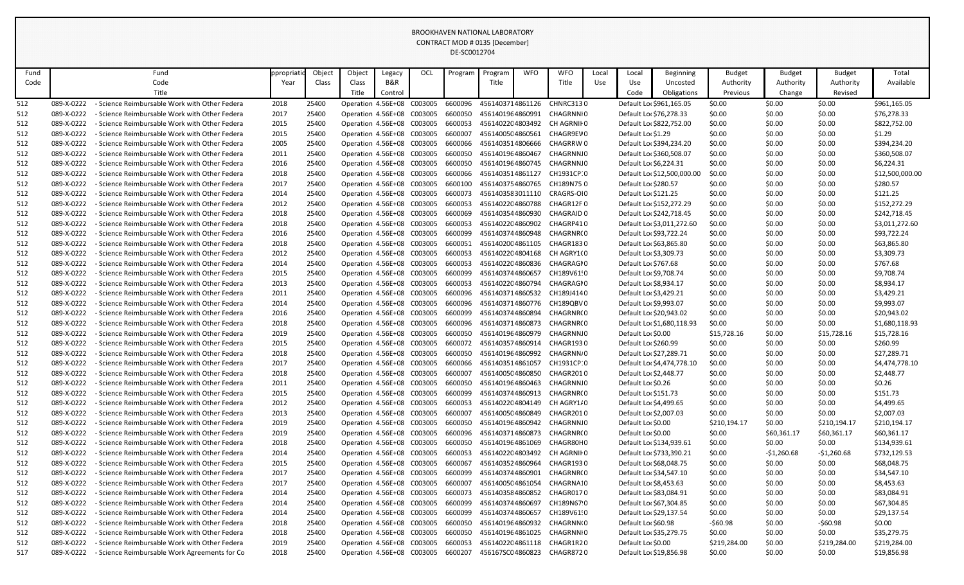| Fund |            | Fund                                          | ppropriatio | Object | Object             | Legacy                     | OCL                                | Program | Program          | <b>WFO</b> | <b>WFO</b>                                                     | Local | Local                   | <b>Beginning</b>            | <b>Budget</b> | <b>Budget</b> | <b>Budget</b> | Total           |
|------|------------|-----------------------------------------------|-------------|--------|--------------------|----------------------------|------------------------------------|---------|------------------|------------|----------------------------------------------------------------|-------|-------------------------|-----------------------------|---------------|---------------|---------------|-----------------|
| Code |            | Code                                          | Year        | Class  | Class              | B&R                        |                                    |         | Title            |            | Title                                                          | Use   | Use                     | Uncosted                    | Authority     | Authority     | Authority     | Available       |
|      |            | Title                                         |             |        | Title              | Control                    |                                    |         |                  |            |                                                                |       | Code                    | Obligations                 | Previous      | Change        | Revised       |                 |
| 512  | 089-X-0222 | - Science Reimbursable Work with Other Federa | 2018        | 25400  |                    | Operation 4.56E+08 C003005 |                                    | 6600096 | 4561403714861126 |            | CHNRC3130                                                      |       |                         | Default Loc \$961,165.05    | \$0.00        | \$0.00        | \$0.00        | \$961,165.05    |
| 512  | 089-X-0222 | - Science Reimbursable Work with Other Federa | 2017        | 25400  |                    | Operation 4.56E+08 C003005 |                                    | 6600050 | 4561401964860991 |            | CHAGRNNIO                                                      |       | Default Loc \$76,278.33 |                             | \$0.00        | \$0.00        | \$0.00        | \$76,278.33     |
| 512  | 089-X-0222 | - Science Reimbursable Work with Other Federa | 2015        | 25400  |                    | Operation 4.56E+08 C003005 |                                    | 6600053 |                  |            | 4561402204803492 CH AGRNII 0                                   |       |                         | Default Loc \$822,752.00    | \$0.00        | \$0.00        | \$0.00        | \$822,752.00    |
| 512  | 089-X-0222 | - Science Reimbursable Work with Other Federa | 2015        | 25400  |                    | Operation 4.56E+08 C003005 |                                    | 6600007 | 4561400504860561 |            | CHAGR9EV 0                                                     |       | Default Loc \$1.29      |                             | \$0.00        | \$0.00        | \$0.00        | \$1.29          |
| 512  | 089-X-0222 | - Science Reimbursable Work with Other Federa | 2005        | 25400  |                    | Operation 4.56E+08 C003005 |                                    | 6600066 | 4561403514806666 |            | CHAGRRW 0                                                      |       |                         | Default Loc \$394,234.20    | \$0.00        | \$0.00        | \$0.00        | \$394,234.20    |
| 512  | 089-X-0222 | - Science Reimbursable Work with Other Federa | 2011        | 25400  |                    | Operation 4.56E+08 C003005 |                                    | 6600050 | 4561401964860467 |            | CHAGRNN.0                                                      |       |                         | Default Lor \$360,508.07    | \$0.00        | \$0.00        | \$0.00        | \$360,508.07    |
| 512  | 089-X-0222 | - Science Reimbursable Work with Other Federa | 2016        | 25400  |                    | Operation 4.56E+08 C003005 |                                    | 6600050 | 4561401964860745 |            | CHAGRNN.0                                                      |       | Default Loc \$6,224.31  |                             | \$0.00        | \$0.00        | \$0.00        | \$6,224.31      |
| 512  | 089-X-0222 | - Science Reimbursable Work with Other Federa | 2018        | 25400  |                    | Operation 4.56E+08         | C003005                            | 6600066 | 4561403514861127 |            | CH1931CP:0                                                     |       |                         | Default Loc \$12,500,000.00 | \$0.00        | \$0.00        | \$0.00        | \$12,500,000.00 |
| 512  | 089-X-0222 | - Science Reimbursable Work with Other Federa | 2017        | 25400  |                    | Operation 4.56E+08 C003005 |                                    | 6600100 |                  |            | 4561403754860765 CH189N750                                     |       | Default Lor \$280.57    |                             | \$0.00        | \$0.00        | \$0.00        | \$280.57        |
| 512  | 089-X-0222 | - Science Reimbursable Work with Other Federa | 2014        | 25400  |                    | Operation 4.56E+08         | C003005                            | 6600073 | 4561403583011110 |            | CRAGRS-OI0                                                     |       | Default Lor \$121.25    |                             | \$0.00        | \$0.00        | \$0.00        | \$121.25        |
| 512  | 089-X-0222 | - Science Reimbursable Work with Other Federa | 2012        | 25400  |                    | Operation 4.56E+08 C003005 |                                    | 6600053 | 4561402204860788 |            | CHAGR12F0                                                      |       |                         | Default Loc \$152,272.29    | \$0.00        | \$0.00        | \$0.00        | \$152,272.29    |
| 512  | 089-X-0222 | - Science Reimbursable Work with Other Federa | 2018        | 25400  |                    | Operation 4.56E+08 C003005 |                                    | 6600069 | 4561403544860930 |            | CHAGRAID 0                                                     |       |                         | Default Loc \$242,718.45    | \$0.00        | \$0.00        | \$0.00        | \$242,718.45    |
| 512  | 089-X-0222 | - Science Reimbursable Work with Other Federa | 2018        | 25400  |                    | Operation 4.56E+08 C003005 |                                    | 6600053 |                  |            | 4561402204860902 CHAGRP410                                     |       |                         | Default Loc \$3,011,272.60  | \$0.00        | \$0.00        | \$0.00        | \$3,011,272.60  |
| 512  | 089-X-0222 | - Science Reimbursable Work with Other Federa | 2016        | 25400  |                    | Operation 4.56E+08 C003005 |                                    | 6600099 |                  |            | 4561403744860948 CHAGRNR(0                                     |       | Default Loc \$93,722.24 |                             | \$0.00        | \$0.00        | \$0.00        | \$93,722.24     |
| 512  | 089-X-0222 | - Science Reimbursable Work with Other Federa | 2018        | 25400  |                    | Operation 4.56E+08         | C003005                            | 6600051 | 4561402004861105 |            | CHAGR1830                                                      |       | Default Loc \$63,865.80 |                             | \$0.00        | \$0.00        | \$0.00        | \$63,865.80     |
| 512  | 089-X-0222 | - Science Reimbursable Work with Other Federa | 2012        | 25400  |                    | Operation 4.56E+08 C003005 |                                    | 6600053 |                  |            | 4561402204804168 CH AGRY1(0                                    |       | Default Loc \$3,309.73  |                             | \$0.00        | \$0.00        | \$0.00        | \$3,309.73      |
| 512  | 089-X-0222 | - Science Reimbursable Work with Other Federa | 2014        | 25400  |                    | Operation 4.56E+08 C003005 |                                    | 6600053 | 4561402204860836 |            | CHAGRAGI 0                                                     |       | Default Loc \$767.68    |                             | \$0.00        | \$0.00        | \$0.00        | \$767.68        |
| 512  | 089-X-0222 | - Science Reimbursable Work with Other Federa | 2015        | 25400  |                    | Operation 4.56E+08 C003005 |                                    | 6600099 | 4561403744860657 |            | CH189V61!0                                                     |       | Default Loc \$9,708.74  |                             | \$0.00        | \$0.00        | \$0.00        | \$9,708.74      |
| 512  | 089-X-0222 | - Science Reimbursable Work with Other Federa | 2013        | 25400  |                    | Operation 4.56E+08 C003005 |                                    | 6600053 |                  |            | 4561402204860794 CHAGRAGI0                                     |       | Default Loc \$8,934.17  |                             | \$0.00        | \$0.00        | \$0.00        | \$8,934.17      |
| 512  | 089-X-0222 | - Science Reimbursable Work with Other Federa | 2011        | 25400  |                    | Operation 4.56E+08 C003005 |                                    | 6600096 |                  |            | 4561403714860532 CH189J4140                                    |       | Default Loc \$3,429.21  |                             | \$0.00        | \$0.00        | \$0.00        | \$3,429.21      |
| 512  | 089-X-0222 | - Science Reimbursable Work with Other Federa | 2014        | 25400  |                    | Operation 4.56E+08 C003005 |                                    | 6600096 |                  |            | 4561403714860776 CH189QBV0                                     |       | Default Loc \$9,993.07  |                             | \$0.00        | \$0.00        | \$0.00        | \$9,993.07      |
| 512  | 089-X-0222 | - Science Reimbursable Work with Other Federa | 2016        | 25400  |                    | Operation 4.56E+08         | C003005                            | 6600099 | 4561403744860894 |            | CHAGRNR(0                                                      |       | Default Loc \$20,943.02 |                             | \$0.00        | \$0.00        | \$0.00        | \$20,943.02     |
| 512  | 089-X-0222 | - Science Reimbursable Work with Other Federa | 2018        | 25400  |                    | Operation 4.56E+08 C003005 |                                    | 6600096 | 4561403714860873 |            | CHAGRNR(0                                                      |       |                         | Default Loc \$1,680,118.93  | \$0.00        | \$0.00        | \$0.00        | \$1,680,118.93  |
| 512  | 089-X-0222 | - Science Reimbursable Work with Other Federa | 2019        | 25400  |                    | Operation 4.56E+08 C003005 |                                    | 6600050 |                  |            | 4561401964860979 CHAGRNNJ0                                     |       | Default Loc \$0.00      |                             | \$15,728.16   | \$0.00        | \$15,728.16   | \$15,728.16     |
| 512  | 089-X-0222 | - Science Reimbursable Work with Other Federa | 2015        | 25400  | Operation 4.56E+08 |                            | C003005                            | 6600072 | 4561403574860914 |            | CHAGR1930                                                      |       | Default Lor \$260.99    |                             | \$0.00        | \$0.00        | \$0.00        | \$260.99        |
| 512  | 089-X-0222 | - Science Reimbursable Work with Other Federa | 2018        | 25400  |                    | Operation 4.56E+08 C003005 |                                    | 6600050 | 4561401964860992 |            | CHAGRNN <sub></sub> 0                                          |       | Default Loc \$27,289.71 |                             | \$0.00        | \$0.00        | \$0.00        | \$27,289.71     |
| 512  | 089-X-0222 | - Science Reimbursable Work with Other Federa | 2017        | 25400  |                    |                            |                                    |         |                  |            | Operation 4.56E+08 C003005 6600066 4561403514861057 CH1931CP:0 |       |                         | Default Loc \$4,474,778.10  | \$0.00        | \$0.00        | \$0.00        | \$4,474,778.10  |
| 512  | 089-X-0222 | - Science Reimbursable Work with Other Federa | 2018        | 25400  |                    | Operation 4.56E+08 C003005 |                                    | 6600007 |                  |            | 4561400504860850 CHAGR2010                                     |       | Default Loc \$2,448.77  |                             | \$0.00        | \$0.00        | \$0.00        | \$2,448.77      |
| 512  | 089-X-0222 | - Science Reimbursable Work with Other Federa | 2011        | 25400  |                    | Operation 4.56E+08 C003005 |                                    | 6600050 | 4561401964860463 |            | CHAGRNN.0                                                      |       | Default Lor \$0.26      |                             | \$0.00        | \$0.00        | \$0.00        | \$0.26          |
| 512  | 089-X-0222 | - Science Reimbursable Work with Other Federa | 2015        | 25400  |                    |                            | Operation 4.56E+08 C003005 6600099 |         |                  |            | 4561403744860913 CHAGRNR(0                                     |       | Default Loc \$151.73    |                             | \$0.00        | \$0.00        | \$0.00        | \$151.73        |
| 512  | 089-X-0222 | - Science Reimbursable Work with Other Federa | 2012        | 25400  |                    |                            | Operation 4.56E+08 C003005 6600053 |         |                  |            | 4561402204804149 CH AGRY1/0                                    |       | Default Lo: \$4,499.65  |                             | \$0.00        | \$0.00        | \$0.00        | \$4,499.65      |
| 512  | 089-X-0222 | - Science Reimbursable Work with Other Federa | 2013        | 25400  |                    | Operation 4.56E+08 C003005 |                                    | 6600007 | 4561400504860849 |            | CHAGR2010                                                      |       | Default Lor \$2,007.03  |                             | \$0.00        | \$0.00        | \$0.00        | \$2,007.03      |
| 512  | 089-X-0222 | - Science Reimbursable Work with Other Federa | 2019        | 25400  |                    | Operation 4.56E+08 C003005 |                                    | 6600050 |                  |            | 4561401964860942 CHAGRNNJ0                                     |       | Default Loc \$0.00      |                             | \$210,194.17  | \$0.00        | \$210,194.17  | \$210,194.17    |
| 512  | 089-X-0222 | - Science Reimbursable Work with Other Federa | 2019        | 25400  |                    | Operation 4.56E+08 C003005 |                                    | 6600096 | 4561403714860873 |            | CHAGRNR(0                                                      |       | Default Loc \$0.00      |                             | \$0.00        | \$60,361.17   | \$60,361.17   | \$60,361.17     |
| 512  | 089-X-0222 | - Science Reimbursable Work with Other Federa | 2018        | 25400  |                    | Operation 4.56E+08 C003005 |                                    | 6600050 | 4561401964861069 |            | CHAGR80H0                                                      |       |                         | Default Loc \$134,939.61    | \$0.00        | \$0.00        | \$0.00        | \$134,939.61    |
| 512  | 089-X-0222 | - Science Reimbursable Work with Other Federa | 2014        | 25400  |                    |                            | Operation 4.56E+08 C003005 6600053 |         |                  |            | 4561402204803492 CH AGRNII 0                                   |       |                         | Default Lo: \$733,390.21    | \$0.00        | $-$1,260.68$  | $-$1,260.68$  | \$732,129.53    |
| 512  | 089-X-0222 | - Science Reimbursable Work with Other Federa | 2015        | 25400  |                    | Operation 4.56E+08 C003005 |                                    | 6600067 |                  |            | 4561403524860964 CHAGR1930                                     |       | Default Lor \$68,048.75 |                             | \$0.00        | \$0.00        | \$0.00        | \$68,048.75     |
| 512  | 089-X-0222 | - Science Reimbursable Work with Other Federa | 2017        | 25400  |                    | Operation 4.56E+08 C003005 |                                    | 6600099 | 4561403744860901 |            | CHAGRNR(0                                                      |       | Default Loc \$34,547.10 |                             | \$0.00        | \$0.00        | \$0.00        | \$34,547.10     |
| 512  | 089-X-0222 | - Science Reimbursable Work with Other Federa | 2017        | 25400  |                    | Operation 4.56E+08 C003005 |                                    | 6600007 | 4561400504861054 |            | CHAGRNA10                                                      |       | Default Loc \$8,453.63  |                             | \$0.00        | \$0.00        | \$0.00        | \$8,453.63      |
| 512  | 089-X-0222 | - Science Reimbursable Work with Other Federa | 2014        | 25400  |                    | Operation 4.56E+08 C003005 |                                    | 6600073 | 4561403584860852 |            | CHAGR0170                                                      |       | Default Loc \$83,084.91 |                             | \$0.00        | \$0.00        | \$0.00        | \$83,084.91     |
| 512  | 089-X-0222 | - Science Reimbursable Work with Other Federa | 2014        | 25400  |                    | Operation 4.56E+08 C003005 |                                    | 6600099 | 4561403744860697 |            | CH189N67 0                                                     |       | Default Loc \$67,304.85 |                             | \$0.00        | \$0.00        | \$0.00        | \$67,304.85     |
| 512  | 089-X-0222 | - Science Reimbursable Work with Other Federa | 2014        | 25400  |                    | Operation 4.56E+08 C003005 |                                    | 6600099 | 4561403744860657 |            | CH189V61!0                                                     |       | Default Lor \$29,137.54 |                             | \$0.00        | \$0.00        | \$0.00        | \$29,137.54     |
| 512  | 089-X-0222 | - Science Reimbursable Work with Other Federa | 2018        | 25400  |                    | Operation 4.56E+08 C003005 |                                    | 6600050 | 4561401964860932 |            | CHAGRNN(0                                                      |       | Default Lor \$60.98     |                             | $-560.98$     | \$0.00        | $-560.98$     | \$0.00          |
| 512  | 089-X-0222 | - Science Reimbursable Work with Other Federa | 2018        | 25400  |                    | Operation 4.56E+08 C003005 |                                    | 6600050 | 4561401964861025 |            | CHAGRNNIO                                                      |       | Default Loc \$35,279.75 |                             | \$0.00        | \$0.00        | \$0.00        | \$35,279.75     |
| 512  | 089-X-0222 | - Science Reimbursable Work with Other Federa | 2019        | 25400  |                    | Operation 4.56E+08 C003005 |                                    | 6600053 |                  |            | 4561402204861118 CHAGR1R20                                     |       | Default Loc \$0.00      |                             | \$219,284.00  | \$0.00        | \$219,284.00  | \$219,284.00    |
| 517  | 089-X-0222 | - Science Reimbursable Work Agreements for Co | 2018        | 25400  |                    | Operation 4.56E+08 C003005 |                                    | 6600207 |                  |            | 456167SC04860823 CHAGR8720                                     |       | Default Loc \$19,856.98 |                             | \$0.00        | \$0.00        | \$0.00        | \$19,856.98     |
|      |            |                                               |             |        |                    |                            |                                    |         |                  |            |                                                                |       |                         |                             |               |               |               |                 |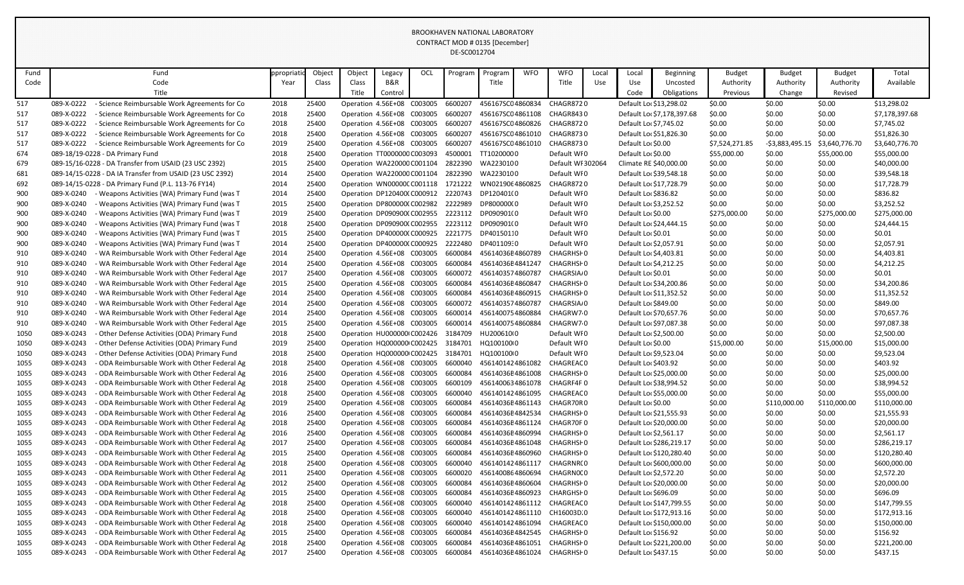| Fund | Fund                                                        | ppropriati | Object | Object                     | Legacy                      | OCL | Program | Program                                             | <b>WFO</b> | <b>WFO</b>              | Local | Local                   | <b>Beginning</b>           | <b>Budget</b>  | <b>Budget</b>    | <b>Budget</b>  | Total          |
|------|-------------------------------------------------------------|------------|--------|----------------------------|-----------------------------|-----|---------|-----------------------------------------------------|------------|-------------------------|-------|-------------------------|----------------------------|----------------|------------------|----------------|----------------|
| Code | Code                                                        | Year       | Class  | Class                      | B&R                         |     |         | Title                                               |            | Title                   | Use   | Use                     | Uncosted                   | Authority      | Authority        | Authority      | Available      |
|      | Title                                                       |            |        | Title                      | Control                     |     |         |                                                     |            |                         |       | Code                    | Obligations                | Previous       | Change           | Revised        |                |
| 517  | - Science Reimbursable Work Agreements for Co<br>089-X-0222 | 2018       | 25400  | Operation 4.56E+08 C003005 |                             |     | 6600207 | 456167SC04860834                                    |            | CHAGR8720               |       | Default Loc \$13,298.02 |                            | \$0.00         | \$0.00           | \$0.00         | \$13,298.02    |
| 517  | 089-X-0222<br>- Science Reimbursable Work Agreements for Co | 2018       | 25400  | Operation 4.56E+08 C003005 |                             |     | 6600207 | 456167SC04861108                                    |            | CHAGR8430               |       |                         | Default Loc \$7,178,397.68 | \$0.00         | \$0.00           | \$0.00         | \$7,178,397.68 |
| 517  | 089-X-0222<br>- Science Reimbursable Work Agreements for Co | 2018       | 25400  | Operation 4.56E+08 C003005 |                             |     | 6600207 | 456167SC04860826                                    |            | CHAGR8720               |       | Default Loc \$7,745.02  |                            | \$0.00         | \$0.00           | \$0.00         | \$7,745.02     |
| 517  | 089-X-0222<br>- Science Reimbursable Work Agreements for Co | 2018       | 25400  | Operation 4.56E+08 C003005 |                             |     | 6600207 | 456167SC04861010                                    |            | CHAGR8730               |       | Default Loc \$51,826.30 |                            | \$0.00         | \$0.00           | \$0.00         | \$51,826.30    |
| 517  | 089-X-0222<br>- Science Reimbursable Work Agreements for Co | 2019       | 25400  | Operation 4.56E+08 C003005 |                             |     | 6600207 | 456167SC04861010                                    |            | CHAGR8730               |       | Default Lor \$0.00      |                            | \$7,524,271.85 | $-53,883,495.15$ | \$3,640,776.70 | \$3,640,776.70 |
| 674  | 089-18/19-0228 - DA Primary Fund                            | 2018       | 25400  |                            | Operation TT0000000 C003093 |     | 4500001 | TT10200000                                          |            | Default WI0             |       | Default Lor \$0.00      |                            | \$55,000.00    | \$0.00           | \$55,000.00    | \$55,000.00    |
| 679  | 089-15/16-0228 - DA Transfer from USAID (23 USC 2392)       | 2015       | 25400  | Operation WA220000 C001104 |                             |     | 2822390 | WA2230100                                           |            | Default WI 302064       |       | Climate RE \$40,000.00  |                            | \$0.00         | \$0.00           | \$0.00         | \$40,000.00    |
| 681  | 089-14/15-0228 - DA IA Transfer from USAID (23 USC 2392)    | 2014       | 25400  | Operation WA220000 C001104 |                             |     | 2822390 | WA2230100                                           |            | Default WI0             |       | Default Loc \$39,548.18 |                            | \$0.00         | \$0.00           | \$0.00         | \$39,548.18    |
| 692  | 089-14/15-0228 - DA Primary Fund (P.L. 113-76 FY14)         | 2014       | 25400  | Operation WN00000CC001118  |                             |     | 1721222 | WN0219064860825                                     |            | CHAGR8720               |       | Default Loc \$17,728.79 |                            | \$0.00         | \$0.00           | \$0.00         | \$17,728.79    |
| 900  | 089-X-0240<br>- Weapons Activities (WA) Primary Fund (was T | 2014       | 25400  | Operation DP120400(C000912 |                             |     | 2220743 | DP120401(0                                          |            | Default WI0             |       | Default Loc \$836.82    |                            | \$0.00         | \$0.00           | \$0.00         | \$836.82       |
| 900  | 089-X-0240<br>- Weapons Activities (WA) Primary Fund (was T | 2015       | 25400  | Operation DP800000(C002982 |                             |     | 2222989 | DP800000(0                                          |            | Default WI0             |       | Default Loc \$3,252.52  |                            | \$0.00         | \$0.00           | \$0.00         | \$3,252.52     |
| 900  | 089-X-0240<br>Weapons Activities (WA) Primary Fund (was T   | 2019       | 25400  | Operation DP090900(C002955 |                             |     | 2223112 | DP090901(0                                          |            | Default WI0             |       | Default Lor \$0.00      |                            | \$275,000.00   | \$0.00           | \$275,000.00   | \$275,000.00   |
| 900  | 089-X-0240<br>- Weapons Activities (WA) Primary Fund (was T | 2018       | 25400  | Operation DP090900(C002955 |                             |     | 2223112 | DP090901(0                                          |            | Default WI0             |       | Default Loc \$24,444.15 |                            | \$0.00         | \$0.00           | \$0.00         | \$24,444.15    |
| 900  | 089-X-0240<br>- Weapons Activities (WA) Primary Fund (was T | 2015       | 25400  | Operation DP400000(C000925 |                             |     | 2221775 | DP40150110                                          |            | Default WI0             |       | Default Loc \$0.01      |                            | \$0.00         | \$0.00           | \$0.00         | \$0.01         |
| 900  | 089-X-0240<br>- Weapons Activities (WA) Primary Fund (was T | 2014       | 25400  | Operation DP400000(C000925 |                             |     | 2222480 | DP401109:0                                          |            | Default WI0             |       | Default Loc \$2,057.91  |                            | \$0.00         | \$0.00           | \$0.00         | \$2,057.91     |
| 910  | 089-X-0240<br>WA Reimbursable Work with Other Federal Age   | 2014       | 25400  | Operation 4.56E+08 C003005 |                             |     | 6600084 | 45614036E4860789                                    |            | CHAGRHSI 0              |       | Default Loc \$4,403.81  |                            | \$0.00         | \$0.00           | \$0.00         | \$4,403.81     |
| 910  | 089-X-0240<br>WA Reimbursable Work with Other Federal Age   | 2014       | 25400  | Operation 4.56E+08 C003005 |                             |     | 6600084 | 45614036E4841247                                    |            | CHAGRHSI 0              |       | Default Loc \$4,212.25  |                            | \$0.00         | \$0.00           | \$0.00         | \$4,212.25     |
| 910  | 089-X-0240<br>WA Reimbursable Work with Other Federal Age   | 2017       | 25400  | Operation 4.56E+08 C003005 |                             |     | 6600072 | 4561403574860787                                    |            | CHAGRSIA <sub>/</sub> 0 |       | Default Loc \$0.01      |                            | \$0.00         | \$0.00           | \$0.00         | \$0.01         |
| 910  | 089-X-0240<br>WA Reimbursable Work with Other Federal Age   | 2015       | 25400  | Operation 4.56E+08 C003005 |                             |     | 6600084 | 45614036E4860847                                    |            | CHAGRHSF 0              |       | Default Lor \$34,200.86 |                            | \$0.00         | \$0.00           | \$0.00         | \$34,200.86    |
| 910  | 089-X-0240<br>WA Reimbursable Work with Other Federal Age   | 2014       | 25400  | Operation 4.56E+08 C003005 |                             |     | 6600084 | 45614036E4860915                                    |            | CHAGRHSI 0              |       | Default Loc \$11,352.52 |                            | \$0.00         | \$0.00           | \$0.00         | \$11,352.52    |
| 910  | 089-X-0240<br>WA Reimbursable Work with Other Federal Age   | 2014       | 25400  | Operation 4.56E+08 C003005 |                             |     | 6600072 | 4561403574860787                                    |            | CHAGRSIA <sub>/</sub> 0 |       | Default Lor \$849.00    |                            | \$0.00         | \$0.00           | \$0.00         | \$849.00       |
| 910  | 089-X-0240<br>WA Reimbursable Work with Other Federal Age   | 2014       | 25400  | Operation 4.56E+08 C003005 |                             |     | 6600014 | 4561400754860884                                    |            | CHAGRW70                |       | Default Lo: \$70,657.76 |                            | \$0.00         | \$0.00           | \$0.00         | \$70,657.76    |
| 910  | 089-X-0240<br>WA Reimbursable Work with Other Federal Age   | 2015       | 25400  | Operation 4.56E+08 C003005 |                             |     | 6600014 | 4561400754860884                                    |            | CHAGRW70                |       | Default Loc \$97,087.38 |                            | \$0.00         | \$0.00           | \$0.00         | \$97,087.38    |
| 1050 | 089-X-0243<br>- Other Defense Activities (ODA) Primary Fund | 2018       | 25400  | Operation HU000000 C002426 |                             |     | 3184709 | HU200610(0                                          |            | Default WI0             |       | Default Lor \$2,500.00  |                            | \$0.00         | \$0.00           | \$0.00         | \$2,500.00     |
| 1050 | 089-X-0243<br>- Other Defense Activities (ODA) Primary Fund | 2019       | 25400  | Operation HQ000000 C002425 |                             |     | 3184701 | HQ100100(0                                          |            | Default WI0             |       | Default Lor \$0.00      |                            | \$15,000.00    | \$0.00           | \$15,000.00    | \$15,000.00    |
| 1050 | 089-X-0243<br>Other Defense Activities (ODA) Primary Fund   | 2018       | 25400  |                            | Operation HQ000000 C002425  |     | 3184701 | HQ100100 0                                          |            | Default WI0             |       | Default Lor \$9,523.04  |                            | \$0.00         | \$0.00           | \$0.00         | \$9,523.04     |
| 1055 | 089-X-0243<br>- ODA Reimbursable Work with Other Federal Ag | 2018       | 25400  |                            |                             |     |         | Operation 4.56E+08 C003005 6600040 4561401424861082 |            | CHAGREAC 0              |       | Default Lor \$403.92    |                            | \$0.00         | \$0.00           | \$0.00         | \$403.92       |
| 1055 | - ODA Reimbursable Work with Other Federal Ag<br>089-X-0243 | 2016       | 25400  | Operation 4.56E+08 C003005 |                             |     | 6600084 | 45614036E4861008 CHAGRHSF0                          |            |                         |       | Default Lor \$25,000.00 |                            | \$0.00         | \$0.00           | \$0.00         | \$25,000.00    |
| 1055 | 089-X-0243<br>- ODA Reimbursable Work with Other Federal Ag | 2018       | 25400  | Operation 4.56E+08 C003005 |                             |     | 6600109 | 4561400634861078 CHAGRF4F0                          |            |                         |       | Default Loc \$38,994.52 |                            | \$0.00         | \$0.00           | \$0.00         | \$38,994.52    |
| 1055 | 089-X-0243<br>- ODA Reimbursable Work with Other Federal Ag | 2018       | 25400  | Operation 4.56E+08 C003005 |                             |     | 6600040 | 4561401424861095                                    |            | CHAGREAC 0              |       | Default Lor \$55,000.00 |                            | \$0.00         | \$0.00           | \$0.00         | \$55,000.00    |
| 1055 | - ODA Reimbursable Work with Other Federal Ag<br>089-X-0243 | 2019       | 25400  | Operation 4.56E+08 C003005 |                             |     | 6600084 | 45614036E4861143                                    |            | CHAGR70R 0              |       | Default Loc \$0.00      |                            | \$0.00         | \$110,000.00     | \$110,000.00   | \$110,000.00   |
| 1055 | 089-X-0243<br>ODA Reimbursable Work with Other Federal Ag   | 2016       | 25400  | Operation 4.56E+08 C003005 |                             |     | 6600084 | 45614036E4842534                                    |            | CHAGRHSI 0              |       | Default Loc \$21,555.93 |                            | \$0.00         | \$0.00           | \$0.00         | \$21,555.93    |
| 1055 | 089-X-0243<br>ODA Reimbursable Work with Other Federal Ag   | 2018       | 25400  | Operation 4.56E+08 C003005 |                             |     | 6600084 | 45614036E4861124                                    |            | CHAGR70F 0              |       | Default Lor \$20,000.00 |                            | \$0.00         | \$0.00           | \$0.00         | \$20,000.00    |
| 1055 | 089-X-0243<br>- ODA Reimbursable Work with Other Federal Ag | 2016       | 25400  | Operation 4.56E+08 C003005 |                             |     | 6600084 | 45614036E4860994                                    |            | CHAGRHSI 0              |       | Default Loc \$2,561.17  |                            | \$0.00         | \$0.00           | \$0.00         | \$2,561.17     |
| 1055 | 089-X-0243<br>- ODA Reimbursable Work with Other Federal Ag | 2017       | 25400  | Operation 4.56E+08 C003005 |                             |     | 6600084 | 45614036E4861048                                    |            | CHAGRHSI 0              |       |                         | Default Loc \$286,219.17   | \$0.00         | \$0.00           | \$0.00         | \$286,219.17   |
| 1055 | 089-X-0243<br>ODA Reimbursable Work with Other Federal Ag   | 2015       | 25400  | Operation 4.56E+08 C003005 |                             |     | 6600084 | 45614036E4860960                                    |            | CHAGRHSI 0              |       |                         | Default Loc \$120,280.40   | \$0.00         | \$0.00           | \$0.00         | \$120,280.40   |
| 1055 | 089-X-0243<br>- ODA Reimbursable Work with Other Federal Ag | 2018       | 25400  | Operation 4.56E+08 C003005 |                             |     | 6600040 | 4561401424861117                                    |            | CHAGRNR(0               |       |                         | Default Lor \$600,000.00   | \$0.00         | \$0.00           | \$0.00         | \$600,000.00   |
| 1055 | 089-X-0243<br>ODA Reimbursable Work with Other Federal Ag   | 2011       | 25400  | Operation 4.56E+08 C003005 |                             |     | 6600020 | 4561400864860694                                    |            | CHAGRN0(0               |       | Default Lor \$2,572.20  |                            | \$0.00         | \$0.00           | \$0.00         | \$2,572.20     |
| 1055 | - ODA Reimbursable Work with Other Federal Ag<br>089-X-0243 | 2012       | 25400  | Operation 4.56E+08 C003005 |                             |     | 6600084 | 45614036E4860604                                    |            | CHAGRHSI 0              |       | Default Lor \$20,000.00 |                            | \$0.00         | \$0.00           | \$0.00         | \$20,000.00    |
| 1055 | 089-X-0243<br>ODA Reimbursable Work with Other Federal Ag   | 2015       | 25400  | Operation 4.56E+08 C003005 |                             |     | 6600084 | 45614036E4860923                                    |            | CHARGHSF 0              |       | Default Lor \$696.09    |                            | \$0.00         | \$0.00           | \$0.00         | \$696.09       |
| 1055 | 089-X-0243<br>- ODA Reimbursable Work with Other Federal Ag | 2018       | 25400  | Operation 4.56E+08 C003005 |                             |     | 6600040 | 4561401424861112                                    |            | CHAGREAC 0              |       |                         | Default Loc \$147,799.55   | \$0.00         | \$0.00           | \$0.00         | \$147,799.55   |
| 1055 | ODA Reimbursable Work with Other Federal Ag<br>089-X-0243   | 2018       | 25400  | Operation 4.56E+08 C003005 |                             |     | 6600040 | 4561401424861110                                    |            | CH16003D 0              |       |                         | Default Loc \$172,913.16   | \$0.00         | \$0.00           | \$0.00         | \$172,913.16   |
| 1055 | 089-X-0243<br>ODA Reimbursable Work with Other Federal Ag   | 2018       | 25400  | Operation 4.56E+08 C003005 |                             |     | 6600040 | 4561401424861094                                    |            | CHAGREAC 0              |       |                         | Default Loc \$150,000.00   | \$0.00         | \$0.00           | \$0.00         | \$150,000.00   |
| 1055 | 089-X-0243<br>ODA Reimbursable Work with Other Federal Ag   | 2015       | 25400  | Operation 4.56E+08 C003005 |                             |     | 6600084 | 45614036E4842545                                    |            | CHAGRHSI 0              |       | Default Loc \$156.92    |                            | \$0.00         | \$0.00           | \$0.00         | \$156.92       |
| 1055 | - ODA Reimbursable Work with Other Federal Ag<br>089-X-0243 | 2018       | 25400  | Operation 4.56E+08 C003005 |                             |     | 6600084 | 45614036E4861051                                    |            | CHAGRHSI 0              |       |                         | Default Loc \$221,200.00   | \$0.00         | \$0.00           | \$0.00         | \$221,200.00   |
| 1055 | - ODA Reimbursable Work with Other Federal Ag<br>089-X-0243 | 2017       | 25400  | Operation 4.56E+08 C003005 |                             |     | 6600084 | 45614036E4861024                                    |            | CHAGRHSI 0              |       | Default Loc \$437.15    |                            | \$0.00         | \$0.00           | \$0.00         | \$437.15       |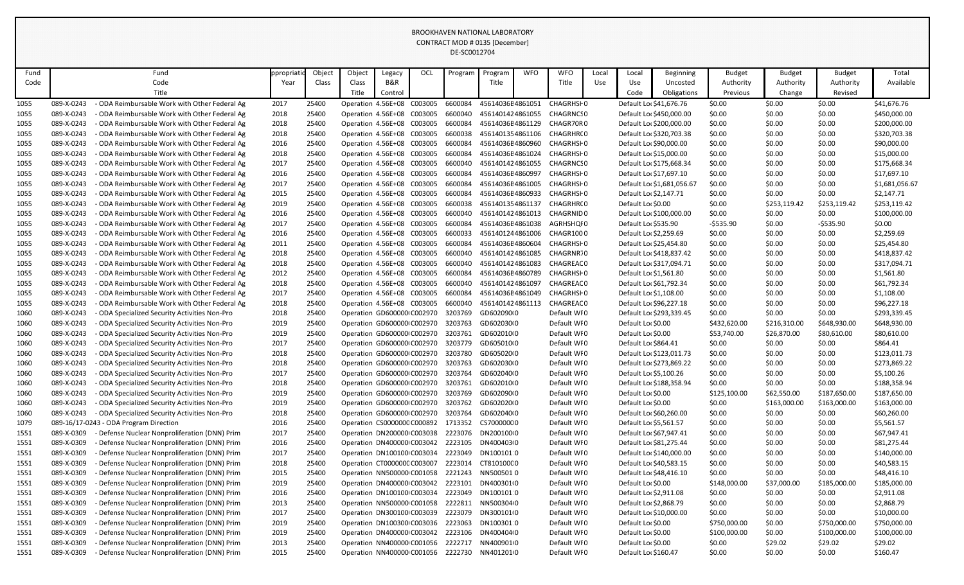| Fund |                          | Fund                                                                                       | ppropriat | Object | Object                      | Legacy  | OCI | Program            | Program                                       | <b>WFO</b> | <b>WFO</b>                 | Local | Local                                    | <b>Beginning</b>           | <b>Budget</b> | <b>Budget</b> | <b>Budget</b> | Total                        |
|------|--------------------------|--------------------------------------------------------------------------------------------|-----------|--------|-----------------------------|---------|-----|--------------------|-----------------------------------------------|------------|----------------------------|-------|------------------------------------------|----------------------------|---------------|---------------|---------------|------------------------------|
| Code |                          | Code                                                                                       | Year      | Class  | Class                       | B&R     |     |                    | Title                                         |            | Title                      | Use   | Use                                      | Uncosted                   | Authority     | Authority     | Authority     | Available                    |
|      |                          | Title                                                                                      |           |        | Title                       | Control |     |                    |                                               |            |                            |       | Code                                     | Obligations                | Previous      | Change        | Revised       |                              |
| 1055 | 089-X-0243               | ODA Reimbursable Work with Other Federal Ag                                                | 2017      | 25400  | Operation 4.56E+08 C003005  |         |     | 6600084            | 45614036E4861051                              |            | CHAGRHSI 0                 |       | Default Loc \$41,676.76                  |                            | \$0.00        | \$0.00        | \$0.00        | \$41,676.76                  |
| 1055 | 089-X-0243               | ODA Reimbursable Work with Other Federal Ag                                                | 2018      | 25400  | Operation 4.56E+08 C003005  |         |     | 6600040            | 4561401424861055                              |            | CHAGRNCS 0                 |       |                                          | Default Lor \$450,000.00   | \$0.00        | \$0.00        | \$0.00        | \$450,000.00                 |
| 1055 | 089-X-0243               | ODA Reimbursable Work with Other Federal Ag                                                | 2018      | 25400  | Operation 4.56E+08 C003005  |         |     | 6600084            | 45614036E4861129                              |            | CHAGR70R 0                 |       |                                          | Default Lor \$200,000.00   | \$0.00        | \$0.00        | \$0.00        | \$200,000.00                 |
| 1055 | 089-X-0243               | ODA Reimbursable Work with Other Federal Ag                                                | 2018      | 25400  | Operation 4.56E+08 C003005  |         |     | 6600038            |                                               |            | 4561401354861106 CHAGRHR(0 |       |                                          | Default Loc \$320,703.38   | \$0.00        | \$0.00        | \$0.00        | \$320,703.38                 |
| 1055 | 089-X-0243               | ODA Reimbursable Work with Other Federal Ag                                                | 2016      | 25400  | Operation 4.56E+08 C003005  |         |     | 6600084            | 45614036E4860960                              |            | CHAGRHSF 0                 |       | Default Lor \$90,000.00                  |                            | \$0.00        | \$0.00        | \$0.00        | \$90,000.00                  |
| 1055 | 089-X-0243               | ODA Reimbursable Work with Other Federal Ag                                                | 2018      | 25400  | Operation 4.56E+08 C003005  |         |     | 6600084            | 45614036E4861024                              |            | CHAGRHSI 0                 |       | Default Lor \$15,000.00                  |                            | \$0.00        | \$0.00        | \$0.00        | \$15,000.00                  |
| 1055 | 089-X-0243               | ODA Reimbursable Work with Other Federal Ag                                                | 2017      | 25400  | Operation 4.56E+08 C003005  |         |     | 6600040            | 4561401424861055                              |            | CHAGRNCS 0                 |       |                                          | Default Loc \$175,668.34   | \$0.00        | \$0.00        | \$0.00        | \$175,668.34                 |
| 1055 | 089-X-0243               | ODA Reimbursable Work with Other Federal Ag                                                | 2016      | 25400  | Operation 4.56E+08 C003005  |         |     | 6600084            | 45614036E4860997                              |            | CHAGRHSI 0                 |       | Default Loc \$17,697.10                  |                            | \$0.00        | \$0.00        | \$0.00        | \$17,697.10                  |
| 1055 | 089-X-0243               | ODA Reimbursable Work with Other Federal Ag                                                | 2017      | 25400  | Operation 4.56E+08 C003005  |         |     | 6600084            | 45614036E4861005                              |            | CHAGRHSF 0                 |       |                                          | Default Loc \$1,681,056.67 | \$0.00        | \$0.00        | \$0.00        | \$1,681,056.67               |
| 1055 | 089-X-0243               | ODA Reimbursable Work with Other Federal Ag                                                | 2015      | 25400  | Operation 4.56E+08 C003005  |         |     | 6600084            | 45614036E4860933                              |            | CHAGRHSI 0                 |       | Default Loc \$2,147.71                   |                            | \$0.00        | \$0.00        | \$0.00        | \$2,147.71                   |
| 1055 | 089-X-0243               | ODA Reimbursable Work with Other Federal Ag                                                | 2019      | 25400  | Operation 4.56E+08 C003005  |         |     | 6600038            | 4561401354861137                              |            | CHAGRHR( 0                 |       | Default Lor \$0.00                       |                            | \$0.00        | \$253,119.42  | \$253,119.42  | \$253,119.42                 |
| 1055 | 089-X-0243               | ODA Reimbursable Work with Other Federal Ag                                                | 2016      | 25400  | Operation 4.56E+08 C003005  |         |     | 6600040            | 4561401424861013                              |            | CHAGRNID 0                 |       |                                          | Default Loc \$100,000.00   | \$0.00        | \$0.00        | \$0.00        | \$100,000.00                 |
| 1055 | 089-X-0243               | ODA Reimbursable Work with Other Federal Ag                                                | 2017      | 25400  | Operation 4.56E+08 C003005  |         |     | 6600084            | 45614036E4861038                              |            | AGRHSHQI 0                 |       | Default Loc \$535.90                     |                            | $-5535.90$    | \$0.00        | $-5535.90$    | \$0.00                       |
| 1055 | 089-X-0243               | ODA Reimbursable Work with Other Federal Ag                                                | 2016      | 25400  | Operation 4.56E+08 C003005  |         |     | 6600033            |                                               |            | 4561401244861006 CHAGR1000 |       | Default Lor \$2,259.69                   |                            | \$0.00        | \$0.00        | \$0.00        | \$2,259.69                   |
| 1055 | 089-X-0243               | ODA Reimbursable Work with Other Federal Ag                                                | 2011      | 25400  | Operation 4.56E+08 C003005  |         |     | 6600084            | 45614036E4860604                              |            | CHAGRHSF 0                 |       | Default Loc \$25,454.80                  |                            | \$0.00        | \$0.00        | \$0.00        | \$25,454.80                  |
| 1055 | 089-X-0243               | ODA Reimbursable Work with Other Federal Ag                                                | 2018      | 25400  | Operation 4.56E+08 C003005  |         |     | 6600040            | 4561401424861085                              |            | CHAGRNR70                  |       |                                          | Default Loc \$418,837.42   | \$0.00        | \$0.00        | \$0.00        | \$418,837.42                 |
| 1055 | 089-X-0243               | ODA Reimbursable Work with Other Federal Ag                                                | 2018      | 25400  | Operation 4.56E+08 C003005  |         |     | 6600040            | 4561401424861083                              |            | CHAGREAC 0                 |       |                                          | Default Loc \$317,094.71   | \$0.00        | \$0.00        | \$0.00        | \$317,094.71                 |
| 1055 | 089-X-0243               | ODA Reimbursable Work with Other Federal Ag                                                | 2012      | 25400  | Operation 4.56E+08 C003005  |         |     | 6600084            | 45614036E4860789                              |            | CHAGRHSF 0                 |       | Default Lor \$1,561.80                   |                            | \$0.00        | \$0.00        | \$0.00        | \$1,561.80                   |
| 1055 | 089-X-0243               | ODA Reimbursable Work with Other Federal Ag                                                | 2018      | 25400  | Operation 4.56E+08 C003005  |         |     | 6600040            | 4561401424861097                              |            | CHAGREAC 0                 |       | Default Loc \$61,792.34                  |                            | \$0.00        | \$0.00        | \$0.00        | \$61,792.34                  |
| 1055 | 089-X-0243               | ODA Reimbursable Work with Other Federal Ag                                                | 2017      | 25400  | Operation 4.56E+08 C003005  |         |     | 6600084            | 45614036E4861049                              |            | CHAGRHSF 0                 |       | Default Lor \$1,108.00                   |                            | \$0.00        | \$0.00        | \$0.00        | \$1,108.00                   |
| 1055 | 089-X-0243               | ODA Reimbursable Work with Other Federal Ag                                                | 2018      | 25400  | Operation 4.56E+08 C003005  |         |     | 6600040            | 4561401424861113                              |            | CHAGREAC 0                 |       | Default Loc \$96,227.18                  |                            | \$0.00        | \$0.00        | \$0.00        | \$96,227.18                  |
| 1060 | 089-X-0243               | ODA Specialized Security Activities Non-Pro                                                | 2018      | 25400  | Operation GD600000 C002970  |         |     | 3203769            | GD602090(0                                    |            | Default WI0                |       |                                          | Default Loc \$293,339.45   | \$0.00        | \$0.00        | \$0.00        | \$293,339.45                 |
| 1060 | 089-X-0243               | ODA Specialized Security Activities Non-Pro                                                | 2019      | 25400  | Operation GD600000 C002970  |         |     | 3203763            | GD602030(0                                    |            | Default WI0                |       | Default Loc \$0.00                       |                            | \$432,620.00  | \$216,310.00  | \$648,930.00  | \$648,930.00                 |
| 1060 | 089-X-0243               | ODA Specialized Security Activities Non-Pro                                                | 2019      | 25400  | Operation GD600000 C002970  |         |     | 3203761            | GD602010(0                                    |            | Default WI0                |       | Default Loc \$0.00                       |                            | \$53,740.00   | \$26,870.00   | \$80,610.00   | \$80,610.00                  |
| 1060 | 089-X-0243               | <b>ODA Specialized Security Activities Non-Pro</b>                                         | 2017      | 25400  | Operation GD600000 C002970  |         |     | 3203779            | GD605010(0                                    |            | Default WI0                |       | Default Lor \$864.41                     |                            | \$0.00        | \$0.00        | \$0.00        | \$864.41                     |
| 1060 | 089-X-0243               | <b>ODA Specialized Security Activities Non-Pro</b>                                         | 2018      | 25400  | Operation GD600000 C002970  |         |     | 3203780            | GD605020(0                                    |            | Default WI0                |       |                                          | Default Loc \$123,011.73   | \$0.00        | \$0.00        | \$0.00        | \$123,011.73                 |
| 1060 | 089-X-0243               | - ODA Specialized Security Activities Non-Pro                                              | 2018      | 25400  |                             |         |     |                    | Operation GD600000 C002970 3203763 GD602030 0 |            | Default WI0                |       |                                          | Default Loc \$273,869.22   | \$0.00        | \$0.00        | \$0.00        | \$273,869.22                 |
| 1060 | 089-X-0243               | ODA Specialized Security Activities Non-Pro                                                | 2017      | 25400  | Operation GD600000 C002970  |         |     |                    | 3203764 GD602040I0                            |            | Default WI0                |       | Default Lor \$5,100.26                   |                            | \$0.00        | \$0.00        | \$0.00        | \$5,100.26                   |
| 1060 | 089-X-0243               | ODA Specialized Security Activities Non-Pro                                                | 2018      | 25400  | Operation GD600000 C002970  |         |     | 3203761            | GD602010(0                                    |            | Default WI0                |       |                                          | Default Loc \$188,358.94   | \$0.00        | \$0.00        | \$0.00        | \$188,358.94                 |
| 1060 | 089-X-0243               | ODA Specialized Security Activities Non-Pro                                                | 2019      | 25400  | Operation GD600000 C002970  |         |     | 3203769            | GD602090(0                                    |            | Default WI0                |       | Default Loc \$0.00                       |                            | \$125,100.00  | \$62,550.00   | \$187,650.00  | \$187,650.00                 |
| 1060 | 089-X-0243               | ODA Specialized Security Activities Non-Pro                                                | 2019      | 25400  | Operation GD600000 C002970  |         |     | 3203762            | GD602020I0                                    |            | Default WI0                |       | Default Loc \$0.00                       |                            | \$0.00        | \$163,000.00  | \$163,000.00  | \$163,000.00                 |
| 1060 | 089-X-0243               | ODA Specialized Security Activities Non-Pro                                                | 2018      | 25400  | Operation GD600000 C002970  |         |     | 3203764            | GD602040(0                                    |            | Default WI0                |       | Default Lor \$60,260.00                  |                            | \$0.00        | \$0.00        | \$0.00        | \$60,260.00                  |
| 1079 |                          | 089-16/17-0243 - ODA Program Direction                                                     | 2016      | 25400  | Operation CS0000000 C000892 |         |     | 1713352            | CS70000000                                    |            | Default WI0                |       | Default Loc \$5,561.57                   |                            | \$0.00        | \$0.00        | \$0.00        | \$5,561.57                   |
| 1551 | 089-X-0309               | - Defense Nuclear Nonproliferation (DNN) Prim                                              | 2017      | 25400  | Operation DN200000 C003038  |         |     | 2223076            | DN20010000                                    |            | Default WI0                |       | Default Loc \$67,947.41                  |                            | \$0.00        | \$0.00        | \$0.00        | \$67,947.41                  |
| 1551 | 089-X-0309               | Defense Nuclear Nonproliferation (DNN) Prim                                                | 2016      | 25400  | Operation DN400000 C003042  |         |     | 2223105            | DN400403(0                                    |            | Default WI0                |       | Default Loc \$81,275.44                  |                            | \$0.00        | \$0.00        | \$0.00        | \$81,275.44                  |
| 1551 | 089-X-0309               | Defense Nuclear Nonproliferation (DNN) Prim                                                | 2017      | 25400  | Operation DN100100 C003034  |         |     | 2223049            | DN1001010                                     |            | Default WI0                |       |                                          | Default Lor \$140,000.00   | \$0.00        | \$0.00        | \$0.00        | \$140,000.00                 |
| 1551 | 089-X-0309               | Defense Nuclear Nonproliferation (DNN) Prim                                                | 2018      | 25400  | Operation CT000000C C003007 |         |     | 2223014            | CT810100C0                                    |            | Default WI0                |       | Default Loc \$40,583.15                  |                            | \$0.00        | \$0.00        | \$0.00        | \$40,583.15                  |
| 1551 | 089-X-0309               | Defense Nuclear Nonproliferation (DNN) Prim                                                | 2015      | 25400  | Operation NN500000 C001058  |         |     |                    | 2221243 NN5005010                             |            | Default WI0                |       | Default Lor \$48,416.10                  |                            | \$0.00        | \$0.00        | \$0.00        | \$48,416.10                  |
| 1551 | 089-X-0309               | Defense Nuclear Nonproliferation (DNN) Prim                                                | 2019      | 25400  | Operation DN400000 C003042  |         |     | 2223101            | DN400301(0                                    |            | Default WI0                |       | Default Loc \$0.00                       |                            | \$148,000.00  | \$37,000.00   | \$185,000.00  | \$185,000.00                 |
| 1551 | 089-X-0309<br>089-X-0309 | Defense Nuclear Nonproliferation (DNN) Prim                                                | 2016      | 25400  | Operation DN100100 C003034  |         |     | 2223049            | DN1001010                                     |            | Default WI0                |       | Default Lor \$2,911.08                   |                            | \$0.00        | \$0.00        | \$0.00        | \$2,911.08                   |
| 1551 |                          | Defense Nuclear Nonproliferation (DNN) Prim                                                | 2013      | 25400  | Operation NN500000 C001058  |         |     | 2222811            | NN5003040                                     |            | Default WI0                |       | Default Lo: \$2,868.79                   |                            | \$0.00        | \$0.00        | \$0.00        | \$2,868.79                   |
| 1551 | 089-X-0309               | Defense Nuclear Nonproliferation (DNN) Prim                                                | 2017      | 25400  | Operation DN300100 C003039  |         |     | 2223079            | DN3001010                                     |            | Default WI0                |       | Default Lor \$10,000.00                  |                            | \$0.00        | \$0.00        | \$0.00        | \$10,000.00                  |
| 1551 | 089-X-0309<br>089-X-0309 | Defense Nuclear Nonproliferation (DNN) Prim<br>Defense Nuclear Nonproliferation (DNN) Prim | 2019      | 25400  | Operation DN100300 C003036  |         |     | 2223063<br>2223106 | DN1003010<br>DN400404(0                       |            | Default WI0<br>Default WI0 |       | Default Loc \$0.00<br>Default Loc \$0.00 |                            | \$750,000.00  | \$0.00        | \$750,000.00  | \$750,000.00<br>\$100,000.00 |
| 1551 |                          |                                                                                            | 2019      | 25400  | Operation DN400000 C003042  |         |     | 2222717            |                                               |            |                            |       |                                          |                            | \$100,000.00  | \$0.00        | \$100,000.00  |                              |
| 1551 | 089-X-0309               | Defense Nuclear Nonproliferation (DNN) Prim                                                | 2013      | 25400  | Operation NN400000 C001056  |         |     |                    | NN4009010                                     |            | Default WI0                |       | Default Loc \$0.00                       |                            | \$0.00        | \$29.02       | \$29.02       | \$29.02                      |
| 1551 | 089-X-0309               | Defense Nuclear Nonproliferation (DNN) Prim                                                | 2015      | 25400  | Operation NN400000 C001056  |         |     | 2222730            | NN4012010                                     |            | Default WI0                |       | Default Lor \$160.47                     |                            | \$0.00        | \$0.00        | \$0.00        | \$160.47                     |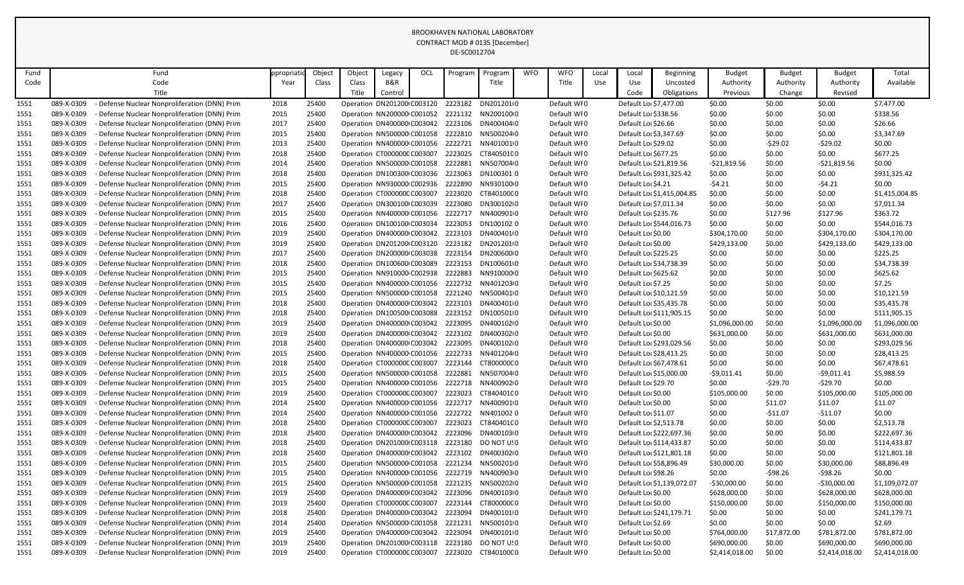| Fund |            | Fund                                          | ppropriat | Object | Object | Legacy                              | OCL | Program | Program            | <b>WFO</b> | <b>WFO</b>  | Local | Local                   | <b>Beginning</b>           | <b>Budget</b>  | <b>Budget</b> | <b>Budget</b>  | Total          |
|------|------------|-----------------------------------------------|-----------|--------|--------|-------------------------------------|-----|---------|--------------------|------------|-------------|-------|-------------------------|----------------------------|----------------|---------------|----------------|----------------|
| Code |            | Code                                          | Year      | Class  | Class  | B&R                                 |     |         | Title              |            | Title       | Use   | Use                     | Uncosted                   | Authority      | Authority     | Authority      | Available      |
|      |            | Title                                         |           |        | Title  | Control                             |     |         |                    |            |             |       | Code                    | Obligations                | Previous       | Change        | Revised        |                |
| 1551 | 089-X-0309 | Defense Nuclear Nonproliferation (DNN) Prim   | 2018      | 25400  |        | Operation DN201200 C003120          |     | 2223182 | DN2012010          |            | Default WI0 |       | Default Loc \$7,477.00  |                            | \$0.00         | \$0.00        | \$0.00         | \$7,477.00     |
| 1551 | 089-X-0309 | Defense Nuclear Nonproliferation (DNN) Prim   | 2015      | 25400  |        | Operation NN200000 C001052          |     |         | 2221132 NN20010000 |            | Default WI0 |       | Default Loc \$338.56    |                            | \$0.00         | \$0.00        | \$0.00         | \$338.56       |
| 1551 | 089-X-0309 | Defense Nuclear Nonproliferation (DNN) Prim   | 2017      | 25400  |        | Operation DN400000 C003042          |     | 2223106 | DN400404(0         |            | Default WI0 |       | Default Lor \$26.66     |                            | \$0.00         | \$0.00        | \$0.00         | \$26.66        |
| 1551 | 089-X-0309 | Defense Nuclear Nonproliferation (DNN) Prim   | 2015      | 25400  |        | Operation NN500000 C001058          |     | 2222810 | NN5002040          |            | Default WI0 |       | Default Loc \$3,347.69  |                            | \$0.00         | \$0.00        | \$0.00         | \$3,347.69     |
| 1551 | 089-X-0309 | Defense Nuclear Nonproliferation (DNN) Prim   | 2013      | 25400  |        | Operation NN400000 C001056          |     | 2222721 | NN4010010          |            | Default WI0 |       | Default Lor \$29.02     |                            | \$0.00         | $-529.02$     | $-529.02$      | \$0.00         |
| 1551 | 089-X-0309 | Defense Nuclear Nonproliferation (DNN) Prim   | 2018      | 25400  |        | Operation CT000000C C003007         |     | 2223025 | CT840501C0         |            | Default WI0 |       | Default Lo: \$677.25    |                            | \$0.00         | \$0.00        | \$0.00         | \$677.25       |
| 1551 | 089-X-0309 | Defense Nuclear Nonproliferation (DNN) Prim   | 2014      | 25400  |        | Operation NN500000 C001058          |     | 2222881 | NN5070040          |            | Default WI0 |       | Default Loc \$21,819.56 |                            | $-521,819.56$  | \$0.00        | $-521,819.56$  | \$0.00         |
| 1551 | 089-X-0309 | Defense Nuclear Nonproliferation (DNN) Prim   | 2018      | 25400  |        | Operation DN100300 C003036          |     | 2223063 | DN1003010          |            | Default WI0 |       |                         | Default Loc \$931,325.42   | \$0.00         | \$0.00        | \$0.00         | \$931,325.42   |
| 1551 | 089-X-0309 | Defense Nuclear Nonproliferation (DNN) Prim   | 2015      | 25400  |        | Operation NN930000 C002936          |     | 2222890 | NN93010000         |            | Default WI0 |       | Default Loc \$4.21      |                            | $-54.21$       | \$0.00        | $-54.21$       | \$0.00         |
| 1551 | 089-X-0309 | Defense Nuclear Nonproliferation (DNN) Prim   | 2018      | 25400  |        | Operation CT000000C C003007         |     | 2223020 | CT840100C0         |            | Default WI0 |       |                         | Default Loc \$1,415,004.85 | \$0.00         | \$0.00        | \$0.00         | \$1,415,004.85 |
| 1551 | 089-X-0309 | Defense Nuclear Nonproliferation (DNN) Prim   | 2017      | 25400  |        | Operation DN300100 C003039          |     | 2223080 | DN30010210         |            | Default WI0 |       | Default Loc \$7,011.34  |                            | \$0.00         | \$0.00        | \$0.00         | \$7,011.34     |
| 1551 | 089-X-0309 | Defense Nuclear Nonproliferation (DNN) Prim   | 2015      | 25400  |        | Operation NN400000 C001056          |     | 2222717 | NN4009010          |            | Default WI0 |       | Default Loc \$235.76    |                            | \$0.00         | \$127.96      | \$127.96       | \$363.72       |
| 1551 | 089-X-0309 | Defense Nuclear Nonproliferation (DNN) Prim   | 2016      | 25400  |        | Operation DN100100 C003034          |     | 2223053 | DN1001020          |            | Default WI0 |       |                         | Default Loc \$544,016.73   | \$0.00         | \$0.00        | \$0.00         | \$544,016.73   |
| 1551 | 089-X-0309 | Defense Nuclear Nonproliferation (DNN) Prim   | 2019      | 25400  |        | Operation DN400000 C003042          |     | 2223103 | DN400401(0         |            | Default WI0 |       | Default Loc \$0.00      |                            | \$304,170.00   | \$0.00        | \$304,170.00   | \$304,170.00   |
| 1551 | 089-X-0309 | Defense Nuclear Nonproliferation (DNN) Prim   | 2019      | 25400  |        | Operation DN201200 C003120          |     | 2223182 | DN2012010          |            | Default WI0 |       | Default Loc \$0.00      |                            | \$429,133.00   | \$0.00        | \$429,133.00   | \$429,133.00   |
| 1551 | 089-X-0309 | Defense Nuclear Nonproliferation (DNN) Prim   | 2017      | 25400  |        | Operation DN200000 C003038          |     | 2223154 | DN20060000         |            | Default WI0 |       | Default Lor \$225.25    |                            | \$0.00         | \$0.00        | \$0.00         | \$225.25       |
| 1551 | 089-X-0309 | Defense Nuclear Nonproliferation (DNN) Prim   | 2018      | 25400  |        | Operation DN100600 C003089          |     | 2223153 | DN100601(0         |            | Default WI0 |       | Default Loc \$34,738.39 |                            | \$0.00         | \$0.00        | \$0.00         | \$34,738.39    |
| 1551 | 089-X-0309 | - Defense Nuclear Nonproliferation (DNN) Prim | 2015      | 25400  |        | Operation NN910000 C002938          |     | 2222883 | NN91000000         |            | Default WI0 |       | Default Lor \$625.62    |                            | \$0.00         | \$0.00        | \$0.00         | \$625.62       |
| 1551 | 089-X-0309 | Defense Nuclear Nonproliferation (DNN) Prim   | 2015      | 25400  |        | Operation NN400000 C001056          |     |         | 2222732 NN4012030  |            | Default WI0 |       | Default Loc \$7.25      |                            | \$0.00         | \$0.00        | \$0.00         | \$7.25         |
| 1551 | 089-X-0309 | Defense Nuclear Nonproliferation (DNN) Prim   | 2015      | 25400  |        | Operation NN500000 C001058          |     | 2221240 | NN5004010          |            | Default WI0 |       | Default Loc \$10,121.59 |                            | \$0.00         | \$0.00        | \$0.00         | \$10,121.59    |
| 1551 | 089-X-0309 | Defense Nuclear Nonproliferation (DNN) Prim   | 2018      | 25400  |        | Operation DN400000 C003042          |     | 2223103 | DN400401(0         |            | Default WI0 |       | Default Loc \$35,435.78 |                            | \$0.00         | \$0.00        | \$0.00         | \$35,435.78    |
| 1551 | 089-X-0309 | Defense Nuclear Nonproliferation (DNN) Prim   | 2018      | 25400  |        | Operation DN100500 C003088          |     | 2223152 | DN1005010          |            | Default WI0 |       |                         | Default Loc \$111,905.15   | \$0.00         | \$0.00        | \$0.00         | \$111,905.15   |
| 1551 | 089-X-0309 | Defense Nuclear Nonproliferation (DNN) Prim   | 2019      | 25400  |        | Operation DN400000 C003042          |     | 2223095 | DN400102I0         |            | Default WI0 |       | Default Loc \$0.00      |                            | \$1,096,000.00 | \$0.00        | \$1,096,000.00 | \$1,096,000.00 |
| 1551 | 089-X-0309 | Defense Nuclear Nonproliferation (DNN) Prim   | 2019      | 25400  |        | Operation DN400000 C003042          |     | 2223102 | DN400302(0         |            | Default WI0 |       | Default Loc \$0.00      |                            | \$631,000.00   | \$0.00        | \$631,000.00   | \$631,000.00   |
| 1551 | 089-X-0309 | - Defense Nuclear Nonproliferation (DNN) Prim | 2018      | 25400  |        | Operation DN400000 C003042          |     | 2223095 | DN400102I0         |            | Default WI0 |       |                         | Default Loc \$293,029.56   | \$0.00         | \$0.00        | \$0.00         | \$293,029.56   |
| 1551 | 089-X-0309 | Defense Nuclear Nonproliferation (DNN) Prim   | 2015      | 25400  |        | Operation NN400000 C001056          |     | 2222733 | NN4012040          |            | Default WI0 |       | Default Loc \$28,413.25 |                            | \$0.00         | \$0.00        | \$0.00         | \$28,413.25    |
| 1551 | 089-X-0309 | Defense Nuclear Nonproliferation (DNN) Prim   | 2018      | 25400  |        | Operation CT000000C C003007 2223144 |     |         | CT800000C0         |            | Default WI0 |       | Default Loc \$67,478.61 |                            | \$0.00         | \$0.00        | \$0.00         | \$67,478.61    |
| 1551 | 089-X-0309 | Defense Nuclear Nonproliferation (DNN) Prim   | 2015      | 25400  |        | Operation NN500000 C001058          |     |         | 2222881 NN5070040  |            | Default WI0 |       | Default Lor \$15,000.00 |                            | $-59,011.41$   | \$0.00        | $-59,011.41$   | \$5,988.59     |
| 1551 | 089-X-0309 | Defense Nuclear Nonproliferation (DNN) Prim   | 2015      | 25400  |        | Operation NN400000 C001056          |     | 2222718 | NN40090200         |            | Default WI0 |       | Default Lor \$29.70     |                            | \$0.00         | -\$29.70      | $-529.70$      | \$0.00         |
| 1551 | 089-X-0309 | - Defense Nuclear Nonproliferation (DNN) Prim | 2019      | 25400  |        | Operation CT000000C C003007         |     | 2223023 | CT840401C0         |            | Default WI0 |       | Default Loc \$0.00      |                            | \$105,000.00   | \$0.00        | \$105,000.00   | \$105,000.00   |
| 1551 | 089-X-0309 | Defense Nuclear Nonproliferation (DNN) Prim   | 2014      | 25400  |        | Operation NN400000 C001056          |     |         | 2222717 NN4009010  |            | Default WI0 |       | Default Loc \$0.00      |                            | \$0.00         | \$11.07       | \$11.07        | \$11.07        |
| 1551 | 089-X-0309 | Defense Nuclear Nonproliferation (DNN) Prim   | 2014      | 25400  |        | Operation NN400000 C001056          |     | 2222722 | NN4010020          |            | Default WI0 |       | Default Loc \$11.07     |                            | \$0.00         | $-$11.07$     | $-511.07$      | \$0.00         |
| 1551 | 089-X-0309 | Defense Nuclear Nonproliferation (DNN) Prim   | 2018      | 25400  |        | Operation CT000000C C003007         |     | 2223023 | CT840401C0         |            | Default WI0 |       | Default Loc \$2,513.78  |                            | \$0.00         | \$0.00        | \$0.00         | \$2,513.78     |
| 1551 | 089-X-0309 | - Defense Nuclear Nonproliferation (DNN) Prim | 2018      | 25400  |        | Operation DN400000 C003042          |     | 2223096 | DN400103(0         |            | Default WI0 |       |                         | Default Loc \$222,697.36   | \$0.00         | \$0.00        | \$0.00         | \$222,697.36   |
| 1551 | 089-X-0309 | Defense Nuclear Nonproliferation (DNN) Prim   | 2018      | 25400  |        | Operation DN201000 C003118          |     | 2223180 | DO NOT USO         |            | Default WI0 |       |                         | Default Loc \$114,433.87   | \$0.00         | \$0.00        | \$0.00         | \$114,433.87   |
| 1551 | 089-X-0309 | Defense Nuclear Nonproliferation (DNN) Prim   | 2018      | 25400  |        | Operation DN400000 C003042          |     | 2223102 | DN40030210         |            | Default WI0 |       |                         | Default Loc \$121,801.18   | \$0.00         | \$0.00        | \$0.00         | \$121,801.18   |
| 1551 | 089-X-0309 | Defense Nuclear Nonproliferation (DNN) Prim   | 2015      | 25400  |        | Operation NN500000 C001058          |     | 2221234 | NN5002010          |            | Default WI0 |       | Default Loc \$58,896.49 |                            | \$30,000.00    | \$0.00        | \$30,000.00    | \$88,896.49    |
| 1551 | 089-X-0309 | Defense Nuclear Nonproliferation (DNN) Prim   | 2015      | 25400  |        | Operation NN400000 C001056          |     |         | 2222719 NN4009030  |            | Default WI0 |       | Default Lor \$98.26     |                            | \$0.00         | -\$98.26      | $-598.26$      | \$0.00         |
| 1551 | 089-X-0309 | Defense Nuclear Nonproliferation (DNN) Prim   | 2015      | 25400  |        | Operation NN500000 C001058          |     | 2221235 | NN50020200         |            | Default WI0 |       |                         | Default Loc \$1,139,072.07 | $-530,000.00$  | \$0.00        | $-530,000.00$  | \$1,109,072.07 |
| 1551 | 089-X-0309 | Defense Nuclear Nonproliferation (DNN) Prim   | 2019      | 25400  |        | Operation DN400000 C003042          |     | 2223096 | DN400103(0         |            | Default WI0 |       | Default Loc \$0.00      |                            | \$628,000.00   | \$0.00        | \$628,000.00   | \$628,000.00   |
| 1551 | 089-X-0309 | Defense Nuclear Nonproliferation (DNN) Prim   | 2019      | 25400  |        | Operation CT000000C C003007         |     | 2223144 | CT800000C0         |            | Default WI0 |       | Default Loc \$0.00      |                            | \$150,000.00   | \$0.00        | \$150,000.00   | \$150,000.00   |
| 1551 | 089-X-0309 | Defense Nuclear Nonproliferation (DNN) Prim   | 2018      | 25400  |        | Operation DN400000 C003042          |     | 2223094 | DN4001010          |            | Default WI0 |       |                         | Default Loc \$241,179.71   | \$0.00         | \$0.00        | \$0.00         | \$241,179.71   |
| 1551 | 089-X-0309 | Defense Nuclear Nonproliferation (DNN) Prim   | 2014      | 25400  |        | Operation NN500000 C001058          |     | 2221231 | NN5001010          |            | Default WI0 |       | Default Loc \$2.69      |                            | \$0.00         | \$0.00        | \$0.00         | \$2.69         |
| 1551 | 089-X-0309 | Defense Nuclear Nonproliferation (DNN) Prim   | 2019      | 25400  |        | Operation DN400000 C003042          |     | 2223094 | DN4001010          |            | Default WI0 |       | Default Lor \$0.00      |                            | \$764,000.00   | \$17,872.00   | \$781,872.00   | \$781,872.00   |
| 1551 | 089-X-0309 | Defense Nuclear Nonproliferation (DNN) Prim   | 2019      | 25400  |        | Operation DN201000 C003118          |     | 2223180 | DO NOT USO         |            | Default WI0 |       | Default Lor \$0.00      |                            | \$690,000.00   | \$0.00        | \$690,000.00   | \$690,000.00   |
| 1551 | 089-X-0309 | Defense Nuclear Nonproliferation (DNN) Prim   | 2019      | 25400  |        | Operation CT000000C C003007         |     | 2223020 | CT840100C0         |            | Default WI0 |       | Default Lor \$0.00      |                            | \$2,414,018.00 | \$0.00        | \$2,414,018.00 | \$2,414,018.00 |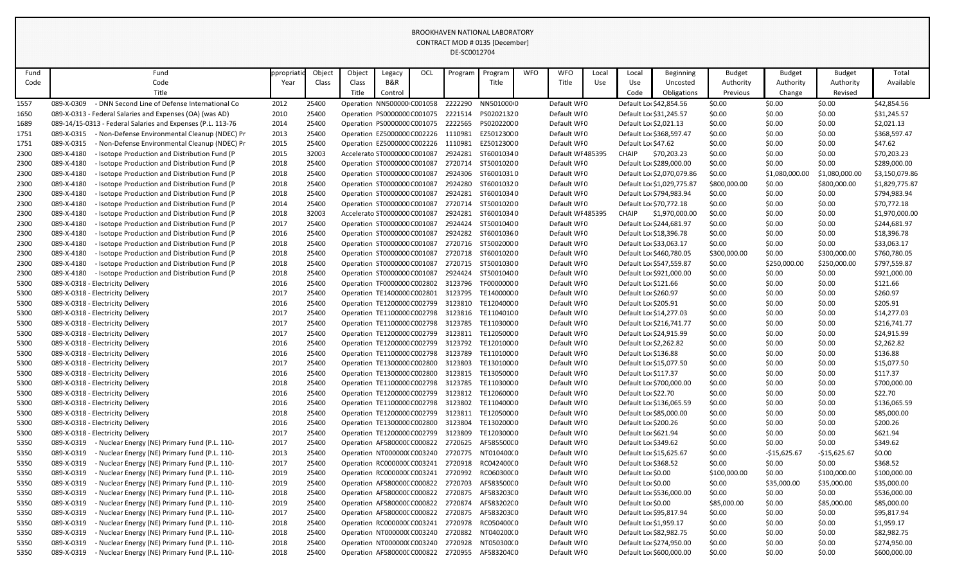|              |                                                                        |              |                |        |                                                            |     | DL-JUUUIZ7U4 |                                                               |            |                            |       |                        |                                                     |                  |                  |                  |                             |
|--------------|------------------------------------------------------------------------|--------------|----------------|--------|------------------------------------------------------------|-----|--------------|---------------------------------------------------------------|------------|----------------------------|-------|------------------------|-----------------------------------------------------|------------------|------------------|------------------|-----------------------------|
| Fund         | Fund                                                                   | ppropriati   | Object         | Object | Legacy                                                     | OCL | Program      | Program                                                       | <b>WFO</b> | <b>WFO</b>                 | Local | Local                  | Beginning                                           | <b>Budget</b>    | <b>Budget</b>    | <b>Budget</b>    | Total                       |
| Code         | Code                                                                   | Year         | Class          | Class  | B&R                                                        |     |              | Title                                                         |            | Title                      | Use   | Use                    | Uncosted                                            | Authority        | Authority        | Authority        | Available                   |
|              | Title                                                                  |              |                | Title  | Control                                                    |     |              |                                                               |            |                            |       | Code                   | Obligations                                         | Previous         | Change           | Revised          |                             |
| 1557         | - DNN Second Line of Defense International Co<br>089-X-0309            | 2012         | 25400          |        | Operation NN500000 C001058                                 |     | 2222290      | NN5010000                                                     |            | Default WI0                |       |                        | Default Loc \$42,854.56                             | \$0.00           | \$0.00           | \$0.00           | \$42,854.56                 |
| 1650         | 089-X-0313 - Federal Salaries and Expenses (OA) (was AD)               | 2010         | 25400          |        | Operation PS0000000 C001075                                |     | 2221514      | PS02021320                                                    |            | Default WI0                |       |                        | Default Loc \$31,245.57                             | \$0.00           | \$0.00           | \$0.00           | \$31,245.57                 |
| 1689         | 089-14/15-0313 - Federal Salaries and Expenses (P.L. 113-76            | 2014         | 25400          |        | Operation PS0000000 C001075                                |     | 2222565      | PS02022000                                                    |            | Default WI0                |       | Default Loc \$2,021.13 |                                                     | \$0.00           | \$0.00           | \$0.00           | \$2,021.13                  |
| 1751         | - Non-Defense Environmental Cleanup (NDEC) Pr<br>089-X-0315            | 2013         | 25400          |        | Operation EZ5000000 C002226                                |     | 1110981      | EZ50123000                                                    |            | Default WI0                |       |                        | Default Loc \$368,597.47                            | \$0.00           | \$0.00           | \$0.00           | \$368,597.47                |
| 1751         | 089-X-0315<br>- Non-Defense Environmental Cleanup (NDEC) Pr            | 2015         | 25400          |        | Operation EZ5000000 C002226                                |     | 1110981      | EZ50123000                                                    |            | Default WI0                |       | Default Loc \$47.62    |                                                     | \$0.00           | \$0.00           | \$0.00           | \$47.62                     |
| 2300         | 089-X-4180<br>- Isotope Production and Distribution Fund (P            | 2015         | 32003          |        | Accelerato ST0000000 C001087                               |     |              | 2924281 ST60010340                                            |            | Default WI 485395          |       | <b>CHAIP</b>           | \$70,203.23                                         | \$0.00           | \$0.00           | \$0.00           | \$70,203.23                 |
| 2300         | 089-X-4180<br>- Isotope Production and Distribution Fund (P            | 2018         | 25400          |        | Operation ST0000000 C001087                                |     | 2720714      | ST50010200                                                    |            | Default WI0                |       |                        | Default Lor \$289,000.00                            | \$0.00           | \$0.00           | \$0.00           | \$289,000.00                |
| 2300         | 089-X-4180<br>- Isotope Production and Distribution Fund (P            | 2018         | 25400          |        | Operation ST0000000 C001087                                |     | 2924306      | ST60010310                                                    |            | Default WI0                |       |                        | Default Loc \$2,070,079.86                          | \$0.00           | \$1,080,000.00   | \$1,080,000.00   | \$3,150,079.86              |
| 2300         | - Isotope Production and Distribution Fund (P<br>089-X-4180            | 2018         | 25400          |        | Operation ST0000000 C001087                                |     | 2924280      | ST60010320                                                    |            | Default WI0                |       |                        | Default Loc \$1,029,775.87                          | \$800,000.00     | \$0.00           | \$800,000.00     | \$1,829,775.87              |
| 2300         | 089-X-4180<br>- Isotope Production and Distribution Fund (P            | 2018         | 25400          |        | Operation ST0000000 C001087                                |     | 2924281      | ST60010340                                                    |            | Default WI0                |       |                        | Default Loc \$794,983.94                            | \$0.00           | \$0.00           | \$0.00           | \$794,983.94                |
| 2300         | 089-X-4180<br>- Isotope Production and Distribution Fund (P            | 2014         | 25400          |        | Operation ST0000000 C001087                                |     | 2720714      | ST50010200                                                    |            | Default WI0                |       |                        | Default Loc \$70,772.18                             | \$0.00           | \$0.00           | \$0.00           | \$70,772.18                 |
| 2300         | 089-X-4180<br>- Isotope Production and Distribution Fund (P            | 2018         | 32003          |        | Accelerato ST0000000 C001087                               |     | 2924281      | ST60010340                                                    |            | Default WI 485395          |       | <b>CHAIP</b>           | \$1,970,000.00                                      | \$0.00           | \$0.00           | \$0.00           | \$1,970,000.00              |
| 2300         | 089-X-4180<br>- Isotope Production and Distribution Fund (P            | 2017         | 25400          |        | Operation ST0000000 C001087                                |     |              | 2924424 ST50010400                                            |            | Default WI0                |       |                        | Default Loc \$244,681.97                            | \$0.00           | \$0.00           | \$0.00           | \$244,681.97                |
| 2300         | 089-X-4180<br>- Isotope Production and Distribution Fund (P            | 2016         | 25400          |        | Operation ST0000000 C001087                                |     | 2924282      | ST60010360                                                    |            | Default WI0                |       |                        | Default Loc \$18,396.78                             | \$0.00           | \$0.00           | \$0.00           | \$18,396.78                 |
| 2300         | 089-X-4180<br>- Isotope Production and Distribution Fund (P            | 2018         | 25400          |        | Operation ST0000000 C001087                                |     | 2720716      | ST50020000                                                    |            | Default WI0                |       |                        | Default Loc \$33,063.17                             | \$0.00           | \$0.00           | \$0.00           | \$33,063.17                 |
| 2300         | - Isotope Production and Distribution Fund (P<br>089-X-4180            | 2018         | 25400          |        | Operation ST0000000 C001087                                |     |              | 2720718 ST60010200                                            |            | Default WI0                |       |                        | Default Lor \$460,780.05                            | \$300,000.00     | \$0.00           | \$300,000.00     | \$760,780.05                |
| 2300         | 089-X-4180<br>- Isotope Production and Distribution Fund (P            | 2018         | 25400          |        | Operation ST0000000 C001087                                |     | 2720715      | ST50010300                                                    |            | Default WI0                |       |                        | Default Loc \$547,559.87                            | \$0.00           | \$250,000.00     | \$250,000.00     | \$797,559.87                |
| 2300         | 089-X-4180<br>- Isotope Production and Distribution Fund (P            | 2018         | 25400          |        | Operation ST0000000 C001087                                |     |              | 2924424 ST50010400                                            |            | Default WI0                |       |                        | Default Loc \$921,000.00                            | \$0.00           | \$0.00           | \$0.00           | \$921,000.00                |
| 5300         | 089-X-0318 - Electricity Delivery                                      | 2016         | 25400          |        | Operation TF0000000 C002802                                |     | 3123796      | TF00000000                                                    |            | Default WI0                |       | Default Loc \$121.66   |                                                     | \$0.00           | \$0.00           | \$0.00           | \$121.66                    |
| 5300         | 089-X-0318 - Electricity Delivery                                      | 2017         | 25400          |        | Operation TE1400000 C002801                                |     | 3123795      | TE14000000                                                    |            | Default WI0                |       | Default Loc \$260.97   |                                                     | \$0.00           | \$0.00           | \$0.00           | \$260.97                    |
| 5300         | 089-X-0318 - Electricity Delivery                                      | 2016         | 25400          |        | Operation TE1200000 C002799                                |     | 3123810      | TE12040000                                                    |            | Default WI0                |       | Default Loc \$205.91   |                                                     | \$0.00           | \$0.00           | \$0.00           | \$205.91                    |
| 5300         | 089-X-0318 - Electricity Delivery                                      | 2017         | 25400          |        | Operation TE1100000 C002798                                |     | 3123816      | TE11040100                                                    |            | Default WI0                |       |                        | Default Loc \$14,277.03                             | \$0.00           | \$0.00           | \$0.00           | \$14,277.03                 |
| 5300         | 089-X-0318 - Electricity Delivery                                      | 2017         | 25400          |        | Operation TE1100000 C002798 3123785                        |     |              | TE11030000                                                    |            | Default WI0                |       |                        | Default Loc \$216,741.77                            | \$0.00           | \$0.00           | \$0.00           | \$216,741.77                |
| 5300         | 089-X-0318 - Electricity Delivery                                      | 2017         | 25400          |        | Operation TE1200000 C002799                                |     | 3123811      | TE12050000                                                    |            | Default WI0                |       |                        | Default Loc \$24,915.99                             | \$0.00           | \$0.00           | \$0.00           | \$24,915.99                 |
| 5300         | 089-X-0318 - Electricity Delivery                                      | 2016         | 25400          |        | Operation TE1200000 C002799                                |     | 3123792      | TE12010000                                                    |            | Default WI0                |       | Default Loc \$2,262.82 |                                                     | \$0.00           | \$0.00           | \$0.00           | \$2,262.82                  |
| 5300         | 089-X-0318 - Electricity Delivery                                      | 2016         | 25400          |        | Operation TE1100000 C002798                                |     | 3123789      | TE11010000                                                    |            | Default WI0                |       | Default Loc \$136.88   |                                                     | \$0.00           | \$0.00           | \$0.00           | \$136.88                    |
| 5300         | 089-X-0318 - Electricity Delivery                                      | 2017         | 25400          |        |                                                            |     |              | Operation TE1300000 C002800 3123803 TE13010000                |            | Default WI0                |       |                        | Default Loc \$15,077.50                             | \$0.00           | \$0.00           | \$0.00           | \$15,077.50                 |
| 5300         | 089-X-0318 - Electricity Delivery                                      | 2016         | 25400          |        | Operation TE1300000 C002800                                |     |              | 3123815 TE13050000                                            |            | Default WI0                |       | Default Loc \$117.37   |                                                     | \$0.00           | \$0.00           | \$0.00           | \$117.37                    |
| 5300         | 089-X-0318 - Electricity Delivery                                      | 2018         | 25400          |        |                                                            |     |              | Operation TE1100000 C002798 3123785 TE11030000                |            | Default WI0                |       |                        | Default Lor \$700,000.00                            | \$0.00           | \$0.00           | \$0.00           | \$700,000.00                |
| 5300         | 089-X-0318 - Electricity Delivery                                      | 2016<br>2016 | 25400<br>25400 |        |                                                            |     | 3123802      | Operation TE1200000 C002799 3123812 TE1206000 0<br>TE11040000 |            | Default WI0<br>Default WI0 |       | Default Loc \$22.70    |                                                     | \$0.00           | \$0.00           | \$0.00           | \$22.70                     |
| 5300<br>5300 | 089-X-0318 - Electricity Delivery<br>089-X-0318 - Electricity Delivery | 2018         | 25400          |        | Operation TE1100000 C002798<br>Operation TE1200000 C002799 |     |              | 3123811 TE12050000                                            |            | Default WI0                |       |                        | Default Loc \$136,065.59<br>Default Lor \$85,000.00 | \$0.00<br>\$0.00 | \$0.00<br>\$0.00 | \$0.00<br>\$0.00 | \$136,065.59<br>\$85,000.00 |
| 5300         | 089-X-0318 - Electricity Delivery                                      | 2016         | 25400          |        | Operation TE1300000 C002800                                |     | 3123804      | TE13020000                                                    |            | Default WI0                |       | Default Lor \$200.26   |                                                     | \$0.00           | \$0.00           | \$0.00           | \$200.26                    |
| 5300         | 089-X-0318 - Electricity Delivery                                      | 2017         | 25400          |        | Operation TE1200000 C002799                                |     | 3123809      | TE12030000                                                    |            | Default WI0                |       | Default Loc \$621.94   |                                                     | \$0.00           | \$0.00           | \$0.00           | \$621.94                    |
| 5350         | 089-X-0319<br>- Nuclear Energy (NE) Primary Fund (P.L. 110-            | 2017         | 25400          |        | Operation AF580000C C000822                                |     |              | 2720625 AF585500C0                                            |            | Default WI0                |       | Default Loc \$349.62   |                                                     | \$0.00           | \$0.00           | \$0.00           | \$349.62                    |
| 5350         | 089-X-0319<br>- Nuclear Energy (NE) Primary Fund (P.L. 110-            | 2013         | 25400          |        | Operation NT000000(C003240                                 |     |              | 2720775 NT010400(0                                            |            | Default WI0                |       |                        | Default Loc \$15,625.67                             | \$0.00           | $-$15,625.67$    | $-$15,625.67$    | \$0.00                      |
| 5350         | 089-X-0319<br>- Nuclear Energy (NE) Primary Fund (P.L. 110-            | 2017         | 25400          |        | Operation RC000000CC003241                                 |     |              | 2720918 RC04240000                                            |            | Default WI0                |       | Default Loc \$368.52   |                                                     | \$0.00           | \$0.00           | \$0.00           | \$368.52                    |
| 5350         | 089-X-0319<br>- Nuclear Energy (NE) Primary Fund (P.L. 110-            | 2019         | 25400          |        | Operation RC0000000 C003241                                |     | 2720992      | RC06030000                                                    |            | Default WI0                |       | Default Lor \$0.00     |                                                     | \$100,000.00     | \$0.00           | \$100,000.00     | \$100,000.00                |
| 5350         | 089-X-0319<br>- Nuclear Energy (NE) Primary Fund (P.L. 110-            | 2019         | 25400          |        | Operation AF580000CC000822                                 |     |              | 2720703 AF58350000                                            |            | Default WI0                |       | Default Lor \$0.00     |                                                     | \$0.00           | \$35,000.00      | \$35,000.00      | \$35,000.00                 |
| 5350         | 089-X-0319<br>- Nuclear Energy (NE) Primary Fund (P.L. 110-            | 2018         | 25400          |        | Operation AF580000C C000822                                |     |              | 2720875 AF58320300                                            |            | Default WI0                |       |                        | Default Lor \$536,000.00                            | \$0.00           | \$0.00           | \$0.00           | \$536,000.00                |
| 5350         | 089-X-0319<br>- Nuclear Energy (NE) Primary Fund (P.L. 110-            | 2019         | 25400          |        | Operation AF580000CC000822                                 |     | 2720874      | AF583202C0                                                    |            | Default WI0                |       | Default Lor \$0.00     |                                                     | \$85,000.00      | \$0.00           | \$85,000.00      | \$85,000.00                 |
| 5350         | 089-X-0319<br>- Nuclear Energy (NE) Primary Fund (P.L. 110-            | 2017         | 25400          |        | Operation AF580000C C000822                                |     |              | 2720875 AF583203C0                                            |            | Default WI0                |       |                        | Default Loc \$95,817.94                             | \$0.00           | \$0.00           | \$0.00           | \$95,817.94                 |
| 5350         | 089-X-0319<br>- Nuclear Energy (NE) Primary Fund (P.L. 110-            | 2018         | 25400          |        | Operation RC000000CC003241                                 |     |              | 2720978 RC05040000                                            |            | Default WI0                |       | Default Loc \$1,959.17 |                                                     | \$0.00           | \$0.00           | \$0.00           | \$1,959.17                  |
| 5350         | 089-X-0319<br>- Nuclear Energy (NE) Primary Fund (P.L. 110-            | 2018         | 25400          |        | Operation NT000000(C003240                                 |     |              | 2720882 NT040200(0                                            |            | Default WI0                |       |                        | Default Loc \$82,982.75                             | \$0.00           | \$0.00           | \$0.00           | \$82,982.75                 |
| 5350         | 089-X-0319<br>- Nuclear Energy (NE) Primary Fund (P.L. 110-            | 2018         | 25400          |        | Operation NT000000(C003240                                 |     |              | 2720928 NT050300(0                                            |            | Default WI0                |       |                        | Default Loc \$274,950.00                            | \$0.00           | \$0.00           | \$0.00           | \$274,950.00                |
| 5350         | 089-X-0319<br>- Nuclear Energy (NE) Primary Fund (P.L. 110-            | 2018         | 25400          |        |                                                            |     |              | Operation AF580000C C000822 2720955 AF583204C 0               |            | Default WI0                |       |                        | Default Lor \$600,000.00                            | \$0.00           | \$0.00           | \$0.00           | \$600,000.00                |
|              |                                                                        |              |                |        |                                                            |     |              |                                                               |            |                            |       |                        |                                                     |                  |                  |                  |                             |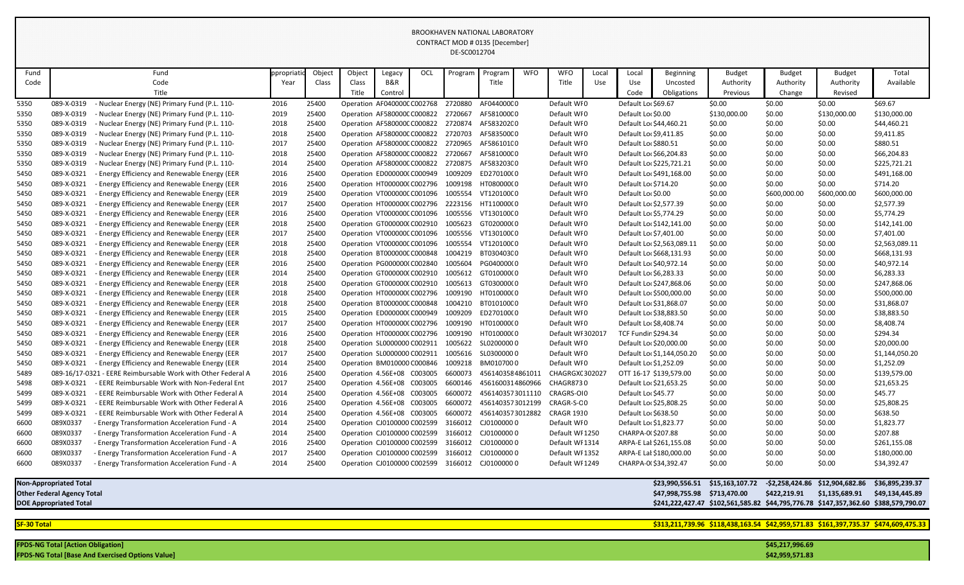|                    |                                          |                                                              |           |        |        |                             |     | DL-JCUUIZ7U4 |                          |            |                   |       |                            |                              |                                                                                     |                 |                                 |                 |  |  |
|--------------------|------------------------------------------|--------------------------------------------------------------|-----------|--------|--------|-----------------------------|-----|--------------|--------------------------|------------|-------------------|-------|----------------------------|------------------------------|-------------------------------------------------------------------------------------|-----------------|---------------------------------|-----------------|--|--|
| Fund               |                                          | Fund                                                         | ppropriat | Object | Object | Legacy                      | OCL | Program      | Program                  | <b>WFO</b> | <b>WFO</b>        | Local | Local                      | <b>Beginning</b>             | <b>Budget</b>                                                                       | <b>Budget</b>   | <b>Budget</b>                   | Total           |  |  |
| Code               |                                          | Code                                                         | Year      | Class  | Class  | B&R                         |     |              | Title                    |            | Title             | Use   | Use                        | Uncosted                     | Authority                                                                           | Authority       | Authority                       | Available       |  |  |
|                    |                                          | Title                                                        |           |        |        | Control                     |     |              |                          |            |                   |       | Code                       | Obligations                  | Previous                                                                            | Change          | Revised                         |                 |  |  |
| 5350               | 089-X-0319                               | Nuclear Energy (NE) Primary Fund (P.L. 110-                  | 2016      | 25400  |        | Operation AF040000C C002768 |     | 2720880      | AF044000C0               |            | Default WI0       |       | Default Loc \$69.67        |                              | \$0.00                                                                              | \$0.00          | \$0.00                          | \$69.67         |  |  |
| 5350               | 089-X-0319                               | Nuclear Energy (NE) Primary Fund (P.L. 110-                  | 2019      | 25400  |        | Operation AF580000C C000822 |     | 2720667      | AF581000C0               |            | Default WI0       |       | Default Loc \$0.00         |                              | \$130,000.00                                                                        | \$0.00          | \$130,000.00                    | \$130,000.00    |  |  |
| 5350               | 089-X-0319                               | Nuclear Energy (NE) Primary Fund (P.L. 110-                  | 2018      | 25400  |        | Operation AF580000C C000822 |     | 2720874      | AF583202C0               |            | Default WI0       |       |                            | Default Loc \$44,460.21      | \$0.00                                                                              | \$0.00          | \$0.00                          | \$44,460.21     |  |  |
| 5350               | 089-X-0319                               | Nuclear Energy (NE) Primary Fund (P.L. 110-                  | 2018      | 25400  |        | Operation AF580000C C000822 |     | 2720703      | AF583500C0               |            | Default WI0       |       | Default Loc \$9,411.85     |                              | \$0.00                                                                              | \$0.00          | \$0.00                          | \$9,411.85      |  |  |
| 5350               | 089-X-0319                               | Nuclear Energy (NE) Primary Fund (P.L. 110-                  | 2017      | 25400  |        | Operation AF580000C C000822 |     | 2720965      | AF586101C0               |            | Default WI0       |       | Default Lor \$880.51       |                              | \$0.00                                                                              | \$0.00          | \$0.00                          | \$880.51        |  |  |
| 5350               | 089-X-0319                               | Nuclear Energy (NE) Primary Fund (P.L. 110-                  | 2018      | 25400  |        | Operation AF580000C C000822 |     | 2720667      | AF581000C0               |            | Default WI0       |       |                            | Default Loc \$66,204.83      | \$0.00                                                                              | \$0.00          | \$0.00                          | \$66,204.83     |  |  |
| 5350               | 089-X-0319                               | Nuclear Energy (NE) Primary Fund (P.L. 110-                  | 2014      | 25400  |        | Operation AF580000C C000822 |     | 2720875      | AF583203C0               |            | Default WI0       |       |                            | Default Loc \$225,721.21     | \$0.00                                                                              | \$0.00          | \$0.00                          | \$225,721.21    |  |  |
| 5450               | 089-X-0321                               | <b>Energy Efficiency and Renewable Energy (EER</b>           | 2016      | 25400  |        | Operation ED0000000 C000949 |     | 1009209      | ED270100(0               |            | Default WI0       |       |                            | Default Lor \$491,168.00     | \$0.00                                                                              | \$0.00          | \$0.00                          | \$491,168.00    |  |  |
| 5450               | 089-X-0321                               | - Energy Efficiency and Renewable Energy (EER                | 2016      | 25400  |        | Operation HT0000000 C002796 |     | 1009198      | HT08000000               |            | Default WI0       |       | Default Loc \$714.20       |                              | \$0.00                                                                              | \$0.00          | \$0.00                          | \$714.20        |  |  |
| 5450               | 089-X-0321                               | - Energy Efficiency and Renewable Energy (EER                | 2019      | 25400  |        | Operation VT000000C C001096 |     | 1005554      | VT12010000               |            | Default WI0       |       | Default Loc \$0.00         |                              | \$0.00                                                                              | \$600,000.00    | \$600,000.00                    | \$600,000.00    |  |  |
| 5450               | 089-X-0321                               | - Energy Efficiency and Renewable Energy (EER                | 2017      | 25400  |        | Operation HT0000000 C002796 |     | 2223156      | HT11000000               |            | Default WI0       |       | Default Loc \$2,577.39     |                              | \$0.00                                                                              | \$0.00          | \$0.00                          | \$2,577.39      |  |  |
| 5450               | 089-X-0321                               | - Energy Efficiency and Renewable Energy (EER                | 2016      | 25400  |        | Operation VT000000C C001096 |     | 1005556      | VT13010000               |            | Default WI0       |       | Default Loc \$5,774.29     |                              | \$0.00                                                                              | \$0.00          | \$0.00                          | \$5,774.29      |  |  |
| 5450               | 089-X-0321                               | - Energy Efficiency and Renewable Energy (EER                | 2018      | 25400  |        | Operation GT0000000 C002910 |     | 1005623      | GT020000(0               |            | Default WI0       |       |                            | Default Lor \$142,141.00     | \$0.00                                                                              | \$0.00          | \$0.00                          | \$142,141.00    |  |  |
| 5450               | 089-X-0321                               | - Energy Efficiency and Renewable Energy (EER                | 2017      | 25400  |        | Operation VT000000C C001096 |     | 1005556      | VT13010000               |            | Default WI0       |       | Default Lor \$7,401.00     |                              | \$0.00                                                                              | \$0.00          | \$0.00                          | \$7,401.00      |  |  |
| 5450               | 089-X-0321                               | - Energy Efficiency and Renewable Energy (EER                | 2018      | 25400  |        | Operation VT000000C C001096 |     | 1005554      | VT12010000               |            | Default WI0       |       |                            | Default Loc \$2,563,089.11   | \$0.00                                                                              | \$0.00          | \$0.00                          | \$2,563,089.11  |  |  |
| 5450               | 089-X-0321                               | - Energy Efficiency and Renewable Energy (EER                | 2018      | 25400  |        | Operation BT000000C C000848 |     | 1004219      | BT030403C0               |            | Default WI0       |       |                            | Default Loc \$668,131.93     | \$0.00                                                                              | \$0.00          | \$0.00                          | \$668,131.93    |  |  |
| 5450               | 089-X-0321                               | <b>Energy Efficiency and Renewable Energy (EER</b>           | 2016      | 25400  |        | Operation PG000000(C002840  |     | 1005604      | PG040000(0               |            | Default WI0       |       |                            | Default Loc \$40,972.14      | \$0.00                                                                              | \$0.00          | \$0.00                          | \$40,972.14     |  |  |
| 5450               | 089-X-0321                               | - Energy Efficiency and Renewable Energy (EER                | 2014      | 25400  |        | Operation GT0000000 C002910 |     | 1005612      | GT010000(0               |            | Default WI0       |       | Default Loc \$6,283.33     |                              | \$0.00                                                                              | \$0.00          | \$0.00                          | \$6,283.33      |  |  |
| 5450               | 089-X-0321                               | - Energy Efficiency and Renewable Energy (EER                | 2018      | 25400  |        | Operation GT0000000 C002910 |     | 1005613      | GT030000(0               |            | Default WI0       |       |                            | Default Loc \$247,868.06     | \$0.00                                                                              | \$0.00          | \$0.00                          | \$247,868.06    |  |  |
| 5450               | 089-X-0321                               | <b>Energy Efficiency and Renewable Energy (EER</b>           | 2018      | 25400  |        | Operation HT0000000 C002796 |     | 1009190      | HT010000(0               |            | Default WI0       |       |                            | Default Lor \$500,000.00     | \$0.00                                                                              | \$0.00          | \$0.00                          | \$500,000.00    |  |  |
| 5450               | 089-X-0321                               | Energy Efficiency and Renewable Energy (EER                  | 2018      | 25400  |        | Operation BT000000C C000848 |     | 1004210      | BT010100C0               |            | Default WI0       |       |                            | Default Loc \$31,868.07      | \$0.00                                                                              | \$0.00          | \$0.00                          | \$31,868.07     |  |  |
| 5450               | 089-X-0321                               | - Energy Efficiency and Renewable Energy (EER                | 2015      | 25400  |        | Operation ED0000000 C000949 |     | 1009209      | ED270100(0               |            | Default WI0       |       |                            | Default Loc \$38,883.50      | \$0.00                                                                              | \$0.00          | \$0.00                          | \$38,883.50     |  |  |
| 5450               | 089-X-0321                               | - Energy Efficiency and Renewable Energy (EER                | 2017      | 25400  |        | Operation HT0000000 C002796 |     | 1009190      | HT01000000               |            | Default WI0       |       | Default Lor \$8,408.74     |                              | \$0.00                                                                              | \$0.00          | \$0.00                          | \$8,408.74      |  |  |
| 5450               | 089-X-0321                               | - Energy Efficiency and Renewable Energy (EER                | 2016      | 25400  |        | Operation HT0000000 C002796 |     | 1009190      | HT01000000               |            | Default WI 302017 |       | <b>TCF Fundin \$294.34</b> |                              | \$0.00                                                                              | \$0.00          | \$0.00                          | \$294.34        |  |  |
| 5450               | 089-X-0321                               | - Energy Efficiency and Renewable Energy (EER                | 2018      | 25400  |        | Operation SL0000000 C002911 |     | 1005622      | SL02000000               |            | Default WI0       |       |                            | Default Lor \$20,000.00      | \$0.00                                                                              | \$0.00          | \$0.00                          | \$20,000.00     |  |  |
| 5450               | 089-X-0321                               | - Energy Efficiency and Renewable Energy (EER                | 2017      | 25400  |        | Operation SL0000000 C002911 |     | 1005616      | SL03000000               |            | Default WI0       |       |                            | Default Loc \$1,144,050.20   | \$0.00                                                                              | \$0.00          | \$0.00                          | \$1,144,050.20  |  |  |
| 5450               |                                          | 089-X-0321 - Energy Efficiency and Renewable Energy (EER     | 2014      | 25400  |        | Operation BM010000 C000846  |     | 1009218      | BM0107000                |            | Default WI0       |       |                            | Default Lor \$1,252.09       | \$0.00                                                                              | \$0.00          | \$0.00                          | \$1,252.09      |  |  |
| 5489               |                                          | 089-16/17-0321 - EERE Reimbursable Work with Other Federal A | 2016      | 25400  |        | Operation 4.56E+08 C003005  |     | 6600073      | 4561403584861011         |            | CHAGRGX(302027    |       |                            | OTT 16-17 \$139,579.00       | \$0.00                                                                              | \$0.00          | \$0.00                          | \$139,579.00    |  |  |
| 5498               | 089-X-0321                               | - EERE Reimbursable Work with Non-Federal Ent                | 2017      | 25400  |        | Operation 4.56E+08 C003005  |     |              | 6600146 4561600314860966 |            | CHAGR8730         |       |                            | Default Loc \$21,653.25      | \$0.00                                                                              | \$0.00          | \$0.00                          | \$21,653.25     |  |  |
| 5499               | 089-X-0321                               | - EERE Reimbursable Work with Other Federal A                | 2014      | 25400  |        | Operation 4.56E+08 C003005  |     |              | 6600072 4561403573011110 |            | CRAGRS-OI0        |       | Default Loc \$45.77        |                              | \$0.00                                                                              | \$0.00          | \$0.00                          | \$45.77         |  |  |
| 5499               | 089-X-0321                               | - EERE Reimbursable Work with Other Federal A                | 2016      | 25400  |        | Operation 4.56E+08 C003005  |     | 6600072      | 4561403573012199         |            | CRAGR-S-CO        |       |                            | Default Loc \$25,808.25      | \$0.00                                                                              | \$0.00          | \$0.00                          | \$25,808.25     |  |  |
| 5499               | 089-X-0321                               | - EERE Reimbursable Work with Other Federal A                | 2014      | 25400  |        | Operation 4.56E+08 C003005  |     | 6600072      | 4561403573012882         |            | <b>CRAGR 1930</b> |       | Default Lor \$638.50       |                              | \$0.00                                                                              | \$0.00          | \$0.00                          | \$638.50        |  |  |
| 6600               | 089X0337                                 | - Energy Transformation Acceleration Fund - A                | 2014      | 25400  |        | Operation CJ0100000 C002599 |     | 3166012      | CJ01000000               |            | Default WI0       |       | Default Loc \$1,823.77     |                              | \$0.00                                                                              | \$0.00          | \$0.00                          | \$1,823.77      |  |  |
| 6600               | 089X0337                                 | - Energy Transformation Acceleration Fund - A                | 2014      | 25400  |        | Operation CJ0100000 C002599 |     |              | 3166012 CJ0100000 0      |            | Default WI 1250   |       | CHARPA-0(\$207.88          |                              | \$0.00                                                                              | \$0.00          | \$0.00                          | \$207.88        |  |  |
| 6600               | 089X0337                                 | - Energy Transformation Acceleration Fund - A                | 2016      | 25400  |        | Operation CJ0100000 C002599 |     |              | 3166012 CJ0100000 0      |            | Default WI 1314   |       |                            | ARPA-E Lat \$261,155.08      | \$0.00                                                                              | \$0.00          | \$0.00                          | \$261,155.08    |  |  |
| 6600               | 089X0337                                 | - Energy Transformation Acceleration Fund - A                | 2017      | 25400  |        | Operation CJ0100000 C002599 |     |              | 3166012 CJ0100000 0      |            | Default WI 1352   |       |                            | ARPA-E Lal \$180,000.00      | \$0.00                                                                              | \$0.00          | \$0.00                          | \$180,000.00    |  |  |
| 6600               | 089X0337                                 | - Energy Transformation Acceleration Fund - A                | 2014      | 25400  |        | Operation CJ0100000 C002599 |     |              | 3166012 CJ0100000 0      |            | Default WI 1249   |       |                            | CHARPA-0(\$34,392.47         | \$0.00                                                                              | \$0.00          | \$0.00                          | \$34,392.47     |  |  |
|                    | <b>Non-Appropriated Total</b>            |                                                              |           |        |        |                             |     |              |                          |            |                   |       |                            | \$23,990,556.51              | \$15,163,107.72                                                                     |                 | -\$2,258,424.86 \$12,904,682.86 | \$36,895,239.37 |  |  |
|                    | <b>Other Federal Agency Total</b>        |                                                              |           |        |        |                             |     |              |                          |            |                   |       |                            | \$47,998,755.98 \$713,470.00 |                                                                                     | \$422,219.91    | \$1,135,689.91                  | \$49,134,445.89 |  |  |
|                    | <b>DOE Appropriated Total</b>            |                                                              |           |        |        |                             |     |              |                          |            |                   |       |                            |                              | \$241,222,427.47 \$102,561,585.82 \$44,795,776.78 \$147,357,362.60 \$388,579,790.07 |                 |                                 |                 |  |  |
|                    |                                          |                                                              |           |        |        |                             |     |              |                          |            |                   |       |                            |                              |                                                                                     |                 |                                 |                 |  |  |
| <b>SF-30 Total</b> |                                          |                                                              |           |        |        |                             |     |              |                          |            |                   |       |                            |                              | \$313,211,739.96 \$118,438,163.54 \$42,959,571.83 \$161,397,735.37 \$474,609,475.33 |                 |                                 |                 |  |  |
|                    |                                          |                                                              |           |        |        |                             |     |              |                          |            |                   |       |                            |                              |                                                                                     |                 |                                 |                 |  |  |
|                    | <b>FPDS-NG Total [Action Obligation]</b> |                                                              |           |        |        |                             |     |              |                          |            |                   |       |                            |                              |                                                                                     | \$45,217,996.69 |                                 |                 |  |  |